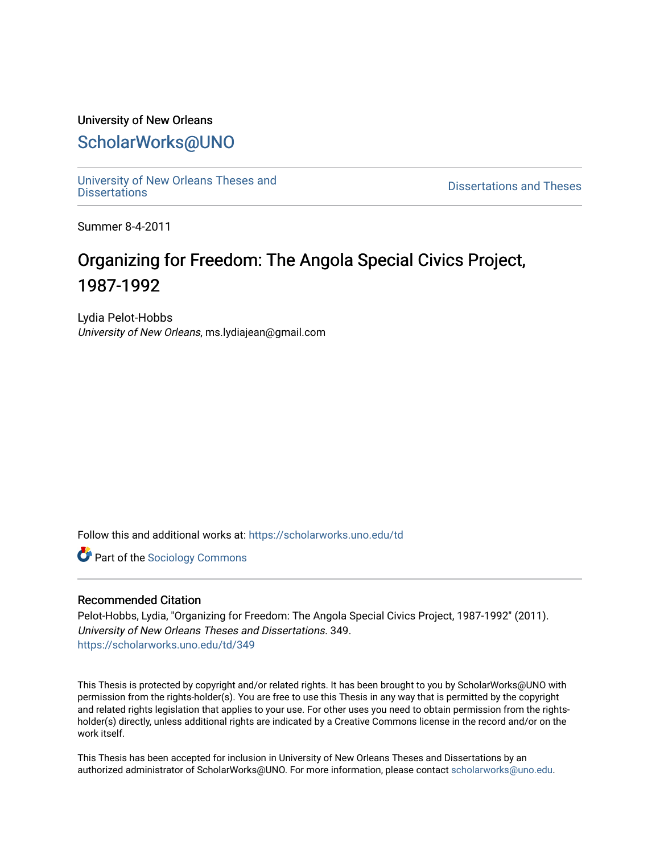# University of New Orleans [ScholarWorks@UNO](https://scholarworks.uno.edu/)

[University of New Orleans Theses and](https://scholarworks.uno.edu/td) 

[Dissertations](https://scholarworks.uno.edu/td) and Theses

Summer 8-4-2011

# Organizing for Freedom: The Angola Special Civics Project, 1987-1992

Lydia Pelot-Hobbs University of New Orleans, ms.lydiajean@gmail.com

Follow this and additional works at: [https://scholarworks.uno.edu/td](https://scholarworks.uno.edu/td?utm_source=scholarworks.uno.edu%2Ftd%2F349&utm_medium=PDF&utm_campaign=PDFCoverPages)

Part of the [Sociology Commons](http://network.bepress.com/hgg/discipline/416?utm_source=scholarworks.uno.edu%2Ftd%2F349&utm_medium=PDF&utm_campaign=PDFCoverPages)

# Recommended Citation

Pelot-Hobbs, Lydia, "Organizing for Freedom: The Angola Special Civics Project, 1987-1992" (2011). University of New Orleans Theses and Dissertations. 349. [https://scholarworks.uno.edu/td/349](https://scholarworks.uno.edu/td/349?utm_source=scholarworks.uno.edu%2Ftd%2F349&utm_medium=PDF&utm_campaign=PDFCoverPages) 

This Thesis is protected by copyright and/or related rights. It has been brought to you by ScholarWorks@UNO with permission from the rights-holder(s). You are free to use this Thesis in any way that is permitted by the copyright and related rights legislation that applies to your use. For other uses you need to obtain permission from the rightsholder(s) directly, unless additional rights are indicated by a Creative Commons license in the record and/or on the work itself.

This Thesis has been accepted for inclusion in University of New Orleans Theses and Dissertations by an authorized administrator of ScholarWorks@UNO. For more information, please contact [scholarworks@uno.edu.](mailto:scholarworks@uno.edu)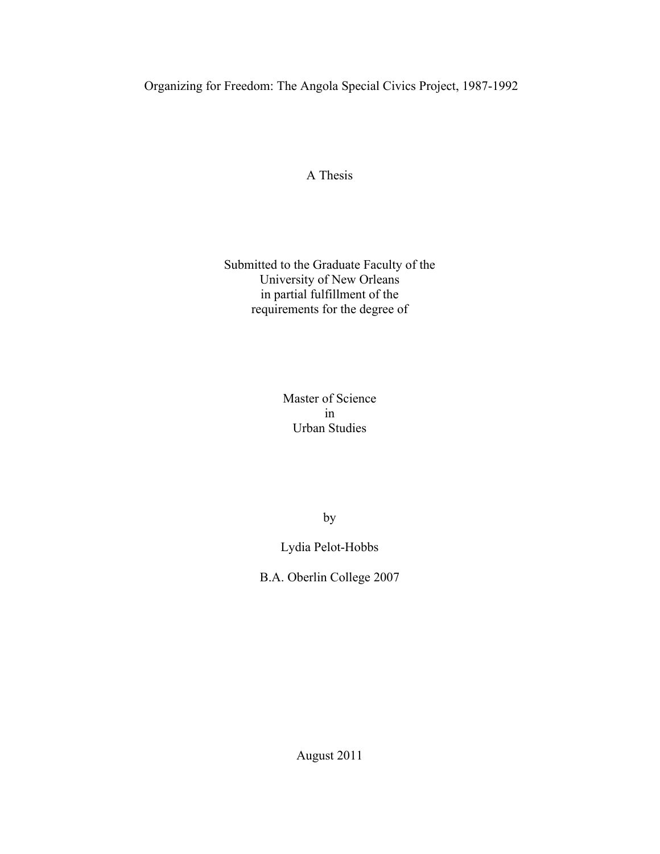Organizing for Freedom: The Angola Special Civics Project, 1987-1992

A Thesis

Submitted to the Graduate Faculty of the University of New Orleans in partial fulfillment of the requirements for the degree of

> Master of Science in Urban Studies

> > by

Lydia Pelot-Hobbs

B.A. Oberlin College 2007

August 2011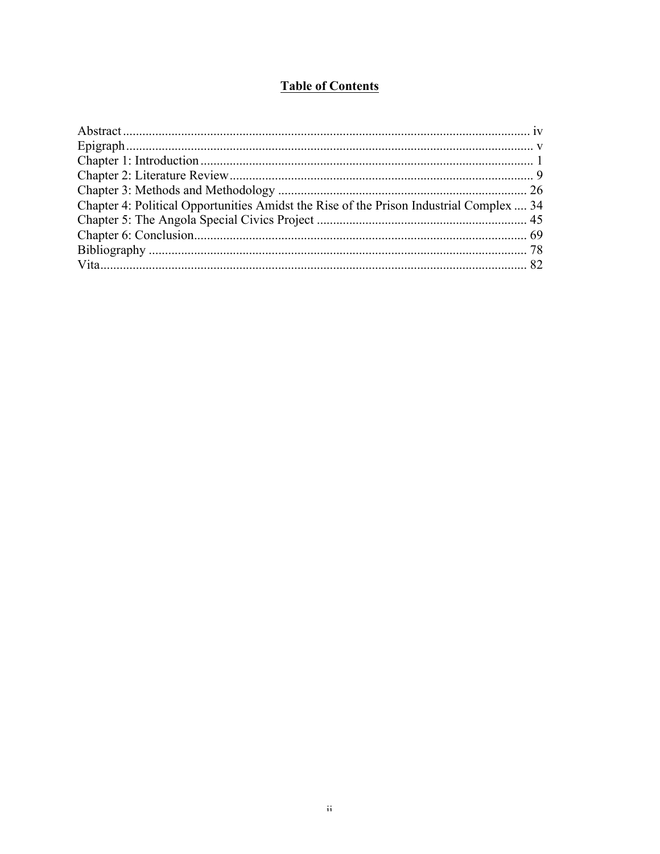# **Table of Contents**

| Chapter 4: Political Opportunities Amidst the Rise of the Prison Industrial Complex  34 |  |
|-----------------------------------------------------------------------------------------|--|
|                                                                                         |  |
|                                                                                         |  |
|                                                                                         |  |
|                                                                                         |  |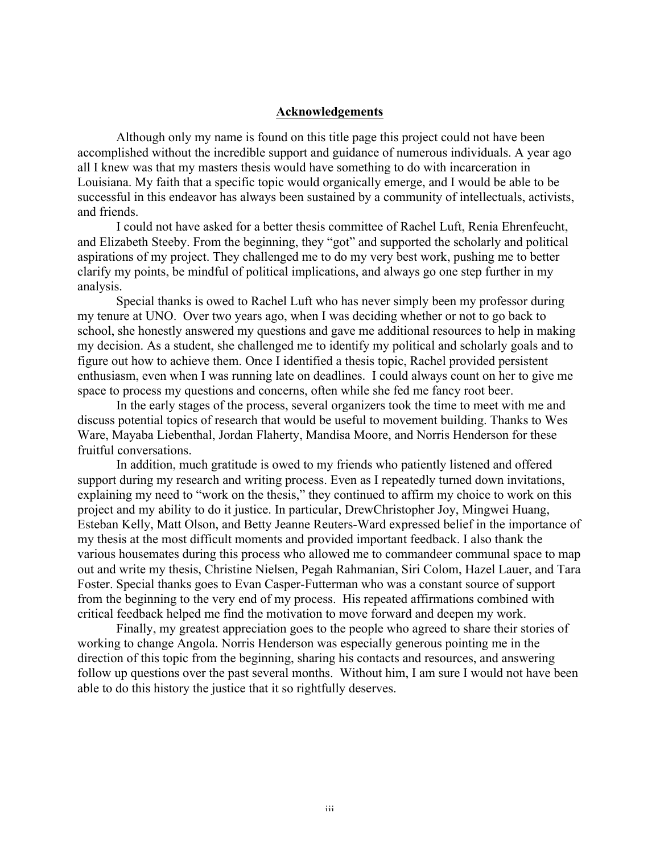# **Acknowledgements**

Although only my name is found on this title page this project could not have been accomplished without the incredible support and guidance of numerous individuals. A year ago all I knew was that my masters thesis would have something to do with incarceration in Louisiana. My faith that a specific topic would organically emerge, and I would be able to be successful in this endeavor has always been sustained by a community of intellectuals, activists, and friends.

I could not have asked for a better thesis committee of Rachel Luft, Renia Ehrenfeucht, and Elizabeth Steeby. From the beginning, they "got" and supported the scholarly and political aspirations of my project. They challenged me to do my very best work, pushing me to better clarify my points, be mindful of political implications, and always go one step further in my analysis.

Special thanks is owed to Rachel Luft who has never simply been my professor during my tenure at UNO. Over two years ago, when I was deciding whether or not to go back to school, she honestly answered my questions and gave me additional resources to help in making my decision. As a student, she challenged me to identify my political and scholarly goals and to figure out how to achieve them. Once I identified a thesis topic, Rachel provided persistent enthusiasm, even when I was running late on deadlines. I could always count on her to give me space to process my questions and concerns, often while she fed me fancy root beer.

In the early stages of the process, several organizers took the time to meet with me and discuss potential topics of research that would be useful to movement building. Thanks to Wes Ware, Mayaba Liebenthal, Jordan Flaherty, Mandisa Moore, and Norris Henderson for these fruitful conversations.

In addition, much gratitude is owed to my friends who patiently listened and offered support during my research and writing process. Even as I repeatedly turned down invitations, explaining my need to "work on the thesis," they continued to affirm my choice to work on this project and my ability to do it justice. In particular, DrewChristopher Joy, Mingwei Huang, Esteban Kelly, Matt Olson, and Betty Jeanne Reuters-Ward expressed belief in the importance of my thesis at the most difficult moments and provided important feedback. I also thank the various housemates during this process who allowed me to commandeer communal space to map out and write my thesis, Christine Nielsen, Pegah Rahmanian, Siri Colom, Hazel Lauer, and Tara Foster. Special thanks goes to Evan Casper-Futterman who was a constant source of support from the beginning to the very end of my process. His repeated affirmations combined with critical feedback helped me find the motivation to move forward and deepen my work.

Finally, my greatest appreciation goes to the people who agreed to share their stories of working to change Angola. Norris Henderson was especially generous pointing me in the direction of this topic from the beginning, sharing his contacts and resources, and answering follow up questions over the past several months. Without him, I am sure I would not have been able to do this history the justice that it so rightfully deserves.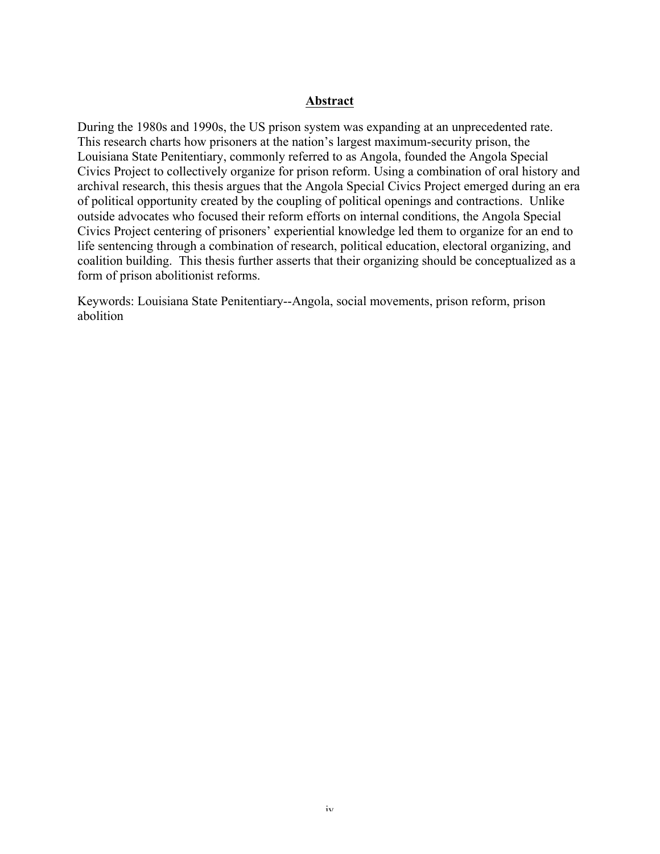# **Abstract**

During the 1980s and 1990s, the US prison system was expanding at an unprecedented rate. This research charts how prisoners at the nation's largest maximum-security prison, the Louisiana State Penitentiary, commonly referred to as Angola, founded the Angola Special Civics Project to collectively organize for prison reform. Using a combination of oral history and archival research, this thesis argues that the Angola Special Civics Project emerged during an era of political opportunity created by the coupling of political openings and contractions. Unlike outside advocates who focused their reform efforts on internal conditions, the Angola Special Civics Project centering of prisoners' experiential knowledge led them to organize for an end to life sentencing through a combination of research, political education, electoral organizing, and coalition building. This thesis further asserts that their organizing should be conceptualized as a form of prison abolitionist reforms.

Keywords: Louisiana State Penitentiary--Angola, social movements, prison reform, prison abolition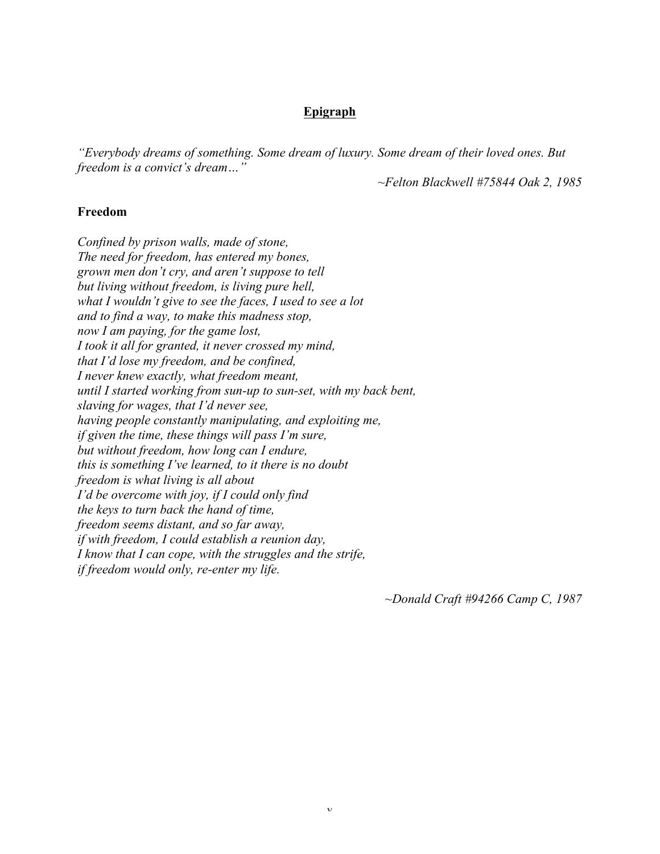# **Epigraph**

*"Everybody dreams of something. Some dream of luxury. Some dream of their loved ones. But freedom is a convict's dream…"*

*~Felton Blackwell #75844 Oak 2, 1985*

#### **Freedom**

*Confined by prison walls, made of stone, The need for freedom, has entered my bones, grown men don't cry, and aren't suppose to tell but living without freedom, is living pure hell, what I wouldn't give to see the faces, I used to see a lot and to find a way, to make this madness stop, now I am paying, for the game lost, I took it all for granted, it never crossed my mind, that I'd lose my freedom, and be confined, I never knew exactly, what freedom meant, until I started working from sun-up to sun-set, with my back bent, slaving for wages, that I'd never see, having people constantly manipulating, and exploiting me, if given the time, these things will pass I'm sure, but without freedom, how long can I endure, this is something I've learned, to it there is no doubt freedom is what living is all about I'd be overcome with joy, if I could only find the keys to turn back the hand of time, freedom seems distant, and so far away, if with freedom, I could establish a reunion day, I know that I can cope, with the struggles and the strife, if freedom would only, re-enter my life.*

*~Donald Craft #94266 Camp C, 1987*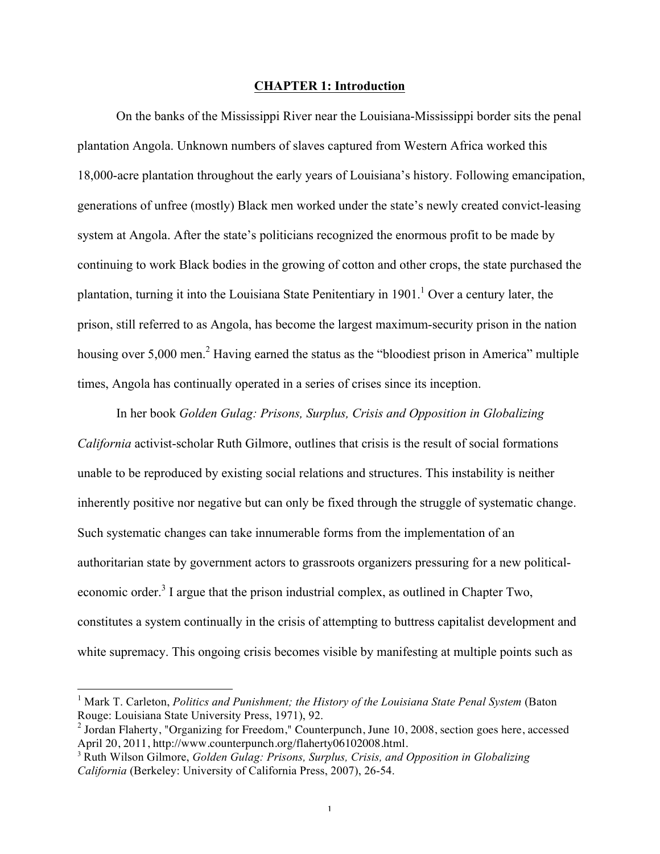## **CHAPTER 1: Introduction**

On the banks of the Mississippi River near the Louisiana-Mississippi border sits the penal plantation Angola. Unknown numbers of slaves captured from Western Africa worked this 18,000-acre plantation throughout the early years of Louisiana's history. Following emancipation, generations of unfree (mostly) Black men worked under the state's newly created convict-leasing system at Angola. After the state's politicians recognized the enormous profit to be made by continuing to work Black bodies in the growing of cotton and other crops, the state purchased the plantation, turning it into the Louisiana State Penitentiary in  $1901<sup>1</sup>$  Over a century later, the prison, still referred to as Angola, has become the largest maximum-security prison in the nation housing over 5,000 men.<sup>2</sup> Having earned the status as the "bloodiest prison in America" multiple times, Angola has continually operated in a series of crises since its inception.

In her book *Golden Gulag: Prisons, Surplus, Crisis and Opposition in Globalizing California* activist-scholar Ruth Gilmore, outlines that crisis is the result of social formations unable to be reproduced by existing social relations and structures. This instability is neither inherently positive nor negative but can only be fixed through the struggle of systematic change. Such systematic changes can take innumerable forms from the implementation of an authoritarian state by government actors to grassroots organizers pressuring for a new politicaleconomic order.<sup>3</sup> I argue that the prison industrial complex, as outlined in Chapter Two, constitutes a system continually in the crisis of attempting to buttress capitalist development and white supremacy. This ongoing crisis becomes visible by manifesting at multiple points such as

 <sup>1</sup> Mark T. Carleton, *Politics and Punishment; the History of the Louisiana State Penal System* (Baton Rouge: Louisiana State University Press, 1971), 92.

 $2$  Jordan Flaherty, "Organizing for Freedom," Counterpunch, June 10, 2008, section goes here, accessed April 20, 2011, http://www.counterpunch.org/flaherty06102008.html.

<sup>3</sup> Ruth Wilson Gilmore, *Golden Gulag: Prisons, Surplus, Crisis, and Opposition in Globalizing California* (Berkeley: University of California Press, 2007), 26-54.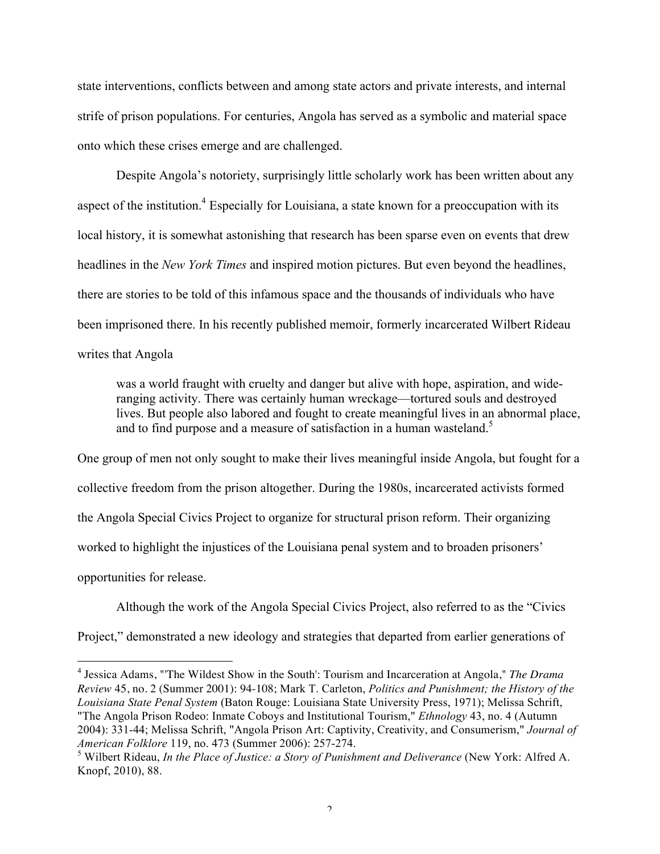state interventions, conflicts between and among state actors and private interests, and internal strife of prison populations. For centuries, Angola has served as a symbolic and material space onto which these crises emerge and are challenged.

Despite Angola's notoriety, surprisingly little scholarly work has been written about any aspect of the institution.<sup>4</sup> Especially for Louisiana, a state known for a preoccupation with its local history, it is somewhat astonishing that research has been sparse even on events that drew headlines in the *New York Times* and inspired motion pictures. But even beyond the headlines, there are stories to be told of this infamous space and the thousands of individuals who have been imprisoned there. In his recently published memoir, formerly incarcerated Wilbert Rideau writes that Angola

was a world fraught with cruelty and danger but alive with hope, aspiration, and wideranging activity. There was certainly human wreckage—tortured souls and destroyed lives. But people also labored and fought to create meaningful lives in an abnormal place, and to find purpose and a measure of satisfaction in a human wasteland.<sup>5</sup>

One group of men not only sought to make their lives meaningful inside Angola, but fought for a collective freedom from the prison altogether. During the 1980s, incarcerated activists formed the Angola Special Civics Project to organize for structural prison reform. Their organizing worked to highlight the injustices of the Louisiana penal system and to broaden prisoners' opportunities for release.

Although the work of the Angola Special Civics Project, also referred to as the "Civics Project," demonstrated a new ideology and strategies that departed from earlier generations of

 <sup>4</sup> Jessica Adams, "'The Wildest Show in the South': Tourism and Incarceration at Angola," *The Drama Review* 45, no. 2 (Summer 2001): 94-108; Mark T. Carleton, *Politics and Punishment; the History of the Louisiana State Penal System* (Baton Rouge: Louisiana State University Press, 1971); Melissa Schrift, "The Angola Prison Rodeo: Inmate Coboys and Institutional Tourism," *Ethnology* 43, no. 4 (Autumn 2004): 331-44; Melissa Schrift, "Angola Prison Art: Captivity, Creativity, and Consumerism," *Journal of American Folklore* 119, no. 473 (Summer 2006): 257-274.

<sup>5</sup> Wilbert Rideau, *In the Place of Justice: a Story of Punishment and Deliverance* (New York: Alfred A. Knopf, 2010), 88.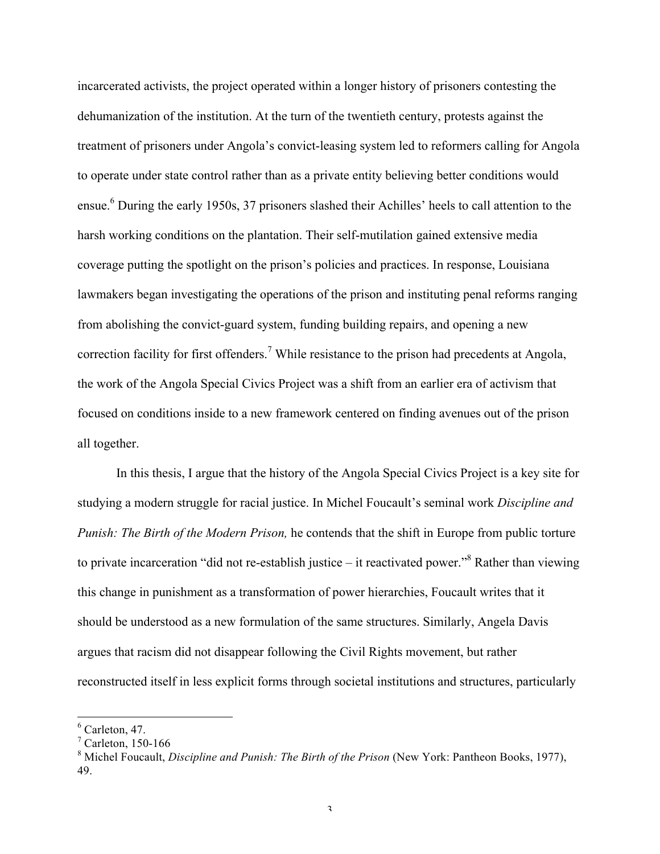incarcerated activists, the project operated within a longer history of prisoners contesting the dehumanization of the institution. At the turn of the twentieth century, protests against the treatment of prisoners under Angola's convict-leasing system led to reformers calling for Angola to operate under state control rather than as a private entity believing better conditions would ensue.<sup>6</sup> During the early 1950s, 37 prisoners slashed their Achilles' heels to call attention to the harsh working conditions on the plantation. Their self-mutilation gained extensive media coverage putting the spotlight on the prison's policies and practices. In response, Louisiana lawmakers began investigating the operations of the prison and instituting penal reforms ranging from abolishing the convict-guard system, funding building repairs, and opening a new correction facility for first offenders.<sup>7</sup> While resistance to the prison had precedents at Angola, the work of the Angola Special Civics Project was a shift from an earlier era of activism that focused on conditions inside to a new framework centered on finding avenues out of the prison all together.

In this thesis, I argue that the history of the Angola Special Civics Project is a key site for studying a modern struggle for racial justice. In Michel Foucault's seminal work *Discipline and Punish: The Birth of the Modern Prison,* he contends that the shift in Europe from public torture to private incarceration "did not re-establish justice – it reactivated power."<sup>8</sup> Rather than viewing this change in punishment as a transformation of power hierarchies, Foucault writes that it should be understood as a new formulation of the same structures. Similarly, Angela Davis argues that racism did not disappear following the Civil Rights movement, but rather reconstructed itself in less explicit forms through societal institutions and structures, particularly

 $6$  Carleton, 47.

 $7$  Carleton, 150-166

<sup>8</sup> Michel Foucault, *Discipline and Punish: The Birth of the Prison* (New York: Pantheon Books, 1977), 49.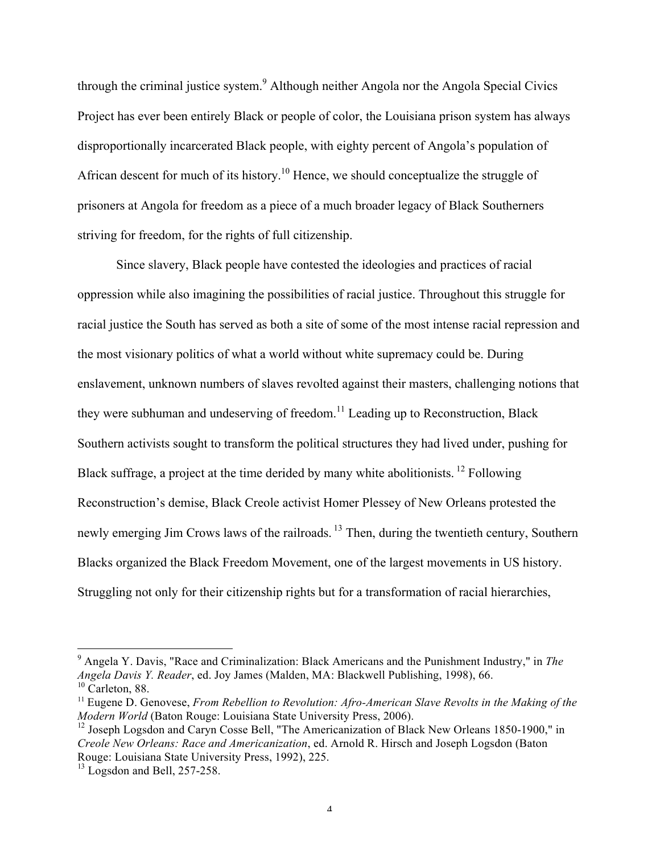through the criminal justice system.<sup>9</sup> Although neither Angola nor the Angola Special Civics Project has ever been entirely Black or people of color, the Louisiana prison system has always disproportionally incarcerated Black people, with eighty percent of Angola's population of African descent for much of its history.<sup>10</sup> Hence, we should conceptualize the struggle of prisoners at Angola for freedom as a piece of a much broader legacy of Black Southerners striving for freedom, for the rights of full citizenship.

Since slavery, Black people have contested the ideologies and practices of racial oppression while also imagining the possibilities of racial justice. Throughout this struggle for racial justice the South has served as both a site of some of the most intense racial repression and the most visionary politics of what a world without white supremacy could be. During enslavement, unknown numbers of slaves revolted against their masters, challenging notions that they were subhuman and undeserving of freedom.<sup>11</sup> Leading up to Reconstruction, Black Southern activists sought to transform the political structures they had lived under, pushing for Black suffrage, a project at the time derided by many white abolitionists.<sup>12</sup> Following Reconstruction's demise, Black Creole activist Homer Plessey of New Orleans protested the newly emerging Jim Crows laws of the railroads.<sup>13</sup> Then, during the twentieth century, Southern Blacks organized the Black Freedom Movement, one of the largest movements in US history. Struggling not only for their citizenship rights but for a transformation of racial hierarchies,

 <sup>9</sup> Angela Y. Davis, "Race and Criminalization: Black Americans and the Punishment Industry," in *The Angela Davis Y. Reader*, ed. Joy James (Malden, MA: Blackwell Publishing, 1998), 66.  $10$  Carleton, 88.

<sup>&</sup>lt;sup>11</sup> Eugene D. Genovese, *From Rebellion to Revolution: Afro-American Slave Revolts in the Making of the Modern World* (Baton Rouge: Louisiana State University Press, 2006).

<sup>&</sup>lt;sup>12</sup> Joseph Logsdon and Caryn Cosse Bell, "The Americanization of Black New Orleans 1850-1900," in *Creole New Orleans: Race and Americanization*, ed. Arnold R. Hirsch and Joseph Logsdon (Baton Rouge: Louisiana State University Press, 1992), 225.

 $13$  Logsdon and Bell, 257-258.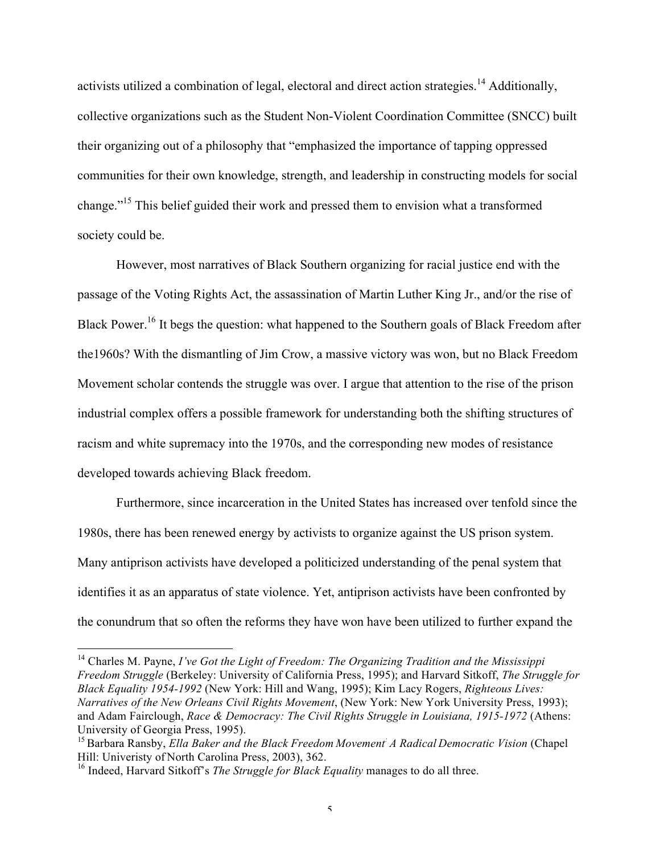activists utilized a combination of legal, electoral and direct action strategies.<sup>14</sup> Additionally, collective organizations such as the Student Non-Violent Coordination Committee (SNCC) built their organizing out of a philosophy that "emphasized the importance of tapping oppressed communities for their own knowledge, strength, and leadership in constructing models for social change."15 This belief guided their work and pressed them to envision what a transformed society could be.

However, most narratives of Black Southern organizing for racial justice end with the passage of the Voting Rights Act, the assassination of Martin Luther King Jr., and/or the rise of Black Power.<sup>16</sup> It begs the question: what happened to the Southern goals of Black Freedom after the1960s? With the dismantling of Jim Crow, a massive victory was won, but no Black Freedom Movement scholar contends the struggle was over. I argue that attention to the rise of the prison industrial complex offers a possible framework for understanding both the shifting structures of racism and white supremacy into the 1970s, and the corresponding new modes of resistance developed towards achieving Black freedom.

Furthermore, since incarceration in the United States has increased over tenfold since the 1980s, there has been renewed energy by activists to organize against the US prison system. Many antiprison activists have developed a politicized understanding of the penal system that identifies it as an apparatus of state violence. Yet, antiprison activists have been confronted by the conundrum that so often the reforms they have won have been utilized to further expand the

 <sup>14</sup> Charles M. Payne, *I've Got the Light of Freedom: The Organizing Tradition and the Mississippi Freedom Struggle* (Berkeley: University of California Press, 1995); and Harvard Sitkoff, *The Struggle for Black Equality 1954-1992* (New York: Hill and Wang, 1995); Kim Lacy Rogers, *Righteous Lives: Narratives of the New Orleans Civil Rights Movement*, (New York: New York University Press, 1993); and Adam Fairclough, *Race & Democracy: The Civil Rights Struggle in Louisiana, 1915-1972* (Athens: University of Georgia Press, 1995).

<sup>15</sup> Barbara Ransby, *Ella Baker and the Black Freedom Movement: A Radical Democratic Vision* (Chapel Hill: Univeristy of North Carolina Press, 2003), 362.

<sup>&</sup>lt;sup>16</sup> Indeed, Harvard Sitkoff's *The Struggle for Black Equality* manages to do all three.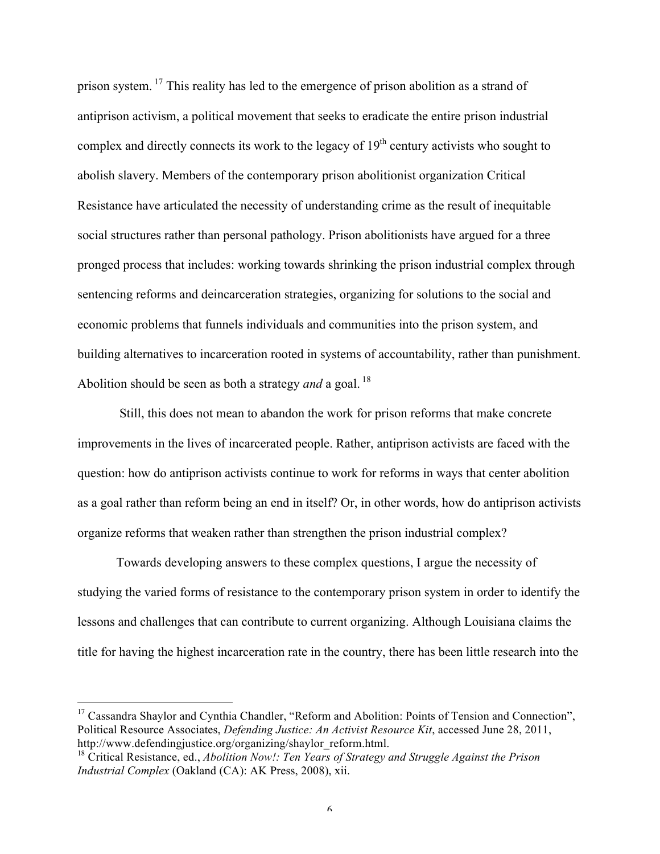prison system.<sup>17</sup> This reality has led to the emergence of prison abolition as a strand of antiprison activism, a political movement that seeks to eradicate the entire prison industrial complex and directly connects its work to the legacy of  $19<sup>th</sup>$  century activists who sought to abolish slavery. Members of the contemporary prison abolitionist organization Critical Resistance have articulated the necessity of understanding crime as the result of inequitable social structures rather than personal pathology. Prison abolitionists have argued for a three pronged process that includes: working towards shrinking the prison industrial complex through sentencing reforms and deincarceration strategies, organizing for solutions to the social and economic problems that funnels individuals and communities into the prison system, and building alternatives to incarceration rooted in systems of accountability, rather than punishment. Abolition should be seen as both a strategy *and* a goal.<sup>18</sup>

Still, this does not mean to abandon the work for prison reforms that make concrete improvements in the lives of incarcerated people. Rather, antiprison activists are faced with the question: how do antiprison activists continue to work for reforms in ways that center abolition as a goal rather than reform being an end in itself? Or, in other words, how do antiprison activists organize reforms that weaken rather than strengthen the prison industrial complex?

Towards developing answers to these complex questions, I argue the necessity of studying the varied forms of resistance to the contemporary prison system in order to identify the lessons and challenges that can contribute to current organizing. Although Louisiana claims the title for having the highest incarceration rate in the country, there has been little research into the

<sup>&</sup>lt;sup>17</sup> Cassandra Shaylor and Cynthia Chandler, "Reform and Abolition: Points of Tension and Connection", Political Resource Associates, *Defending Justice: An Activist Resource Kit*, accessed June 28, 2011, http://www.defendingiustice.org/organizing/shaylor\_reform.html.

<sup>18</sup> Critical Resistance, ed., *Abolition Now!: Ten Years of Strategy and Struggle Against the Prison Industrial Complex* (Oakland (CA): AK Press, 2008), xii.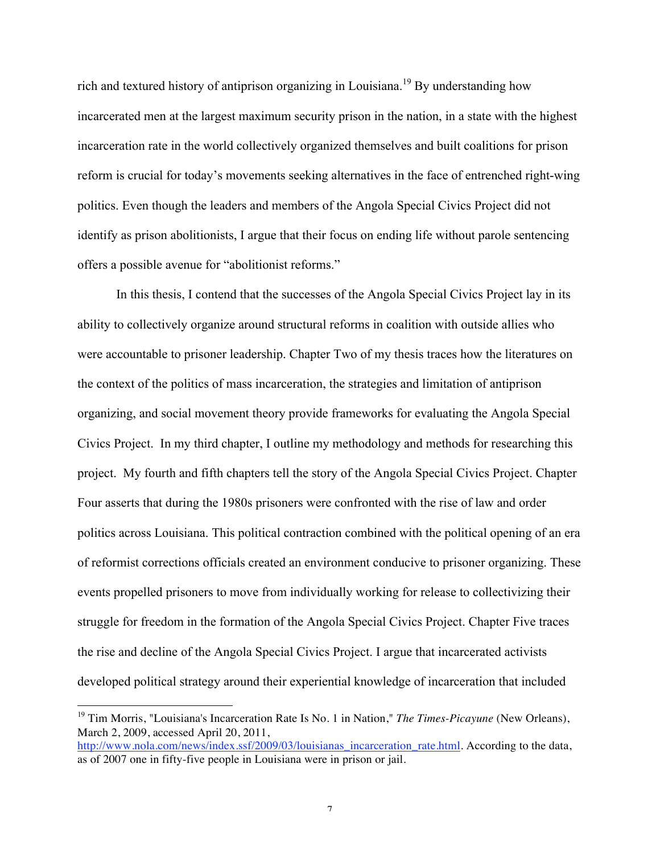rich and textured history of antiprison organizing in Louisiana.<sup>19</sup> By understanding how incarcerated men at the largest maximum security prison in the nation, in a state with the highest incarceration rate in the world collectively organized themselves and built coalitions for prison reform is crucial for today's movements seeking alternatives in the face of entrenched right-wing politics. Even though the leaders and members of the Angola Special Civics Project did not identify as prison abolitionists, I argue that their focus on ending life without parole sentencing offers a possible avenue for "abolitionist reforms."

In this thesis, I contend that the successes of the Angola Special Civics Project lay in its ability to collectively organize around structural reforms in coalition with outside allies who were accountable to prisoner leadership. Chapter Two of my thesis traces how the literatures on the context of the politics of mass incarceration, the strategies and limitation of antiprison organizing, and social movement theory provide frameworks for evaluating the Angola Special Civics Project. In my third chapter, I outline my methodology and methods for researching this project. My fourth and fifth chapters tell the story of the Angola Special Civics Project. Chapter Four asserts that during the 1980s prisoners were confronted with the rise of law and order politics across Louisiana. This political contraction combined with the political opening of an era of reformist corrections officials created an environment conducive to prisoner organizing. These events propelled prisoners to move from individually working for release to collectivizing their struggle for freedom in the formation of the Angola Special Civics Project. Chapter Five traces the rise and decline of the Angola Special Civics Project. I argue that incarcerated activists developed political strategy around their experiential knowledge of incarceration that included

 <sup>19</sup> Tim Morris, "Louisiana's Incarceration Rate Is No. 1 in Nation," *The Times-Picayune* (New Orleans), March 2, 2009, accessed April 20, 2011,

http://www.nola.com/news/index.ssf/2009/03/louisianas\_incarceration\_rate.html. According to the data, as of 2007 one in fifty-five people in Louisiana were in prison or jail.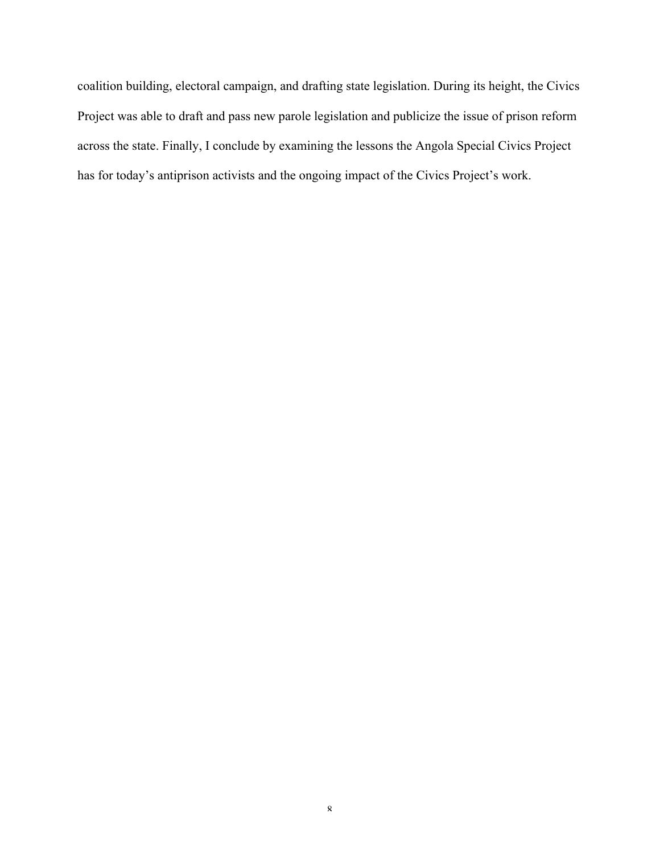coalition building, electoral campaign, and drafting state legislation. During its height, the Civics Project was able to draft and pass new parole legislation and publicize the issue of prison reform across the state. Finally, I conclude by examining the lessons the Angola Special Civics Project has for today's antiprison activists and the ongoing impact of the Civics Project's work.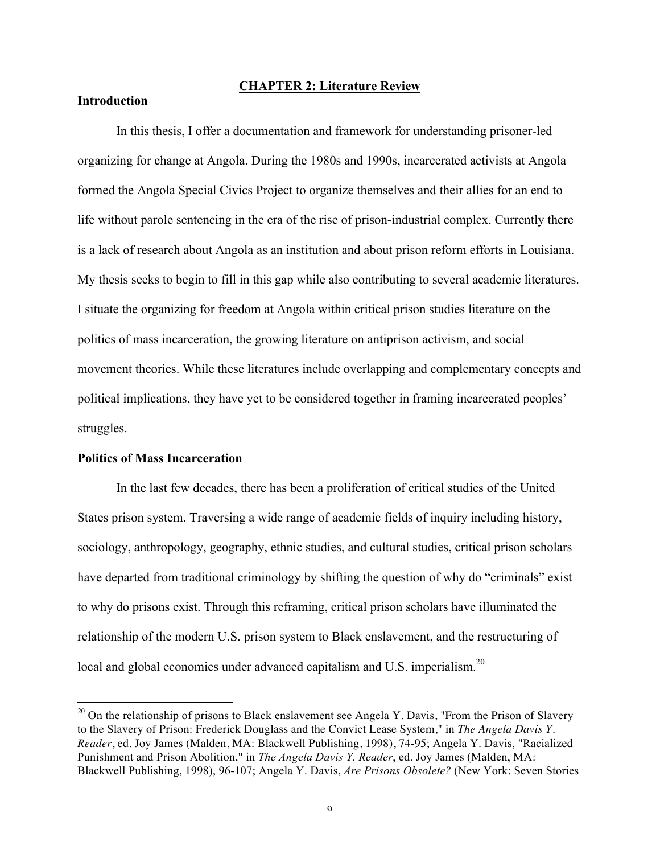## **CHAPTER 2: Literature Review**

# **Introduction**

In this thesis, I offer a documentation and framework for understanding prisoner-led organizing for change at Angola. During the 1980s and 1990s, incarcerated activists at Angola formed the Angola Special Civics Project to organize themselves and their allies for an end to life without parole sentencing in the era of the rise of prison-industrial complex. Currently there is a lack of research about Angola as an institution and about prison reform efforts in Louisiana. My thesis seeks to begin to fill in this gap while also contributing to several academic literatures. I situate the organizing for freedom at Angola within critical prison studies literature on the politics of mass incarceration, the growing literature on antiprison activism, and social movement theories. While these literatures include overlapping and complementary concepts and political implications, they have yet to be considered together in framing incarcerated peoples' struggles.

# **Politics of Mass Incarceration**

In the last few decades, there has been a proliferation of critical studies of the United States prison system. Traversing a wide range of academic fields of inquiry including history, sociology, anthropology, geography, ethnic studies, and cultural studies, critical prison scholars have departed from traditional criminology by shifting the question of why do "criminals" exist to why do prisons exist. Through this reframing, critical prison scholars have illuminated the relationship of the modern U.S. prison system to Black enslavement, and the restructuring of local and global economies under advanced capitalism and U.S. imperialism.<sup>20</sup>

<sup>&</sup>lt;sup>20</sup> On the relationship of prisons to Black enslavement see Angela Y. Davis, "From the Prison of Slavery to the Slavery of Prison: Frederick Douglass and the Convict Lease System," in *The Angela Davis Y. Reader*, ed. Joy James (Malden, MA: Blackwell Publishing, 1998), 74-95; Angela Y. Davis, "Racialized Punishment and Prison Abolition," in *The Angela Davis Y. Reader*, ed. Joy James (Malden, MA: Blackwell Publishing, 1998), 96-107; Angela Y. Davis, *Are Prisons Obsolete?* (New York: Seven Stories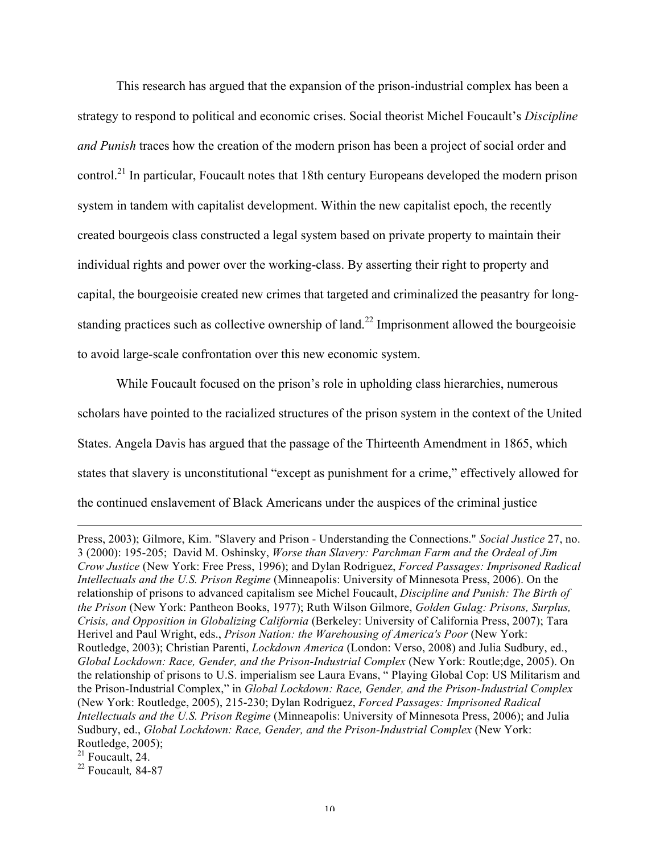This research has argued that the expansion of the prison-industrial complex has been a strategy to respond to political and economic crises. Social theorist Michel Foucault's *Discipline and Punish* traces how the creation of the modern prison has been a project of social order and control.<sup>21</sup> In particular, Foucault notes that 18th century Europeans developed the modern prison system in tandem with capitalist development. Within the new capitalist epoch, the recently created bourgeois class constructed a legal system based on private property to maintain their individual rights and power over the working-class. By asserting their right to property and capital, the bourgeoisie created new crimes that targeted and criminalized the peasantry for longstanding practices such as collective ownership of land.<sup>22</sup> Imprisonment allowed the bourgeoisie to avoid large-scale confrontation over this new economic system.

While Foucault focused on the prison's role in upholding class hierarchies, numerous scholars have pointed to the racialized structures of the prison system in the context of the United States. Angela Davis has argued that the passage of the Thirteenth Amendment in 1865, which states that slavery is unconstitutional "except as punishment for a crime," effectively allowed for the continued enslavement of Black Americans under the auspices of the criminal justice

Press, 2003); Gilmore, Kim. "Slavery and Prison - Understanding the Connections." *Social Justice* 27, no. 3 (2000): 195-205; David M. Oshinsky, *Worse than Slavery: Parchman Farm and the Ordeal of Jim Crow Justice* (New York: Free Press, 1996); and Dylan Rodriguez, *Forced Passages: Imprisoned Radical Intellectuals and the U.S. Prison Regime* (Minneapolis: University of Minnesota Press, 2006). On the relationship of prisons to advanced capitalism see Michel Foucault, *Discipline and Punish: The Birth of the Prison* (New York: Pantheon Books, 1977); Ruth Wilson Gilmore, *Golden Gulag: Prisons, Surplus, Crisis, and Opposition in Globalizing California* (Berkeley: University of California Press, 2007); Tara Herivel and Paul Wright, eds., *Prison Nation: the Warehousing of America's Poor* (New York: Routledge, 2003); Christian Parenti, *Lockdown America* (London: Verso, 2008) and Julia Sudbury, ed., *Global Lockdown: Race, Gender, and the Prison-Industrial Complex* (New York: Routle;dge, 2005). On the relationship of prisons to U.S. imperialism see Laura Evans, " Playing Global Cop: US Militarism and the Prison-Industrial Complex," in *Global Lockdown: Race, Gender, and the Prison-Industrial Complex* (New York: Routledge, 2005), 215-230; Dylan Rodriguez, *Forced Passages: Imprisoned Radical Intellectuals and the U.S. Prison Regime* (Minneapolis: University of Minnesota Press, 2006); and Julia Sudbury, ed., *Global Lockdown: Race, Gender, and the Prison-Industrial Complex* (New York: Routledge, 2005);

 $\overline{a}$ 

<sup>22</sup> Foucault*,* 84-87

 $21$  Foucault, 24.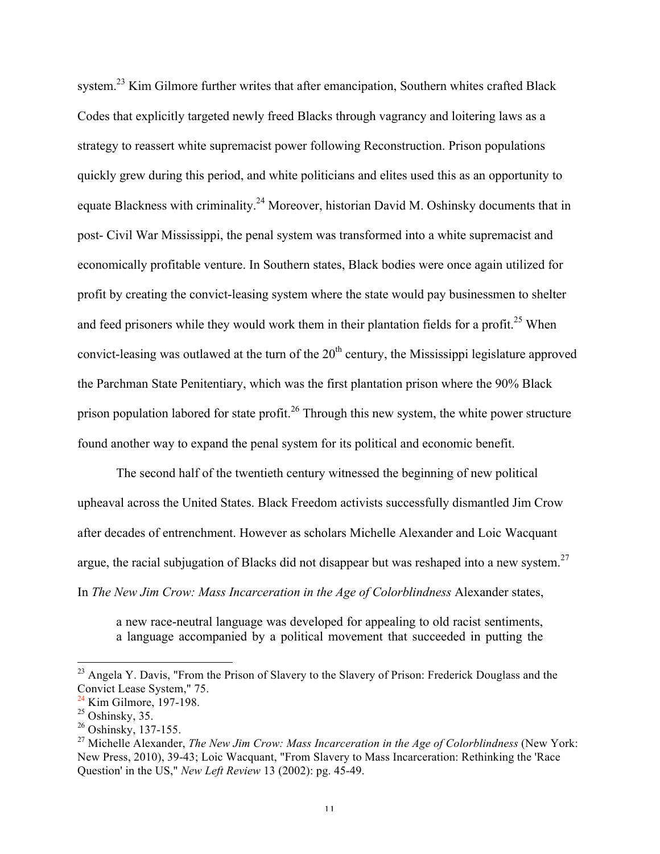system.<sup>23</sup> Kim Gilmore further writes that after emancipation, Southern whites crafted Black Codes that explicitly targeted newly freed Blacks through vagrancy and loitering laws as a strategy to reassert white supremacist power following Reconstruction. Prison populations quickly grew during this period, and white politicians and elites used this as an opportunity to equate Blackness with criminality.<sup>24</sup> Moreover, historian David M. Oshinsky documents that in post- Civil War Mississippi, the penal system was transformed into a white supremacist and economically profitable venture. In Southern states, Black bodies were once again utilized for profit by creating the convict-leasing system where the state would pay businessmen to shelter and feed prisoners while they would work them in their plantation fields for a profit.<sup>25</sup> When convict-leasing was outlawed at the turn of the  $20<sup>th</sup>$  century, the Mississippi legislature approved the Parchman State Penitentiary, which was the first plantation prison where the 90% Black prison population labored for state profit.<sup>26</sup> Through this new system, the white power structure found another way to expand the penal system for its political and economic benefit.

The second half of the twentieth century witnessed the beginning of new political upheaval across the United States. Black Freedom activists successfully dismantled Jim Crow after decades of entrenchment. However as scholars Michelle Alexander and Loic Wacquant argue, the racial subjugation of Blacks did not disappear but was reshaped into a new system.<sup>27</sup> In *The New Jim Crow: Mass Incarceration in the Age of Colorblindness* Alexander states,

a new race-neutral language was developed for appealing to old racist sentiments, a language accompanied by a political movement that succeeded in putting the

<sup>&</sup>lt;sup>23</sup> Angela Y. Davis, "From the Prison of Slavery to the Slavery of Prison: Frederick Douglass and the Convict Lease System," 75.

 $24$  Kim Gilmore, 197-198.

 $25$  Oshinsky, 35.

<sup>&</sup>lt;sup>26</sup> Oshinsky, 137-155.

<sup>27</sup> Michelle Alexander, *The New Jim Crow: Mass Incarceration in the Age of Colorblindness* (New York: New Press, 2010), 39-43; Loic Wacquant, "From Slavery to Mass Incarceration: Rethinking the 'Race Question' in the US," *New Left Review* 13 (2002): pg. 45-49.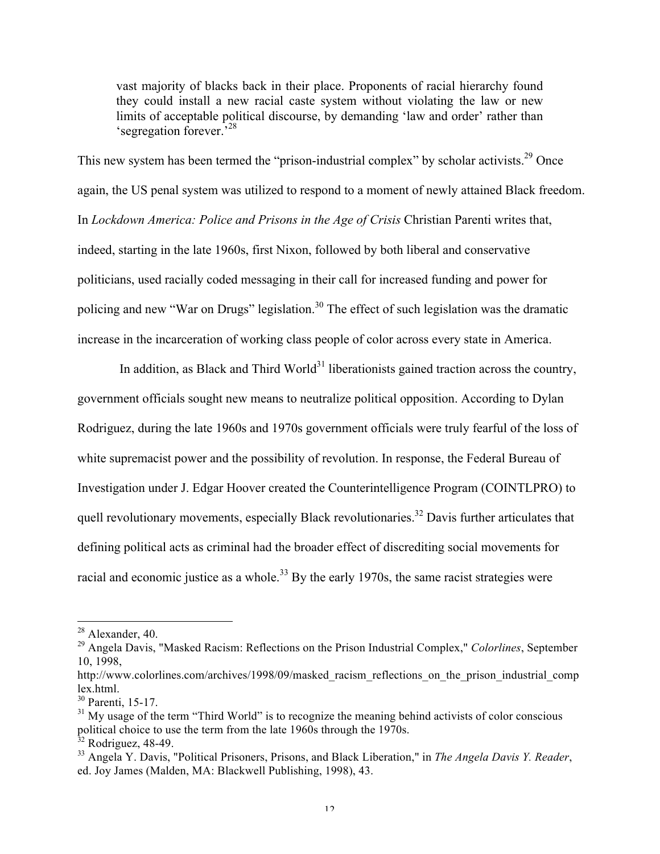vast majority of blacks back in their place. Proponents of racial hierarchy found they could install a new racial caste system without violating the law or new limits of acceptable political discourse, by demanding 'law and order' rather than 'segregation forever.<sup>528</sup>

This new system has been termed the "prison-industrial complex" by scholar activists.<sup>29</sup> Once again, the US penal system was utilized to respond to a moment of newly attained Black freedom. In *Lockdown America: Police and Prisons in the Age of Crisis Christian Parenti writes that,* indeed, starting in the late 1960s, first Nixon, followed by both liberal and conservative politicians, used racially coded messaging in their call for increased funding and power for policing and new "War on Drugs" legislation.<sup>30</sup> The effect of such legislation was the dramatic increase in the incarceration of working class people of color across every state in America.

In addition, as Black and Third World<sup>31</sup> liberationists gained traction across the country, government officials sought new means to neutralize political opposition. According to Dylan Rodriguez, during the late 1960s and 1970s government officials were truly fearful of the loss of white supremacist power and the possibility of revolution. In response, the Federal Bureau of Investigation under J. Edgar Hoover created the Counterintelligence Program (COINTLPRO) to quell revolutionary movements, especially Black revolutionaries.<sup>32</sup> Davis further articulates that defining political acts as criminal had the broader effect of discrediting social movements for racial and economic justice as a whole.<sup>33</sup> By the early 1970s, the same racist strategies were

<sup>&</sup>lt;sup>28</sup> Alexander, 40.

<sup>29</sup> Angela Davis, "Masked Racism: Reflections on the Prison Industrial Complex," *Colorlines*, September 10, 1998,

http://www.colorlines.com/archives/1998/09/masked\_racism\_reflections\_on\_the\_prison\_industrial\_comp lex.html.

<sup>&</sup>lt;sup>30</sup> Parenti, 15-17.

 $31$  My usage of the term "Third World" is to recognize the meaning behind activists of color conscious political choice to use the term from the late 1960s through the 1970s.

 $32$  Rodriguez, 48-49.

<sup>33</sup> Angela Y. Davis, "Political Prisoners, Prisons, and Black Liberation," in *The Angela Davis Y. Reader*, ed. Joy James (Malden, MA: Blackwell Publishing, 1998), 43.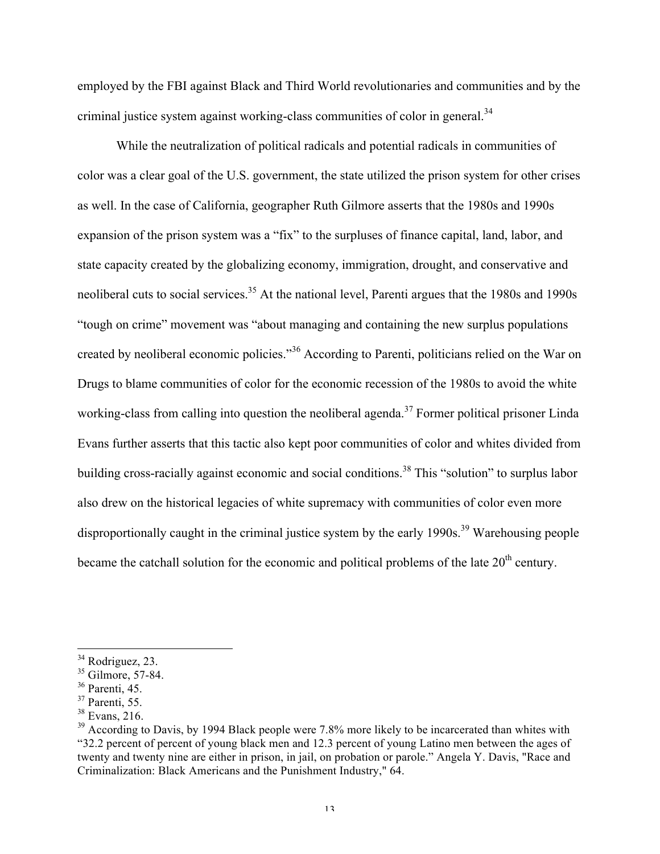employed by the FBI against Black and Third World revolutionaries and communities and by the criminal justice system against working-class communities of color in general.<sup>34</sup>

While the neutralization of political radicals and potential radicals in communities of color was a clear goal of the U.S. government, the state utilized the prison system for other crises as well. In the case of California, geographer Ruth Gilmore asserts that the 1980s and 1990s expansion of the prison system was a "fix" to the surpluses of finance capital, land, labor, and state capacity created by the globalizing economy, immigration, drought, and conservative and neoliberal cuts to social services.<sup>35</sup> At the national level, Parenti argues that the 1980s and 1990s "tough on crime" movement was "about managing and containing the new surplus populations created by neoliberal economic policies."<sup>36</sup> According to Parenti, politicians relied on the War on Drugs to blame communities of color for the economic recession of the 1980s to avoid the white working-class from calling into question the neoliberal agenda.<sup>37</sup> Former political prisoner Linda Evans further asserts that this tactic also kept poor communities of color and whites divided from building cross-racially against economic and social conditions.<sup>38</sup> This "solution" to surplus labor also drew on the historical legacies of white supremacy with communities of color even more disproportionally caught in the criminal justice system by the early 1990s.<sup>39</sup> Warehousing people became the catchall solution for the economic and political problems of the late  $20<sup>th</sup>$  century.

<sup>&</sup>lt;sup>34</sup> Rodriguez, 23.

 $35$  Gilmore,  $57-84$ .

 $36$  Parenti, 45.

 $37$  Parenti, 55.

<sup>38</sup> Evans, 216.

<sup>&</sup>lt;sup>39</sup> According to Davis, by 1994 Black people were 7.8% more likely to be incarcerated than whites with "32.2 percent of percent of young black men and 12.3 percent of young Latino men between the ages of twenty and twenty nine are either in prison, in jail, on probation or parole." Angela Y. Davis, "Race and Criminalization: Black Americans and the Punishment Industry," 64.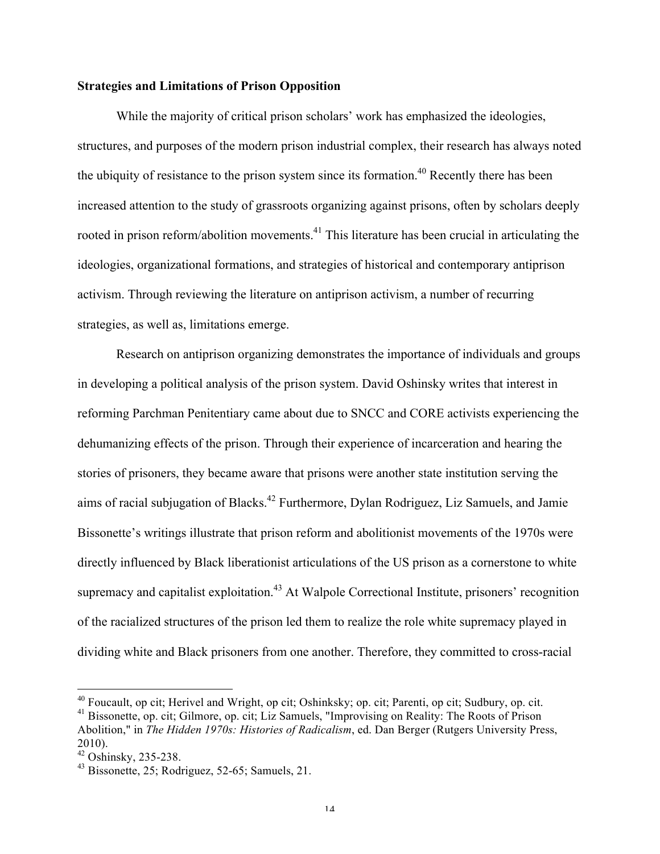## **Strategies and Limitations of Prison Opposition**

While the majority of critical prison scholars' work has emphasized the ideologies, structures, and purposes of the modern prison industrial complex, their research has always noted the ubiquity of resistance to the prison system since its formation.<sup>40</sup> Recently there has been increased attention to the study of grassroots organizing against prisons, often by scholars deeply rooted in prison reform/abolition movements.<sup>41</sup> This literature has been crucial in articulating the ideologies, organizational formations, and strategies of historical and contemporary antiprison activism. Through reviewing the literature on antiprison activism, a number of recurring strategies, as well as, limitations emerge.

Research on antiprison organizing demonstrates the importance of individuals and groups in developing a political analysis of the prison system. David Oshinsky writes that interest in reforming Parchman Penitentiary came about due to SNCC and CORE activists experiencing the dehumanizing effects of the prison. Through their experience of incarceration and hearing the stories of prisoners, they became aware that prisons were another state institution serving the aims of racial subjugation of Blacks.42 Furthermore, Dylan Rodriguez, Liz Samuels, and Jamie Bissonette's writings illustrate that prison reform and abolitionist movements of the 1970s were directly influenced by Black liberationist articulations of the US prison as a cornerstone to white supremacy and capitalist exploitation.<sup>43</sup> At Walpole Correctional Institute, prisoners' recognition of the racialized structures of the prison led them to realize the role white supremacy played in dividing white and Black prisoners from one another. Therefore, they committed to cross-racial

 <sup>40</sup> Foucault, op cit; Herivel and Wright, op cit; Oshinksky; op. cit; Parenti, op cit; Sudbury, op. cit.

<sup>41</sup> Bissonette, op. cit; Gilmore, op. cit; Liz Samuels, "Improvising on Reality: The Roots of Prison Abolition," in *The Hidden 1970s: Histories of Radicalism*, ed. Dan Berger (Rutgers University Press, 2010).<br><sup>42</sup> Oshinsky, 235-238.

 $43$  Bissonette, 25; Rodriguez, 52-65; Samuels, 21.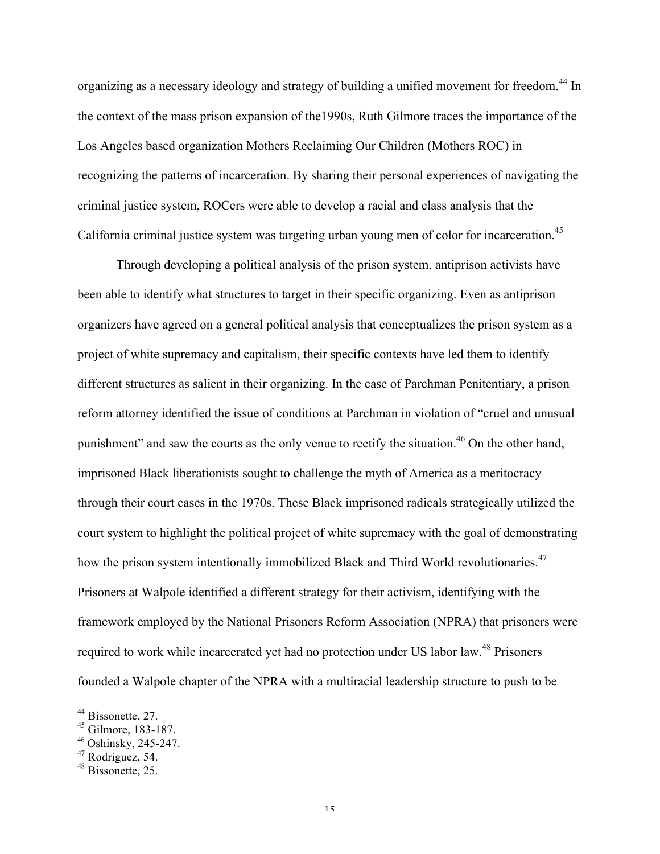organizing as a necessary ideology and strategy of building a unified movement for freedom.<sup>44</sup> In the context of the mass prison expansion of the1990s, Ruth Gilmore traces the importance of the Los Angeles based organization Mothers Reclaiming Our Children (Mothers ROC) in recognizing the patterns of incarceration. By sharing their personal experiences of navigating the criminal justice system, ROCers were able to develop a racial and class analysis that the California criminal justice system was targeting urban young men of color for incarceration.<sup>45</sup>

Through developing a political analysis of the prison system, antiprison activists have been able to identify what structures to target in their specific organizing. Even as antiprison organizers have agreed on a general political analysis that conceptualizes the prison system as a project of white supremacy and capitalism, their specific contexts have led them to identify different structures as salient in their organizing. In the case of Parchman Penitentiary, a prison reform attorney identified the issue of conditions at Parchman in violation of "cruel and unusual punishment" and saw the courts as the only venue to rectify the situation.<sup>46</sup> On the other hand, imprisoned Black liberationists sought to challenge the myth of America as a meritocracy through their court cases in the 1970s. These Black imprisoned radicals strategically utilized the court system to highlight the political project of white supremacy with the goal of demonstrating how the prison system intentionally immobilized Black and Third World revolutionaries.<sup>47</sup> Prisoners at Walpole identified a different strategy for their activism, identifying with the framework employed by the National Prisoners Reform Association (NPRA) that prisoners were required to work while incarcerated yet had no protection under US labor law.<sup>48</sup> Prisoners founded a Walpole chapter of the NPRA with a multiracial leadership structure to push to be

 $^{44}$  Bissonette, 27.<br> $^{45}$  Gilmore, 183-187.

<sup>&</sup>lt;sup>46</sup> Oshinsky, 245-247.

<sup>47</sup> Rodriguez, 54.

<sup>&</sup>lt;sup>48</sup> Bissonette, 25.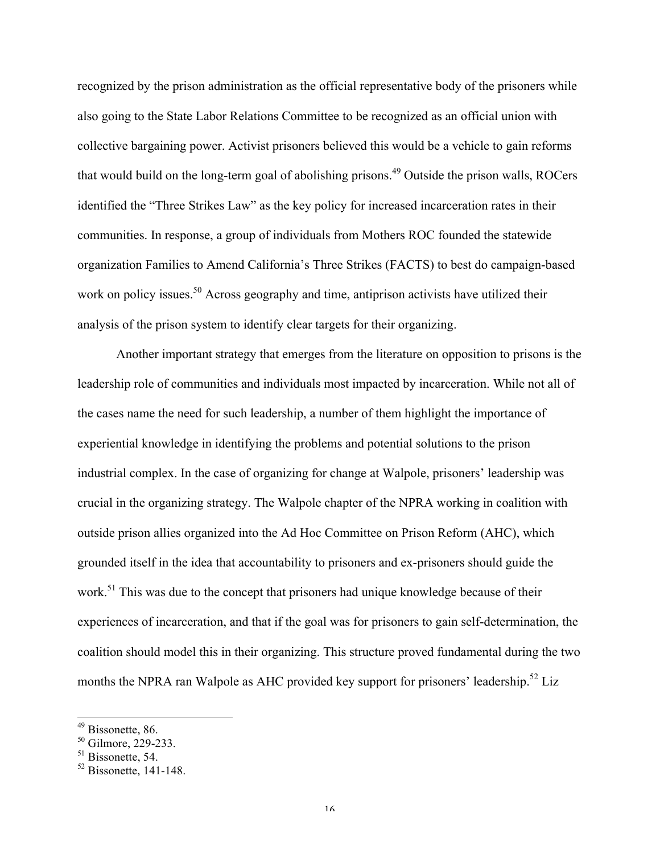recognized by the prison administration as the official representative body of the prisoners while also going to the State Labor Relations Committee to be recognized as an official union with collective bargaining power. Activist prisoners believed this would be a vehicle to gain reforms that would build on the long-term goal of abolishing prisons.<sup>49</sup> Outside the prison walls, ROCers identified the "Three Strikes Law" as the key policy for increased incarceration rates in their communities. In response, a group of individuals from Mothers ROC founded the statewide organization Families to Amend California's Three Strikes (FACTS) to best do campaign-based work on policy issues.<sup>50</sup> Across geography and time, antiprison activists have utilized their analysis of the prison system to identify clear targets for their organizing.

Another important strategy that emerges from the literature on opposition to prisons is the leadership role of communities and individuals most impacted by incarceration. While not all of the cases name the need for such leadership, a number of them highlight the importance of experiential knowledge in identifying the problems and potential solutions to the prison industrial complex. In the case of organizing for change at Walpole, prisoners' leadership was crucial in the organizing strategy. The Walpole chapter of the NPRA working in coalition with outside prison allies organized into the Ad Hoc Committee on Prison Reform (AHC), which grounded itself in the idea that accountability to prisoners and ex-prisoners should guide the work.<sup>51</sup> This was due to the concept that prisoners had unique knowledge because of their experiences of incarceration, and that if the goal was for prisoners to gain self-determination, the coalition should model this in their organizing. This structure proved fundamental during the two months the NPRA ran Walpole as AHC provided key support for prisoners' leadership.<sup>52</sup> Liz

<sup>&</sup>lt;sup>49</sup> Bissonette, 86.

 $50$  Gilmore, 229-233.

<sup>&</sup>lt;sup>51</sup> Bissonette, 54.

 $52$  Bissonette, 141-148.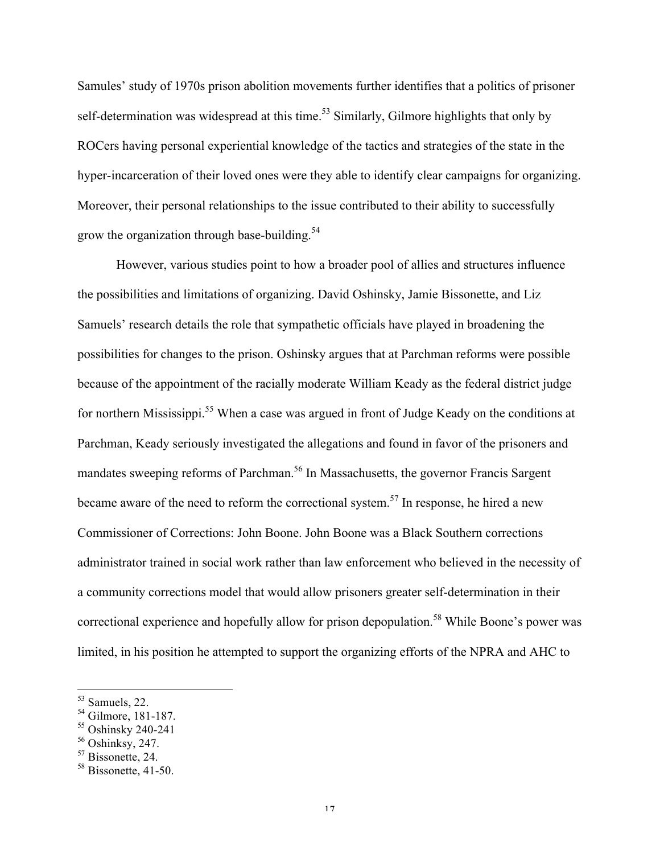Samules' study of 1970s prison abolition movements further identifies that a politics of prisoner self-determination was widespread at this time.<sup>53</sup> Similarly, Gilmore highlights that only by ROCers having personal experiential knowledge of the tactics and strategies of the state in the hyper-incarceration of their loved ones were they able to identify clear campaigns for organizing. Moreover, their personal relationships to the issue contributed to their ability to successfully grow the organization through base-building.<sup>54</sup>

However, various studies point to how a broader pool of allies and structures influence the possibilities and limitations of organizing. David Oshinsky, Jamie Bissonette, and Liz Samuels' research details the role that sympathetic officials have played in broadening the possibilities for changes to the prison. Oshinsky argues that at Parchman reforms were possible because of the appointment of the racially moderate William Keady as the federal district judge for northern Mississippi.<sup>55</sup> When a case was argued in front of Judge Keady on the conditions at Parchman, Keady seriously investigated the allegations and found in favor of the prisoners and mandates sweeping reforms of Parchman.<sup>56</sup> In Massachusetts, the governor Francis Sargent became aware of the need to reform the correctional system.<sup>57</sup> In response, he hired a new Commissioner of Corrections: John Boone. John Boone was a Black Southern corrections administrator trained in social work rather than law enforcement who believed in the necessity of a community corrections model that would allow prisoners greater self-determination in their correctional experience and hopefully allow for prison depopulation.<sup>58</sup> While Boone's power was limited, in his position he attempted to support the organizing efforts of the NPRA and AHC to

 <sup>53</sup> Samuels, 22.

<sup>54</sup> Gilmore, 181-187.

<sup>55</sup> Oshinsky 240-241

 $56$  Oshinksy, 247.

<sup>&</sup>lt;sup>57</sup> Bissonette, 24.

<sup>&</sup>lt;sup>58</sup> Bissonette, 41-50.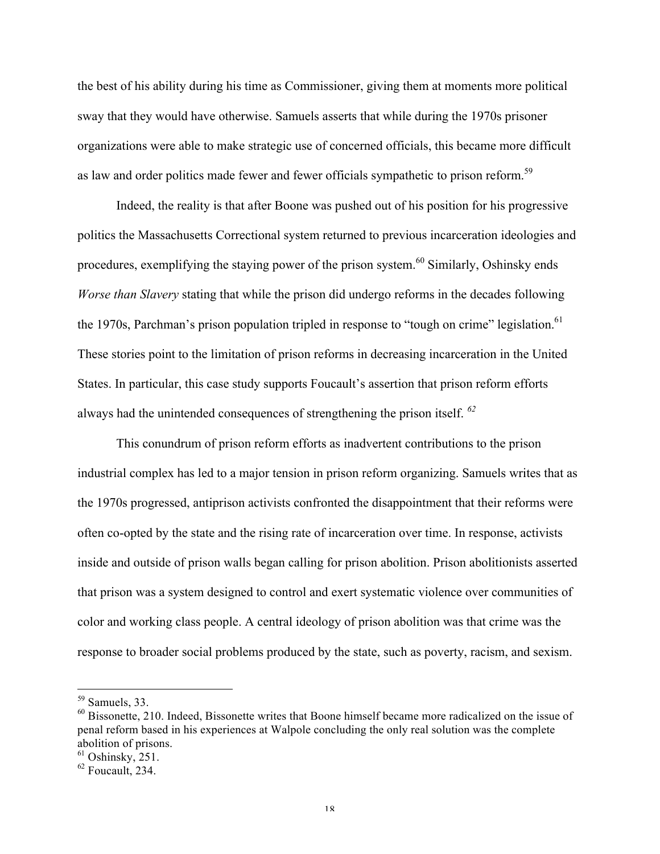the best of his ability during his time as Commissioner, giving them at moments more political sway that they would have otherwise. Samuels asserts that while during the 1970s prisoner organizations were able to make strategic use of concerned officials, this became more difficult as law and order politics made fewer and fewer officials sympathetic to prison reform.<sup>59</sup>

Indeed, the reality is that after Boone was pushed out of his position for his progressive politics the Massachusetts Correctional system returned to previous incarceration ideologies and procedures, exemplifying the staying power of the prison system.<sup>60</sup> Similarly, Oshinsky ends *Worse than Slavery* stating that while the prison did undergo reforms in the decades following the 1970s, Parchman's prison population tripled in response to "tough on crime" legislation.<sup>61</sup> These stories point to the limitation of prison reforms in decreasing incarceration in the United States. In particular, this case study supports Foucault's assertion that prison reform efforts always had the unintended consequences of strengthening the prison itself. *<sup>62</sup>*

This conundrum of prison reform efforts as inadvertent contributions to the prison industrial complex has led to a major tension in prison reform organizing. Samuels writes that as the 1970s progressed, antiprison activists confronted the disappointment that their reforms were often co-opted by the state and the rising rate of incarceration over time. In response, activists inside and outside of prison walls began calling for prison abolition. Prison abolitionists asserted that prison was a system designed to control and exert systematic violence over communities of color and working class people. A central ideology of prison abolition was that crime was the response to broader social problems produced by the state, such as poverty, racism, and sexism.

 <sup>59</sup> Samuels, 33.

<sup>60</sup> Bissonette, 210. Indeed, Bissonette writes that Boone himself became more radicalized on the issue of penal reform based in his experiences at Walpole concluding the only real solution was the complete abolition of prisons.

 $61$  Oshinsky, 251.

<sup>62</sup> Foucault, 234.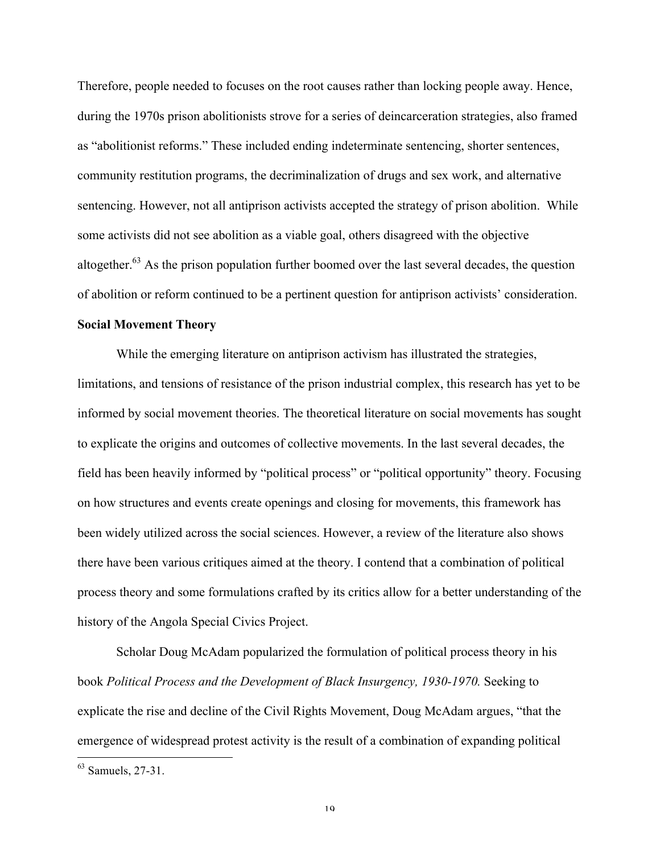Therefore, people needed to focuses on the root causes rather than locking people away. Hence, during the 1970s prison abolitionists strove for a series of deincarceration strategies, also framed as "abolitionist reforms." These included ending indeterminate sentencing, shorter sentences, community restitution programs, the decriminalization of drugs and sex work, and alternative sentencing. However, not all antiprison activists accepted the strategy of prison abolition. While some activists did not see abolition as a viable goal, others disagreed with the objective altogether. $63$  As the prison population further boomed over the last several decades, the question of abolition or reform continued to be a pertinent question for antiprison activists' consideration.

#### **Social Movement Theory**

While the emerging literature on antiprison activism has illustrated the strategies, limitations, and tensions of resistance of the prison industrial complex, this research has yet to be informed by social movement theories. The theoretical literature on social movements has sought to explicate the origins and outcomes of collective movements. In the last several decades, the field has been heavily informed by "political process" or "political opportunity" theory. Focusing on how structures and events create openings and closing for movements, this framework has been widely utilized across the social sciences. However, a review of the literature also shows there have been various critiques aimed at the theory. I contend that a combination of political process theory and some formulations crafted by its critics allow for a better understanding of the history of the Angola Special Civics Project.

Scholar Doug McAdam popularized the formulation of political process theory in his book *Political Process and the Development of Black Insurgency, 1930-1970.* Seeking to explicate the rise and decline of the Civil Rights Movement, Doug McAdam argues, "that the emergence of widespread protest activity is the result of a combination of expanding political

 <sup>63</sup> Samuels, 27-31.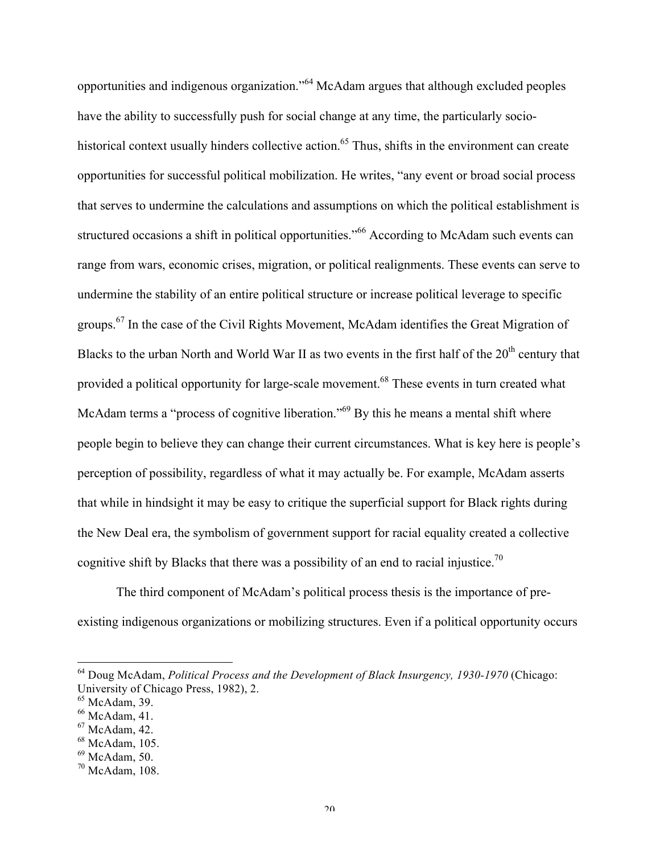opportunities and indigenous organization."<sup>64</sup> McAdam argues that although excluded peoples have the ability to successfully push for social change at any time, the particularly sociohistorical context usually hinders collective action.<sup>65</sup> Thus, shifts in the environment can create opportunities for successful political mobilization. He writes, "any event or broad social process that serves to undermine the calculations and assumptions on which the political establishment is structured occasions a shift in political opportunities."<sup>66</sup> According to McAdam such events can range from wars, economic crises, migration, or political realignments. These events can serve to undermine the stability of an entire political structure or increase political leverage to specific groups.<sup>67</sup> In the case of the Civil Rights Movement, McAdam identifies the Great Migration of Blacks to the urban North and World War II as two events in the first half of the 20<sup>th</sup> century that provided a political opportunity for large-scale movement.<sup>68</sup> These events in turn created what McAdam terms a "process of cognitive liberation."<sup>69</sup> By this he means a mental shift where people begin to believe they can change their current circumstances. What is key here is people's perception of possibility, regardless of what it may actually be. For example, McAdam asserts that while in hindsight it may be easy to critique the superficial support for Black rights during the New Deal era, the symbolism of government support for racial equality created a collective cognitive shift by Blacks that there was a possibility of an end to racial injustice.<sup>70</sup>

The third component of McAdam's political process thesis is the importance of preexisting indigenous organizations or mobilizing structures. Even if a political opportunity occurs

 <sup>64</sup> Doug McAdam, *Political Process and the Development of Black Insurgency, 1930-1970* (Chicago: University of Chicago Press, 1982), 2.

 $65$  McAdam, 39.

 $66$  McAdam, 41.

<sup>67</sup> McAdam, 42.

<sup>68</sup> McAdam, 105.

 $69$  McAdam, 50.

<sup>70</sup> McAdam, 108.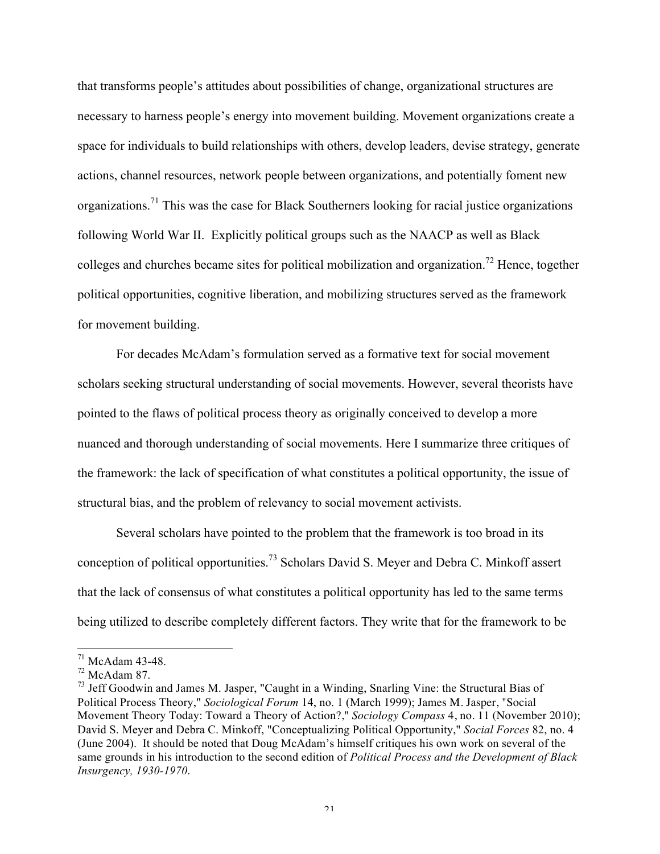that transforms people's attitudes about possibilities of change, organizational structures are necessary to harness people's energy into movement building. Movement organizations create a space for individuals to build relationships with others, develop leaders, devise strategy, generate actions, channel resources, network people between organizations, and potentially foment new organizations.<sup>71</sup> This was the case for Black Southerners looking for racial justice organizations following World War II. Explicitly political groups such as the NAACP as well as Black colleges and churches became sites for political mobilization and organization.72 Hence, together political opportunities, cognitive liberation, and mobilizing structures served as the framework for movement building.

For decades McAdam's formulation served as a formative text for social movement scholars seeking structural understanding of social movements. However, several theorists have pointed to the flaws of political process theory as originally conceived to develop a more nuanced and thorough understanding of social movements. Here I summarize three critiques of the framework: the lack of specification of what constitutes a political opportunity, the issue of structural bias, and the problem of relevancy to social movement activists.

Several scholars have pointed to the problem that the framework is too broad in its conception of political opportunities.<sup>73</sup> Scholars David S. Meyer and Debra C. Minkoff assert that the lack of consensus of what constitutes a political opportunity has led to the same terms being utilized to describe completely different factors. They write that for the framework to be

 $71$  McAdam 43-48.

 $72$  McAdam 87.

 $<sup>73</sup>$  Jeff Goodwin and James M. Jasper, "Caught in a Winding, Snarling Vine: the Structural Bias of</sup> Political Process Theory," *Sociological Forum* 14, no. 1 (March 1999); James M. Jasper, "Social Movement Theory Today: Toward a Theory of Action?," *Sociology Compass* 4, no. 11 (November 2010); David S. Meyer and Debra C. Minkoff, "Conceptualizing Political Opportunity," *Social Forces* 82, no. 4 (June 2004). It should be noted that Doug McAdam's himself critiques his own work on several of the same grounds in his introduction to the second edition of *Political Process and the Development of Black Insurgency, 1930-1970*.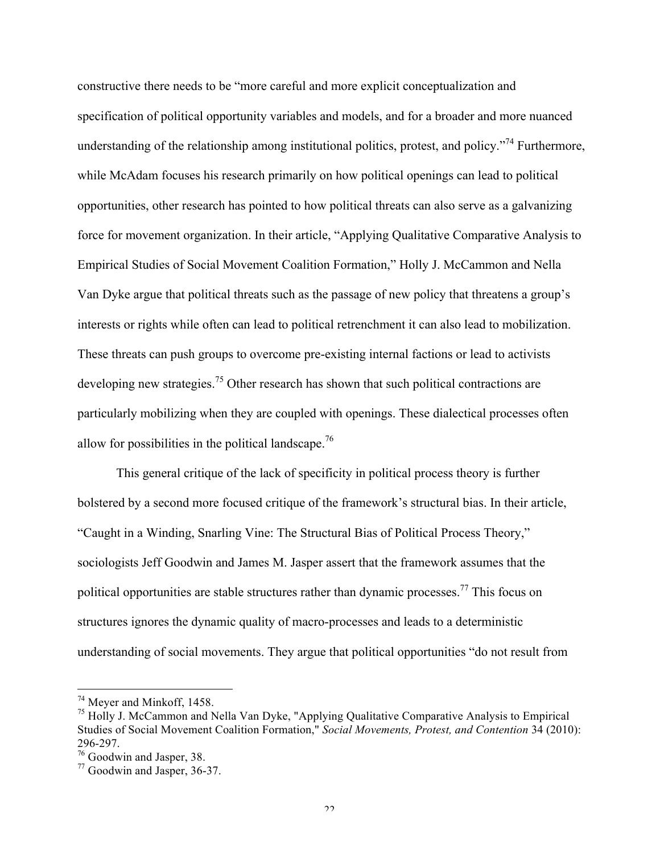constructive there needs to be "more careful and more explicit conceptualization and specification of political opportunity variables and models, and for a broader and more nuanced understanding of the relationship among institutional politics, protest, and policy.<sup> $274$ </sup> Furthermore, while McAdam focuses his research primarily on how political openings can lead to political opportunities, other research has pointed to how political threats can also serve as a galvanizing force for movement organization. In their article, "Applying Qualitative Comparative Analysis to Empirical Studies of Social Movement Coalition Formation," Holly J. McCammon and Nella Van Dyke argue that political threats such as the passage of new policy that threatens a group's interests or rights while often can lead to political retrenchment it can also lead to mobilization. These threats can push groups to overcome pre-existing internal factions or lead to activists developing new strategies.<sup>75</sup> Other research has shown that such political contractions are particularly mobilizing when they are coupled with openings. These dialectical processes often allow for possibilities in the political landscape.<sup>76</sup>

This general critique of the lack of specificity in political process theory is further bolstered by a second more focused critique of the framework's structural bias. In their article, "Caught in a Winding, Snarling Vine: The Structural Bias of Political Process Theory," sociologists Jeff Goodwin and James M. Jasper assert that the framework assumes that the political opportunities are stable structures rather than dynamic processes.<sup>77</sup> This focus on structures ignores the dynamic quality of macro-processes and leads to a deterministic understanding of social movements. They argue that political opportunities "do not result from

 <sup>74</sup> Meyer and Minkoff, 1458.

<sup>&</sup>lt;sup>75</sup> Holly J. McCammon and Nella Van Dyke, "Applying Qualitative Comparative Analysis to Empirical Studies of Social Movement Coalition Formation," *Social Movements, Protest, and Contention* 34 (2010): 296-297.

<sup>76</sup> Goodwin and Jasper, 38.

<sup>77</sup> Goodwin and Jasper, 36-37.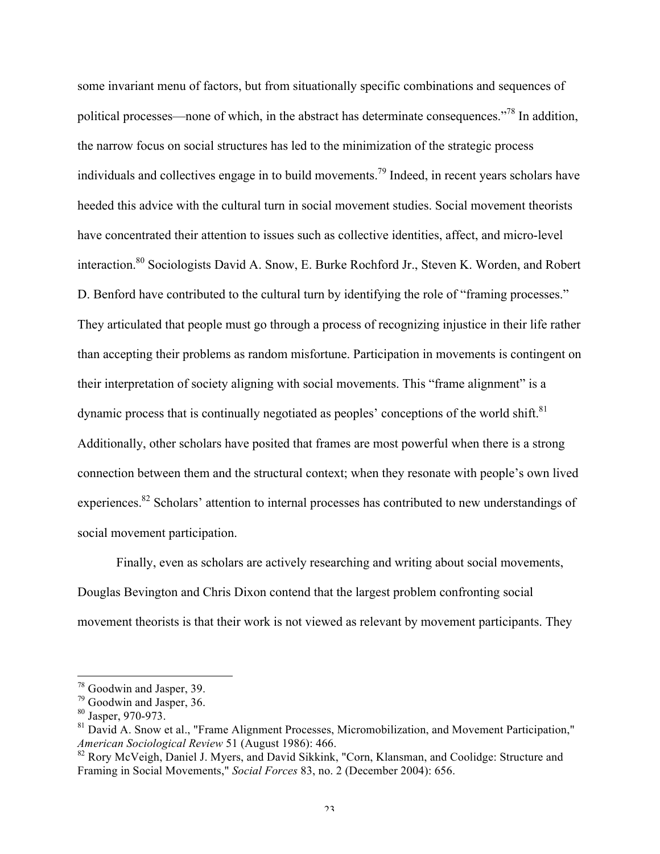some invariant menu of factors, but from situationally specific combinations and sequences of political processes—none of which, in the abstract has determinate consequences."78 In addition, the narrow focus on social structures has led to the minimization of the strategic process individuals and collectives engage in to build movements.<sup>79</sup> Indeed, in recent years scholars have heeded this advice with the cultural turn in social movement studies. Social movement theorists have concentrated their attention to issues such as collective identities, affect, and micro-level interaction.80 Sociologists David A. Snow, E. Burke Rochford Jr., Steven K. Worden, and Robert D. Benford have contributed to the cultural turn by identifying the role of "framing processes." They articulated that people must go through a process of recognizing injustice in their life rather than accepting their problems as random misfortune. Participation in movements is contingent on their interpretation of society aligning with social movements. This "frame alignment" is a dynamic process that is continually negotiated as peoples' conceptions of the world shift. $81$ Additionally, other scholars have posited that frames are most powerful when there is a strong connection between them and the structural context; when they resonate with people's own lived experiences.82 Scholars' attention to internal processes has contributed to new understandings of social movement participation.

Finally, even as scholars are actively researching and writing about social movements, Douglas Bevington and Chris Dixon contend that the largest problem confronting social movement theorists is that their work is not viewed as relevant by movement participants. They

 <sup>78</sup> Goodwin and Jasper, 39.

<sup>79</sup> Goodwin and Jasper, 36.

<sup>80</sup> Jasper, 970-973.

<sup>&</sup>lt;sup>81</sup> David A. Snow et al., "Frame Alignment Processes, Micromobilization, and Movement Participation," *American Sociological Review* 51 (August 1986): 466.

<sup>&</sup>lt;sup>82</sup> Rory McVeigh, Daniel J. Myers, and David Sikkink, "Corn, Klansman, and Coolidge: Structure and Framing in Social Movements," *Social Forces* 83, no. 2 (December 2004): 656.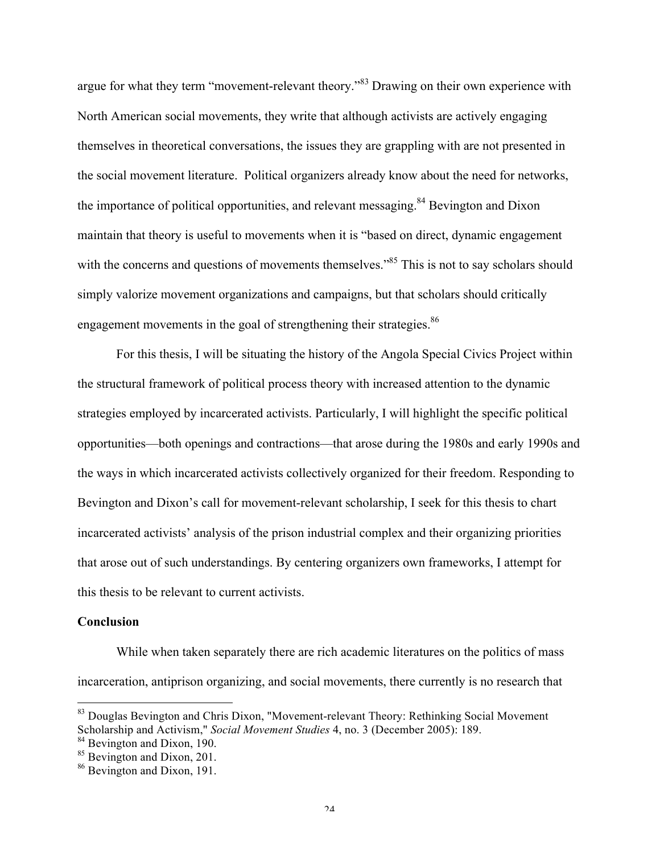argue for what they term "movement-relevant theory."<sup>83</sup> Drawing on their own experience with North American social movements, they write that although activists are actively engaging themselves in theoretical conversations, the issues they are grappling with are not presented in the social movement literature. Political organizers already know about the need for networks, the importance of political opportunities, and relevant messaging.<sup>84</sup> Bevington and Dixon maintain that theory is useful to movements when it is "based on direct, dynamic engagement with the concerns and questions of movements themselves."<sup>85</sup> This is not to say scholars should simply valorize movement organizations and campaigns, but that scholars should critically engagement movements in the goal of strengthening their strategies.<sup>86</sup>

For this thesis, I will be situating the history of the Angola Special Civics Project within the structural framework of political process theory with increased attention to the dynamic strategies employed by incarcerated activists. Particularly, I will highlight the specific political opportunities—both openings and contractions—that arose during the 1980s and early 1990s and the ways in which incarcerated activists collectively organized for their freedom. Responding to Bevington and Dixon's call for movement-relevant scholarship, I seek for this thesis to chart incarcerated activists' analysis of the prison industrial complex and their organizing priorities that arose out of such understandings. By centering organizers own frameworks, I attempt for this thesis to be relevant to current activists.

## **Conclusion**

While when taken separately there are rich academic literatures on the politics of mass incarceration, antiprison organizing, and social movements, there currently is no research that

<sup>&</sup>lt;sup>83</sup> Douglas Bevington and Chris Dixon, "Movement-relevant Theory: Rethinking Social Movement Scholarship and Activism," *Social Movement Studies* 4, no. 3 (December 2005): 189.

<sup>&</sup>lt;sup>84</sup> Bevington and Dixon, 190.

<sup>&</sup>lt;sup>85</sup> Bevington and Dixon, 201.

<sup>86</sup> Bevington and Dixon, 191.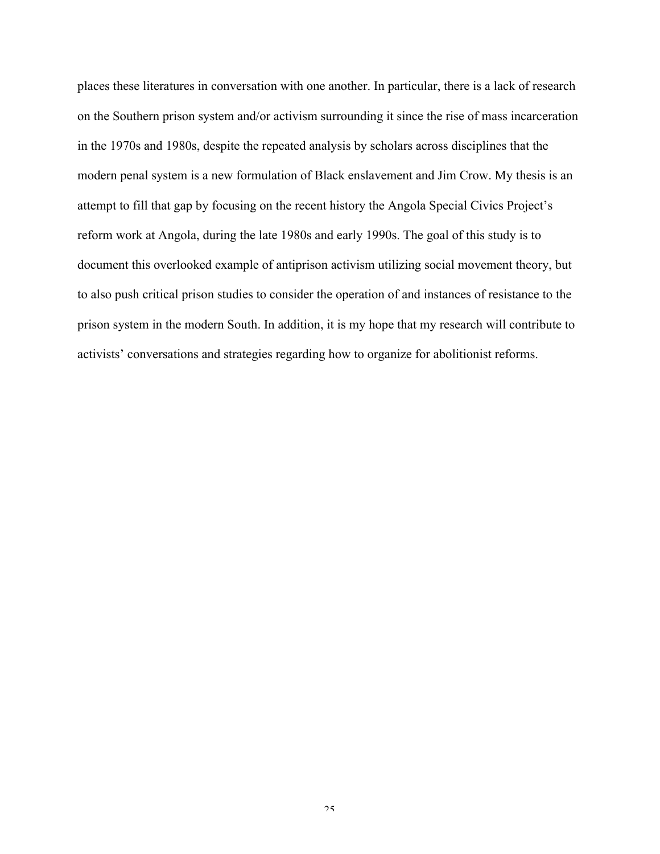places these literatures in conversation with one another. In particular, there is a lack of research on the Southern prison system and/or activism surrounding it since the rise of mass incarceration in the 1970s and 1980s, despite the repeated analysis by scholars across disciplines that the modern penal system is a new formulation of Black enslavement and Jim Crow. My thesis is an attempt to fill that gap by focusing on the recent history the Angola Special Civics Project's reform work at Angola, during the late 1980s and early 1990s. The goal of this study is to document this overlooked example of antiprison activism utilizing social movement theory, but to also push critical prison studies to consider the operation of and instances of resistance to the prison system in the modern South. In addition, it is my hope that my research will contribute to activists' conversations and strategies regarding how to organize for abolitionist reforms.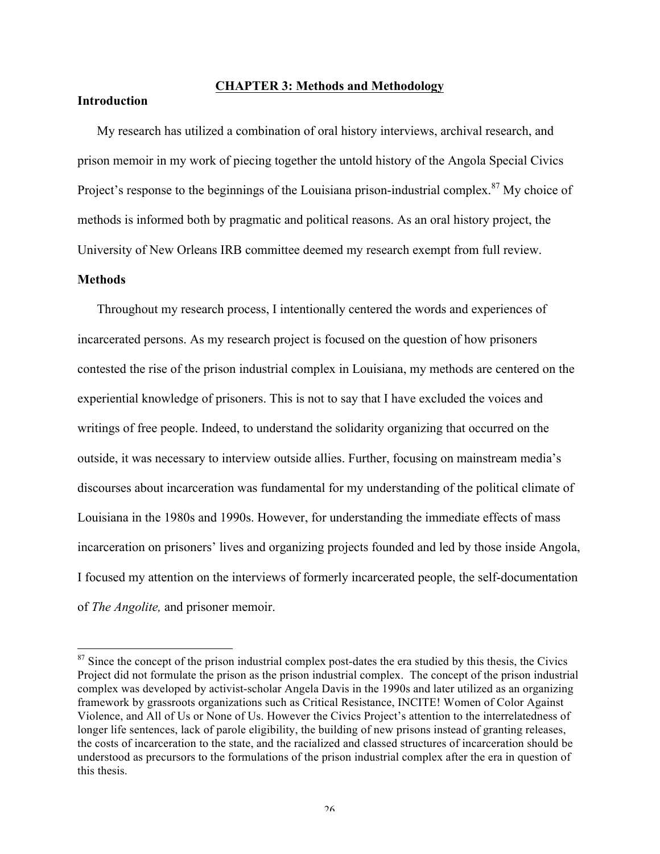# **CHAPTER 3: Methods and Methodology**

# **Introduction**

My research has utilized a combination of oral history interviews, archival research, and prison memoir in my work of piecing together the untold history of the Angola Special Civics Project's response to the beginnings of the Louisiana prison-industrial complex.<sup>87</sup> My choice of methods is informed both by pragmatic and political reasons. As an oral history project, the University of New Orleans IRB committee deemed my research exempt from full review.

#### **Methods**

Throughout my research process, I intentionally centered the words and experiences of incarcerated persons. As my research project is focused on the question of how prisoners contested the rise of the prison industrial complex in Louisiana, my methods are centered on the experiential knowledge of prisoners. This is not to say that I have excluded the voices and writings of free people. Indeed, to understand the solidarity organizing that occurred on the outside, it was necessary to interview outside allies. Further, focusing on mainstream media's discourses about incarceration was fundamental for my understanding of the political climate of Louisiana in the 1980s and 1990s. However, for understanding the immediate effects of mass incarceration on prisoners' lives and organizing projects founded and led by those inside Angola, I focused my attention on the interviews of formerly incarcerated people, the self-documentation of *The Angolite,* and prisoner memoir.

 $87$  Since the concept of the prison industrial complex post-dates the era studied by this thesis, the Civics Project did not formulate the prison as the prison industrial complex. The concept of the prison industrial complex was developed by activist-scholar Angela Davis in the 1990s and later utilized as an organizing framework by grassroots organizations such as Critical Resistance, INCITE! Women of Color Against Violence, and All of Us or None of Us. However the Civics Project's attention to the interrelatedness of longer life sentences, lack of parole eligibility, the building of new prisons instead of granting releases, the costs of incarceration to the state, and the racialized and classed structures of incarceration should be understood as precursors to the formulations of the prison industrial complex after the era in question of this thesis.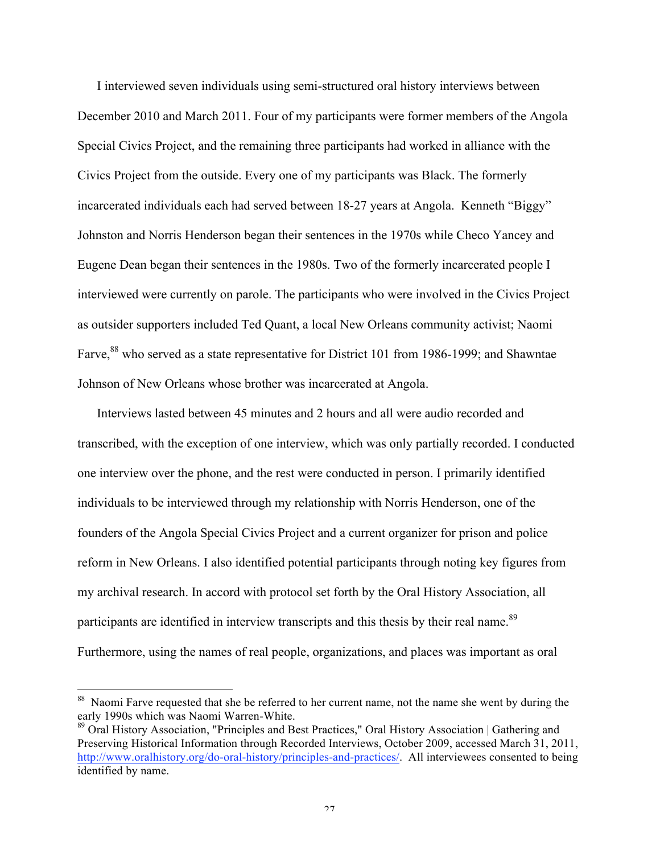I interviewed seven individuals using semi-structured oral history interviews between December 2010 and March 2011. Four of my participants were former members of the Angola Special Civics Project, and the remaining three participants had worked in alliance with the Civics Project from the outside. Every one of my participants was Black. The formerly incarcerated individuals each had served between 18-27 years at Angola. Kenneth "Biggy" Johnston and Norris Henderson began their sentences in the 1970s while Checo Yancey and Eugene Dean began their sentences in the 1980s. Two of the formerly incarcerated people I interviewed were currently on parole. The participants who were involved in the Civics Project as outsider supporters included Ted Quant, a local New Orleans community activist; Naomi Farve,<sup>88</sup> who served as a state representative for District 101 from 1986-1999; and Shawntae Johnson of New Orleans whose brother was incarcerated at Angola.

Interviews lasted between 45 minutes and 2 hours and all were audio recorded and transcribed, with the exception of one interview, which was only partially recorded. I conducted one interview over the phone, and the rest were conducted in person. I primarily identified individuals to be interviewed through my relationship with Norris Henderson, one of the founders of the Angola Special Civics Project and a current organizer for prison and police reform in New Orleans. I also identified potential participants through noting key figures from my archival research. In accord with protocol set forth by the Oral History Association, all participants are identified in interview transcripts and this thesis by their real name.<sup>89</sup> Furthermore, using the names of real people, organizations, and places was important as oral

<sup>&</sup>lt;sup>88</sup> Naomi Farve requested that she be referred to her current name, not the name she went by during the early 1990s which was Naomi Warren-White.

<sup>89</sup> Oral History Association, "Principles and Best Practices," Oral History Association | Gathering and Preserving Historical Information through Recorded Interviews, October 2009, accessed March 31, 2011, http://www.oralhistory.org/do-oral-history/principles-and-practices/. All interviewees consented to being identified by name.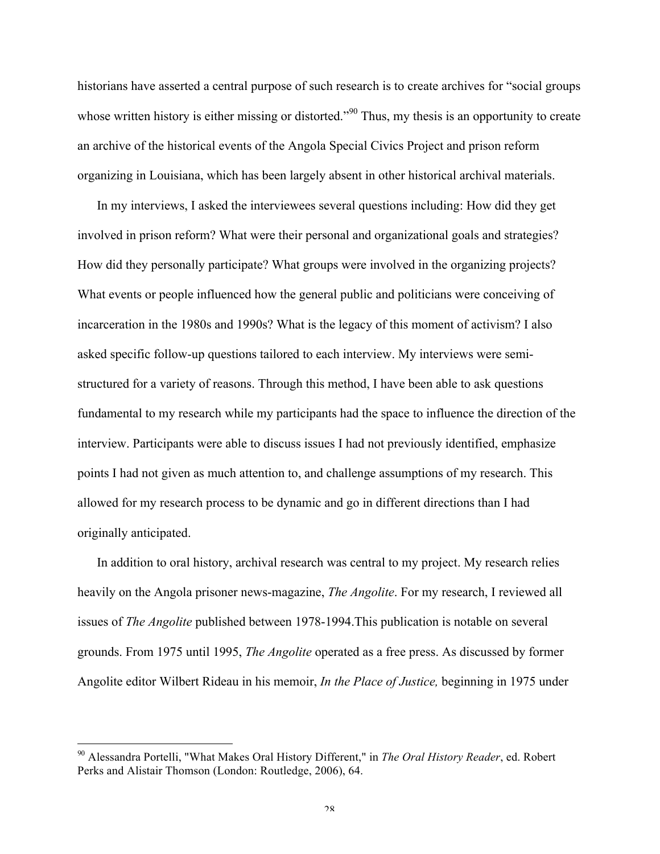historians have asserted a central purpose of such research is to create archives for "social groups whose written history is either missing or distorted.<sup>"90</sup> Thus, my thesis is an opportunity to create an archive of the historical events of the Angola Special Civics Project and prison reform organizing in Louisiana, which has been largely absent in other historical archival materials.

In my interviews, I asked the interviewees several questions including: How did they get involved in prison reform? What were their personal and organizational goals and strategies? How did they personally participate? What groups were involved in the organizing projects? What events or people influenced how the general public and politicians were conceiving of incarceration in the 1980s and 1990s? What is the legacy of this moment of activism? I also asked specific follow-up questions tailored to each interview. My interviews were semistructured for a variety of reasons. Through this method, I have been able to ask questions fundamental to my research while my participants had the space to influence the direction of the interview. Participants were able to discuss issues I had not previously identified, emphasize points I had not given as much attention to, and challenge assumptions of my research. This allowed for my research process to be dynamic and go in different directions than I had originally anticipated.

In addition to oral history, archival research was central to my project. My research relies heavily on the Angola prisoner news-magazine, *The Angolite*. For my research, I reviewed all issues of *The Angolite* published between 1978-1994.This publication is notable on several grounds. From 1975 until 1995, *The Angolite* operated as a free press. As discussed by former Angolite editor Wilbert Rideau in his memoir, *In the Place of Justice,* beginning in 1975 under

 <sup>90</sup> Alessandra Portelli, "What Makes Oral History Different," in *The Oral History Reader*, ed. Robert Perks and Alistair Thomson (London: Routledge, 2006), 64.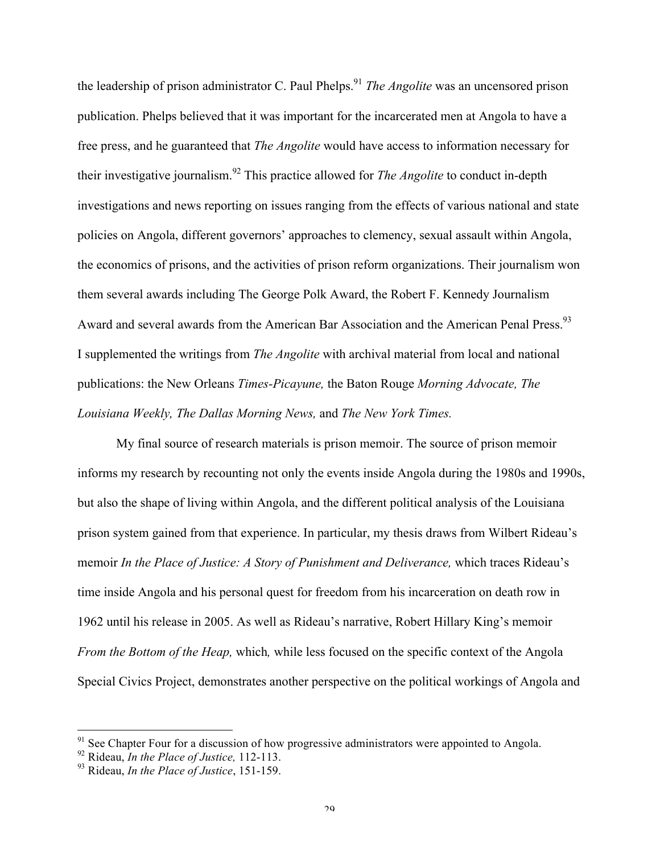the leadership of prison administrator C. Paul Phelps. <sup>91</sup> *The Angolite* was an uncensored prison publication. Phelps believed that it was important for the incarcerated men at Angola to have a free press, and he guaranteed that *The Angolite* would have access to information necessary for their investigative journalism.<sup>92</sup> This practice allowed for *The Angolite* to conduct in-depth investigations and news reporting on issues ranging from the effects of various national and state policies on Angola, different governors' approaches to clemency, sexual assault within Angola, the economics of prisons, and the activities of prison reform organizations. Their journalism won them several awards including The George Polk Award, the Robert F. Kennedy Journalism Award and several awards from the American Bar Association and the American Penal Press.<sup>93</sup> I supplemented the writings from *The Angolite* with archival material from local and national publications: the New Orleans *Times-Picayune,* the Baton Rouge *Morning Advocate, The Louisiana Weekly, The Dallas Morning News,* and *The New York Times.* 

My final source of research materials is prison memoir. The source of prison memoir informs my research by recounting not only the events inside Angola during the 1980s and 1990s, but also the shape of living within Angola, and the different political analysis of the Louisiana prison system gained from that experience. In particular, my thesis draws from Wilbert Rideau's memoir *In the Place of Justice: A Story of Punishment and Deliverance,* which traces Rideau's time inside Angola and his personal quest for freedom from his incarceration on death row in 1962 until his release in 2005. As well as Rideau's narrative, Robert Hillary King's memoir *From the Bottom of the Heap,* which*,* while less focused on the specific context of the Angola Special Civics Project, demonstrates another perspective on the political workings of Angola and

 $91$  See Chapter Four for a discussion of how progressive administrators were appointed to Angola.

<sup>92</sup> Rideau, *In the Place of Justice,* 112-113.

<sup>93</sup> Rideau, *In the Place of Justice*, 151-159.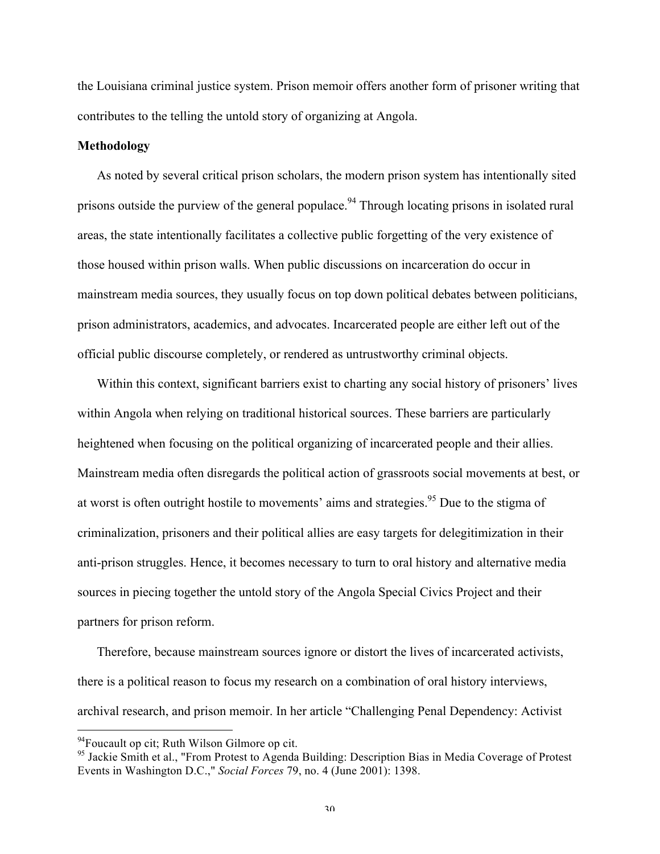the Louisiana criminal justice system. Prison memoir offers another form of prisoner writing that contributes to the telling the untold story of organizing at Angola.

## **Methodology**

As noted by several critical prison scholars, the modern prison system has intentionally sited prisons outside the purview of the general populace.<sup>94</sup> Through locating prisons in isolated rural areas, the state intentionally facilitates a collective public forgetting of the very existence of those housed within prison walls. When public discussions on incarceration do occur in mainstream media sources, they usually focus on top down political debates between politicians, prison administrators, academics, and advocates. Incarcerated people are either left out of the official public discourse completely, or rendered as untrustworthy criminal objects.

Within this context, significant barriers exist to charting any social history of prisoners' lives within Angola when relying on traditional historical sources. These barriers are particularly heightened when focusing on the political organizing of incarcerated people and their allies. Mainstream media often disregards the political action of grassroots social movements at best, or at worst is often outright hostile to movements' aims and strategies.<sup>95</sup> Due to the stigma of criminalization, prisoners and their political allies are easy targets for delegitimization in their anti-prison struggles. Hence, it becomes necessary to turn to oral history and alternative media sources in piecing together the untold story of the Angola Special Civics Project and their partners for prison reform.

Therefore, because mainstream sources ignore or distort the lives of incarcerated activists, there is a political reason to focus my research on a combination of oral history interviews, archival research, and prison memoir. In her article "Challenging Penal Dependency: Activist

<sup>&</sup>lt;sup>94</sup>Foucault op cit; Ruth Wilson Gilmore op cit.<br><sup>95</sup> Jackie Smith et al., "From Protest to Agenda Building: Description Bias in Media Coverage of Protest Events in Washington D.C.," *Social Forces* 79, no. 4 (June 2001): 1398.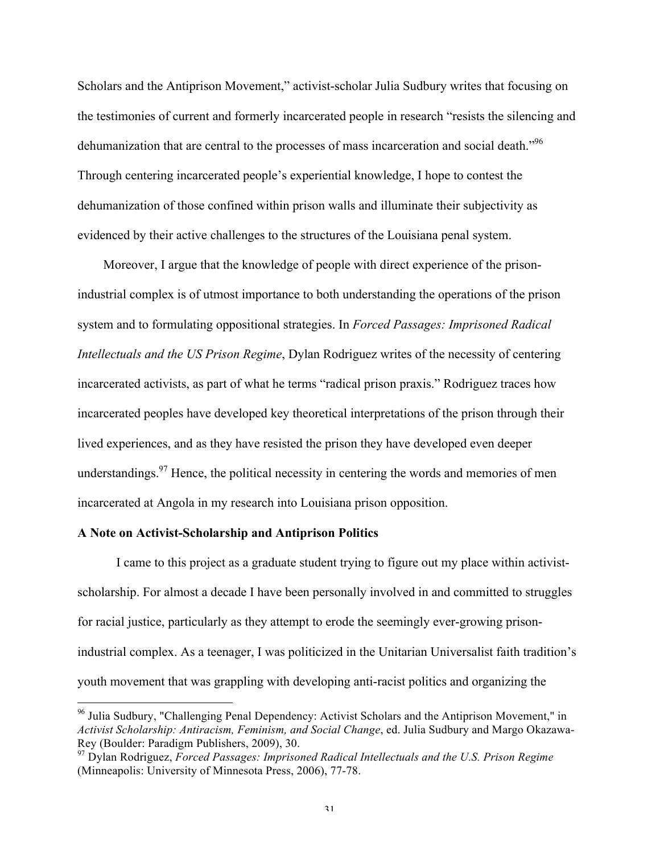Scholars and the Antiprison Movement," activist-scholar Julia Sudbury writes that focusing on the testimonies of current and formerly incarcerated people in research "resists the silencing and dehumanization that are central to the processes of mass incarceration and social death."<sup>96</sup> Through centering incarcerated people's experiential knowledge, I hope to contest the dehumanization of those confined within prison walls and illuminate their subjectivity as evidenced by their active challenges to the structures of the Louisiana penal system.

 Moreover, I argue that the knowledge of people with direct experience of the prisonindustrial complex is of utmost importance to both understanding the operations of the prison system and to formulating oppositional strategies. In *Forced Passages: Imprisoned Radical Intellectuals and the US Prison Regime*, Dylan Rodriguez writes of the necessity of centering incarcerated activists, as part of what he terms "radical prison praxis." Rodriguez traces how incarcerated peoples have developed key theoretical interpretations of the prison through their lived experiences, and as they have resisted the prison they have developed even deeper understandings. $97$  Hence, the political necessity in centering the words and memories of men incarcerated at Angola in my research into Louisiana prison opposition.

#### **A Note on Activist-Scholarship and Antiprison Politics**

I came to this project as a graduate student trying to figure out my place within activistscholarship. For almost a decade I have been personally involved in and committed to struggles for racial justice, particularly as they attempt to erode the seemingly ever-growing prisonindustrial complex. As a teenager, I was politicized in the Unitarian Universalist faith tradition's youth movement that was grappling with developing anti-racist politics and organizing the

<sup>&</sup>lt;sup>96</sup> Julia Sudbury, "Challenging Penal Dependency: Activist Scholars and the Antiprison Movement," in *Activist Scholarship: Antiracism, Feminism, and Social Change*, ed. Julia Sudbury and Margo Okazawa-Rey (Boulder: Paradigm Publishers, 2009), 30.

<sup>97</sup> Dylan Rodriguez, *Forced Passages: Imprisoned Radical Intellectuals and the U.S. Prison Regime*  (Minneapolis: University of Minnesota Press, 2006), 77-78.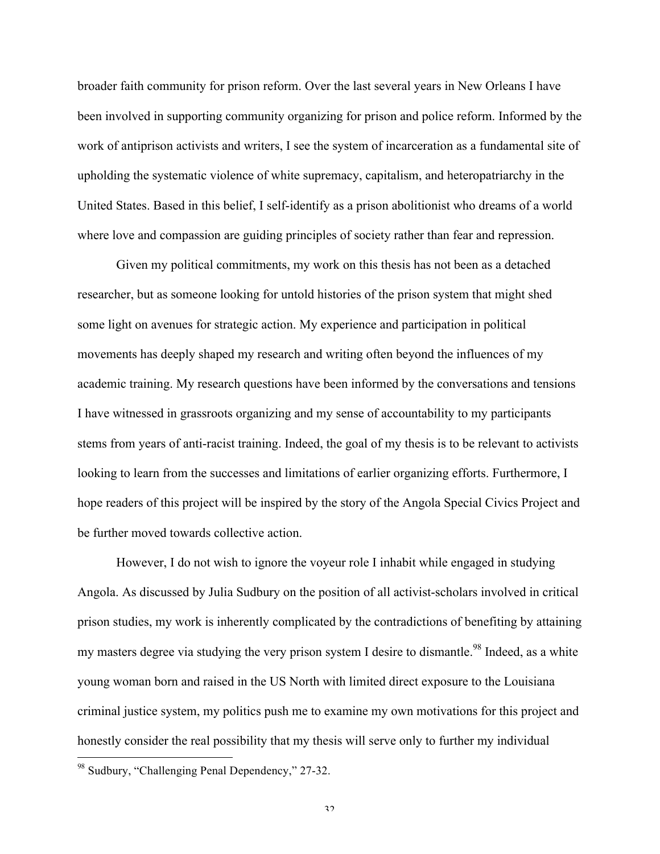broader faith community for prison reform. Over the last several years in New Orleans I have been involved in supporting community organizing for prison and police reform. Informed by the work of antiprison activists and writers, I see the system of incarceration as a fundamental site of upholding the systematic violence of white supremacy, capitalism, and heteropatriarchy in the United States. Based in this belief, I self-identify as a prison abolitionist who dreams of a world where love and compassion are guiding principles of society rather than fear and repression.

Given my political commitments, my work on this thesis has not been as a detached researcher, but as someone looking for untold histories of the prison system that might shed some light on avenues for strategic action. My experience and participation in political movements has deeply shaped my research and writing often beyond the influences of my academic training. My research questions have been informed by the conversations and tensions I have witnessed in grassroots organizing and my sense of accountability to my participants stems from years of anti-racist training. Indeed, the goal of my thesis is to be relevant to activists looking to learn from the successes and limitations of earlier organizing efforts. Furthermore, I hope readers of this project will be inspired by the story of the Angola Special Civics Project and be further moved towards collective action.

However, I do not wish to ignore the voyeur role I inhabit while engaged in studying Angola. As discussed by Julia Sudbury on the position of all activist-scholars involved in critical prison studies, my work is inherently complicated by the contradictions of benefiting by attaining my masters degree via studying the very prison system I desire to dismantle.<sup>98</sup> Indeed, as a white young woman born and raised in the US North with limited direct exposure to the Louisiana criminal justice system, my politics push me to examine my own motivations for this project and honestly consider the real possibility that my thesis will serve only to further my individual

<sup>98</sup> Sudbury, "Challenging Penal Dependency," 27-32.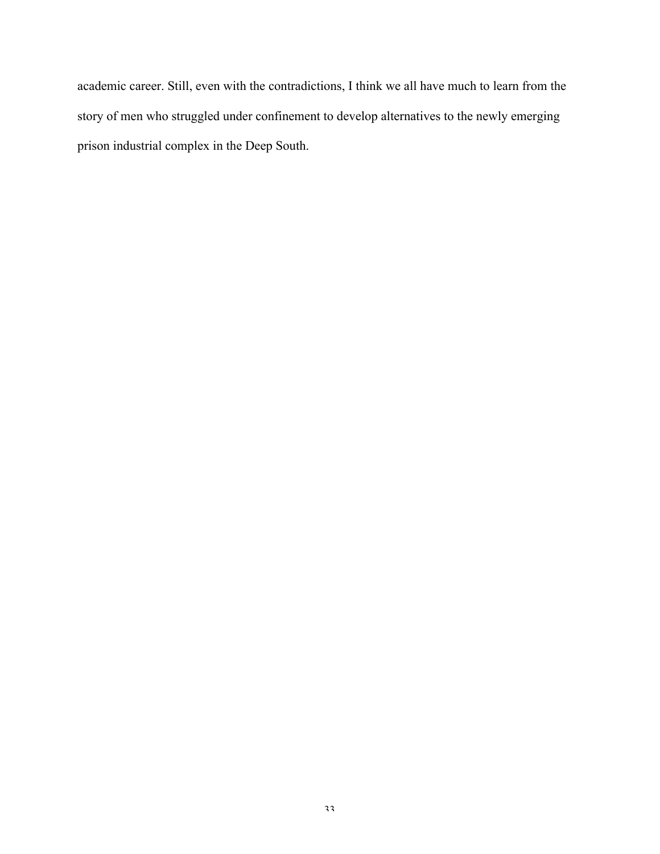academic career. Still, even with the contradictions, I think we all have much to learn from the story of men who struggled under confinement to develop alternatives to the newly emerging prison industrial complex in the Deep South.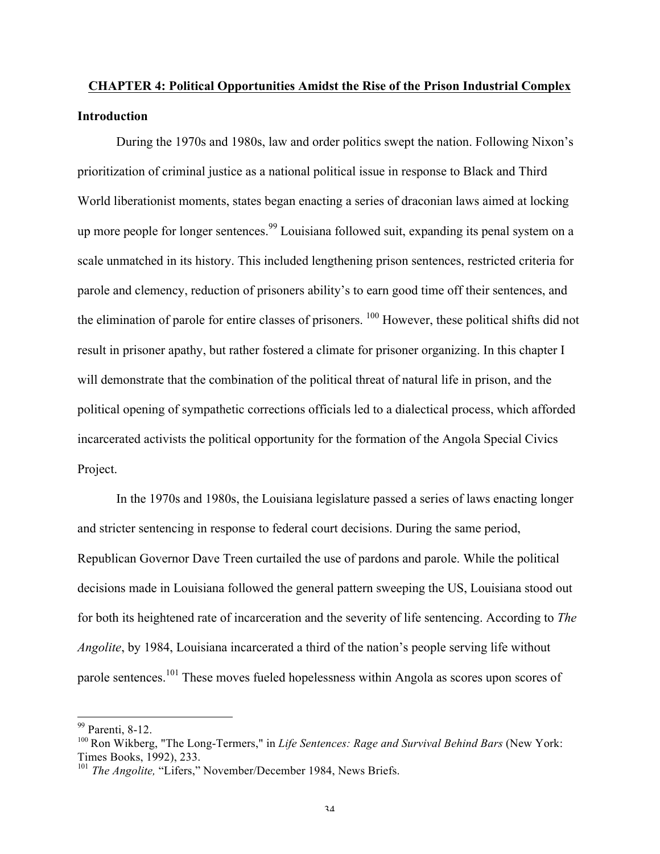# **CHAPTER 4: Political Opportunities Amidst the Rise of the Prison Industrial Complex Introduction**

During the 1970s and 1980s, law and order politics swept the nation. Following Nixon's prioritization of criminal justice as a national political issue in response to Black and Third World liberationist moments, states began enacting a series of draconian laws aimed at locking up more people for longer sentences.<sup>99</sup> Louisiana followed suit, expanding its penal system on a scale unmatched in its history. This included lengthening prison sentences, restricted criteria for parole and clemency, reduction of prisoners ability's to earn good time off their sentences, and the elimination of parole for entire classes of prisoners. 100 However, these political shifts did not result in prisoner apathy, but rather fostered a climate for prisoner organizing. In this chapter I will demonstrate that the combination of the political threat of natural life in prison, and the political opening of sympathetic corrections officials led to a dialectical process, which afforded incarcerated activists the political opportunity for the formation of the Angola Special Civics Project.

In the 1970s and 1980s, the Louisiana legislature passed a series of laws enacting longer and stricter sentencing in response to federal court decisions. During the same period, Republican Governor Dave Treen curtailed the use of pardons and parole. While the political decisions made in Louisiana followed the general pattern sweeping the US, Louisiana stood out for both its heightened rate of incarceration and the severity of life sentencing. According to *The Angolite*, by 1984, Louisiana incarcerated a third of the nation's people serving life without parole sentences.<sup>101</sup> These moves fueled hopelessness within Angola as scores upon scores of

 <sup>99</sup> Parenti, 8-12.

<sup>100</sup> Ron Wikberg, "The Long-Termers," in *Life Sentences: Rage and Survival Behind Bars* (New York: Times Books, 1992), 233.

<sup>&</sup>lt;sup>101</sup> *The Angolite,* "Lifers," November/December 1984, News Briefs.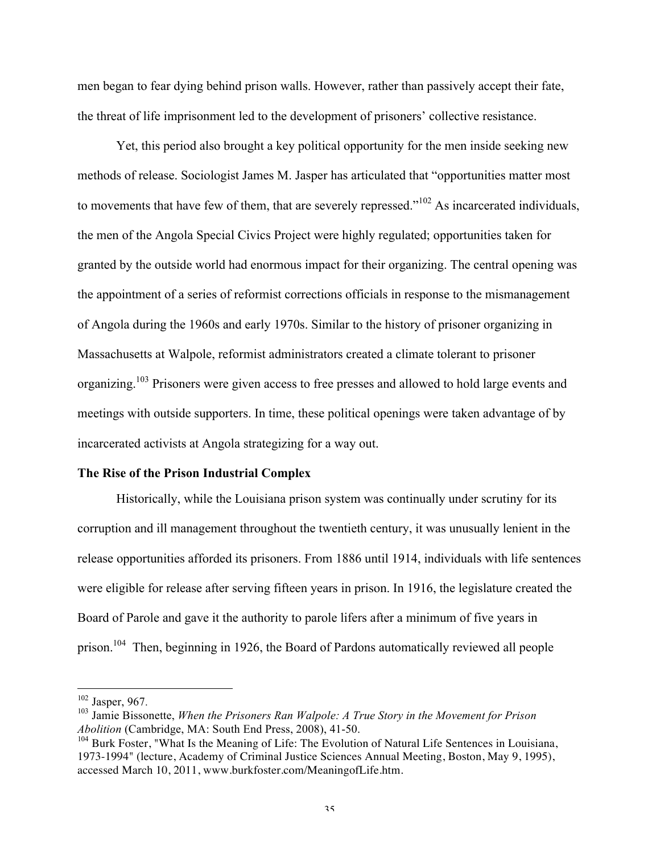men began to fear dying behind prison walls. However, rather than passively accept their fate, the threat of life imprisonment led to the development of prisoners' collective resistance.

Yet, this period also brought a key political opportunity for the men inside seeking new methods of release. Sociologist James M. Jasper has articulated that "opportunities matter most to movements that have few of them, that are severely repressed."<sup>102</sup> As incarcerated individuals, the men of the Angola Special Civics Project were highly regulated; opportunities taken for granted by the outside world had enormous impact for their organizing. The central opening was the appointment of a series of reformist corrections officials in response to the mismanagement of Angola during the 1960s and early 1970s. Similar to the history of prisoner organizing in Massachusetts at Walpole, reformist administrators created a climate tolerant to prisoner organizing.<sup>103</sup> Prisoners were given access to free presses and allowed to hold large events and meetings with outside supporters. In time, these political openings were taken advantage of by incarcerated activists at Angola strategizing for a way out.

#### **The Rise of the Prison Industrial Complex**

Historically, while the Louisiana prison system was continually under scrutiny for its corruption and ill management throughout the twentieth century, it was unusually lenient in the release opportunities afforded its prisoners. From 1886 until 1914, individuals with life sentences were eligible for release after serving fifteen years in prison. In 1916, the legislature created the Board of Parole and gave it the authority to parole lifers after a minimum of five years in prison.<sup>104</sup> Then, beginning in 1926, the Board of Pardons automatically reviewed all people

<sup>&</sup>lt;sup>102</sup> Jasper, 967.<br><sup>103</sup> Jamie Bissonette, *When the Prisoners Ran Walpole: A True Story in the Movement for Prison Abolition* (Cambridge, MA: South End Press, 2008), 41-50.

<sup>&</sup>lt;sup>104</sup> Burk Foster. "What Is the Meaning of Life: The Evolution of Natural Life Sentences in Louisiana, 1973-1994" (lecture, Academy of Criminal Justice Sciences Annual Meeting, Boston, May 9, 1995), accessed March 10, 2011, www.burkfoster.com/MeaningofLife.htm.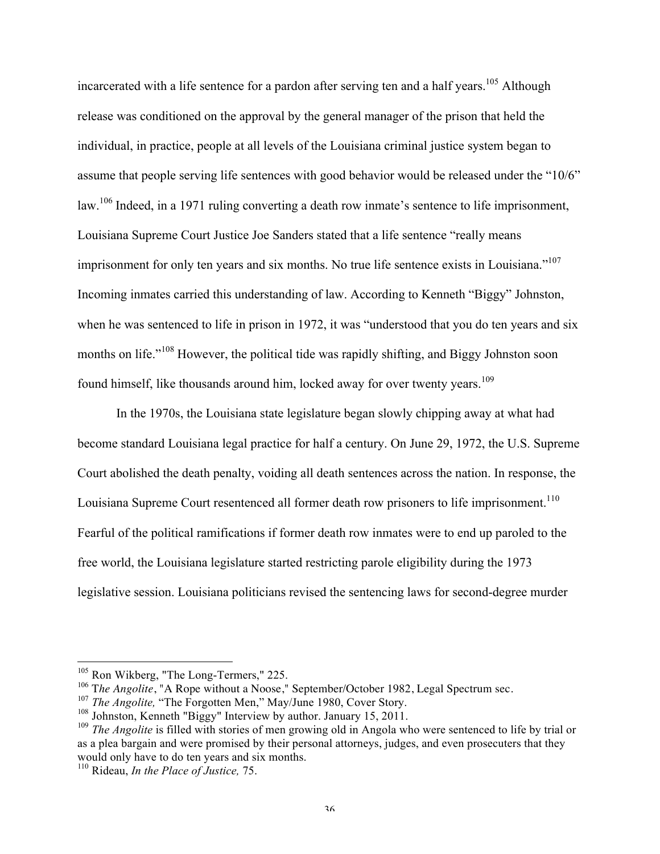incarcerated with a life sentence for a pardon after serving ten and a half years.<sup>105</sup> Although release was conditioned on the approval by the general manager of the prison that held the individual, in practice, people at all levels of the Louisiana criminal justice system began to assume that people serving life sentences with good behavior would be released under the "10/6" law.<sup>106</sup> Indeed, in a 1971 ruling converting a death row inmate's sentence to life imprisonment, Louisiana Supreme Court Justice Joe Sanders stated that a life sentence "really means imprisonment for only ten years and six months. No true life sentence exists in Louisiana."<sup>107</sup> Incoming inmates carried this understanding of law. According to Kenneth "Biggy" Johnston, when he was sentenced to life in prison in 1972, it was "understood that you do ten years and six months on life."<sup>108</sup> However, the political tide was rapidly shifting, and Biggy Johnston soon found himself, like thousands around him, locked away for over twenty years.<sup>109</sup>

In the 1970s, the Louisiana state legislature began slowly chipping away at what had become standard Louisiana legal practice for half a century. On June 29, 1972, the U.S. Supreme Court abolished the death penalty, voiding all death sentences across the nation. In response, the Louisiana Supreme Court resentenced all former death row prisoners to life imprisonment.<sup>110</sup> Fearful of the political ramifications if former death row inmates were to end up paroled to the free world, the Louisiana legislature started restricting parole eligibility during the 1973 legislative session. Louisiana politicians revised the sentencing laws for second-degree murder

<sup>&</sup>lt;sup>105</sup> Ron Wikberg, "The Long-Termers," 225.

<sup>&</sup>lt;sup>106</sup> The Angolite, "A Rope without a Noose," September/October 1982, Legal Spectrum sec.

<sup>&</sup>lt;sup>107</sup> *The Angolite*, "The Forgotten Men," May/June 1980, Cover Story.

<sup>&</sup>lt;sup>108</sup> Johnston, Kenneth "Biggy" Interview by author. January 15, 2011.

<sup>&</sup>lt;sup>109</sup> *The Angolite* is filled with stories of men growing old in Angola who were sentenced to life by trial or as a plea bargain and were promised by their personal attorneys, judges, and even prosecuters that they would only have to do ten years and six months.

<sup>110</sup> Rideau, *In the Place of Justice,* 75.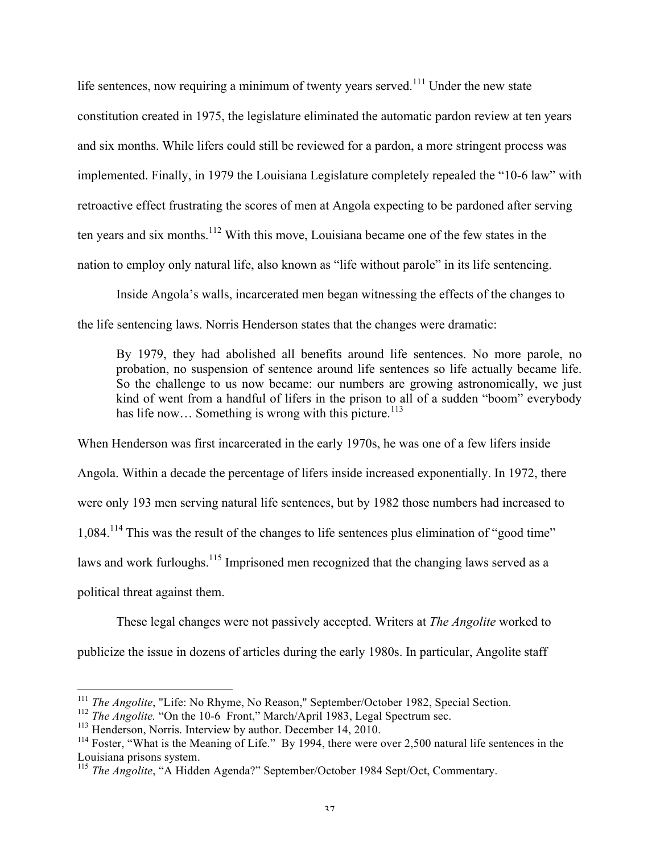life sentences, now requiring a minimum of twenty years served.<sup>111</sup> Under the new state constitution created in 1975, the legislature eliminated the automatic pardon review at ten years and six months. While lifers could still be reviewed for a pardon, a more stringent process was implemented. Finally, in 1979 the Louisiana Legislature completely repealed the "10-6 law" with retroactive effect frustrating the scores of men at Angola expecting to be pardoned after serving ten years and six months.<sup>112</sup> With this move, Louisiana became one of the few states in the nation to employ only natural life, also known as "life without parole" in its life sentencing.

Inside Angola's walls, incarcerated men began witnessing the effects of the changes to the life sentencing laws. Norris Henderson states that the changes were dramatic:

By 1979, they had abolished all benefits around life sentences. No more parole, no probation, no suspension of sentence around life sentences so life actually became life. So the challenge to us now became: our numbers are growing astronomically, we just kind of went from a handful of lifers in the prison to all of a sudden "boom" everybody has life now... Something is wrong with this picture.<sup>113</sup>

When Henderson was first incarcerated in the early 1970s, he was one of a few lifers inside Angola. Within a decade the percentage of lifers inside increased exponentially. In 1972, there were only 193 men serving natural life sentences, but by 1982 those numbers had increased to 1,084.<sup>114</sup> This was the result of the changes to life sentences plus elimination of "good time" laws and work furloughs.<sup>115</sup> Imprisoned men recognized that the changing laws served as a political threat against them.

These legal changes were not passively accepted. Writers at *The Angolite* worked to publicize the issue in dozens of articles during the early 1980s. In particular, Angolite staff

 <sup>111</sup> *The Angolite*, "Life: No Rhyme, No Reason," September/October 1982, Special Section.

<sup>&</sup>lt;sup>112</sup> *The Angolite.* "On the 10-6 Front," March/April 1983, Legal Spectrum sec.

<sup>&</sup>lt;sup>113</sup> Henderson, Norris. Interview by author. December 14, 2010.

<sup>&</sup>lt;sup>114</sup> Foster, "What is the Meaning of Life." By 1994, there were over 2,500 natural life sentences in the Louisiana prisons system.

<sup>115</sup> *The Angolite*, "A Hidden Agenda?" September/October 1984 Sept/Oct, Commentary.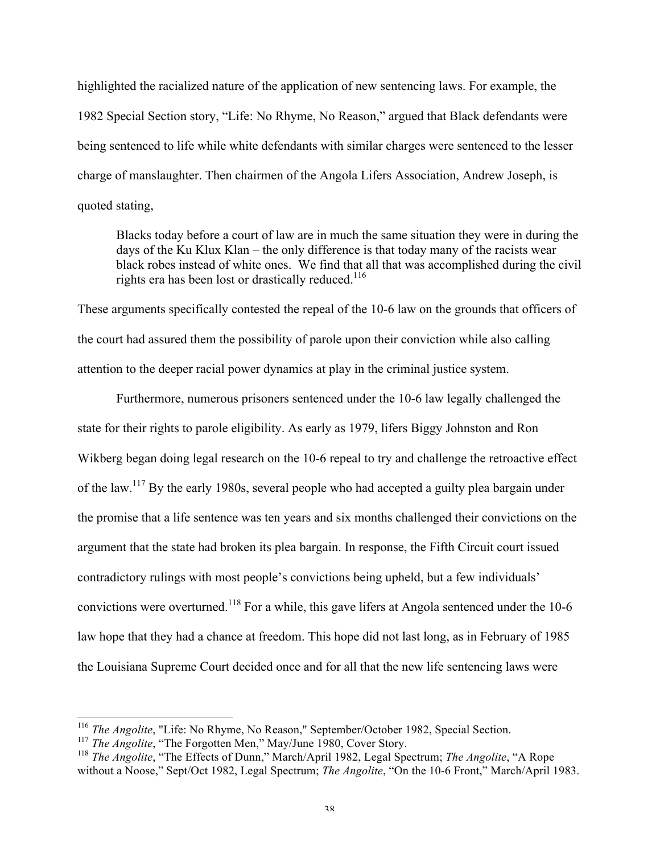highlighted the racialized nature of the application of new sentencing laws. For example, the 1982 Special Section story, "Life: No Rhyme, No Reason," argued that Black defendants were being sentenced to life while white defendants with similar charges were sentenced to the lesser charge of manslaughter. Then chairmen of the Angola Lifers Association, Andrew Joseph, is quoted stating,

Blacks today before a court of law are in much the same situation they were in during the days of the Ku Klux Klan – the only difference is that today many of the racists wear black robes instead of white ones. We find that all that was accomplished during the civil rights era has been lost or drastically reduced.<sup>116</sup>

These arguments specifically contested the repeal of the 10-6 law on the grounds that officers of the court had assured them the possibility of parole upon their conviction while also calling attention to the deeper racial power dynamics at play in the criminal justice system.

Furthermore, numerous prisoners sentenced under the 10-6 law legally challenged the state for their rights to parole eligibility. As early as 1979, lifers Biggy Johnston and Ron Wikberg began doing legal research on the 10-6 repeal to try and challenge the retroactive effect of the law.<sup>117</sup> By the early 1980s, several people who had accepted a guilty plea bargain under the promise that a life sentence was ten years and six months challenged their convictions on the argument that the state had broken its plea bargain. In response, the Fifth Circuit court issued contradictory rulings with most people's convictions being upheld, but a few individuals' convictions were overturned.<sup>118</sup> For a while, this gave lifers at Angola sentenced under the 10-6 law hope that they had a chance at freedom. This hope did not last long, as in February of 1985 the Louisiana Supreme Court decided once and for all that the new life sentencing laws were

 <sup>116</sup> *The Angolite*, "Life: No Rhyme, No Reason," September/October 1982, Special Section.

<sup>&</sup>lt;sup>117</sup> *The Angolite*, "The Forgotten Men," May/June 1980, Cover Story.

<sup>118</sup> *The Angolite*, "The Effects of Dunn," March/April 1982, Legal Spectrum; *The Angolite*, "A Rope without a Noose," Sept/Oct 1982, Legal Spectrum; *The Angolite*, "On the 10-6 Front," March/April 1983.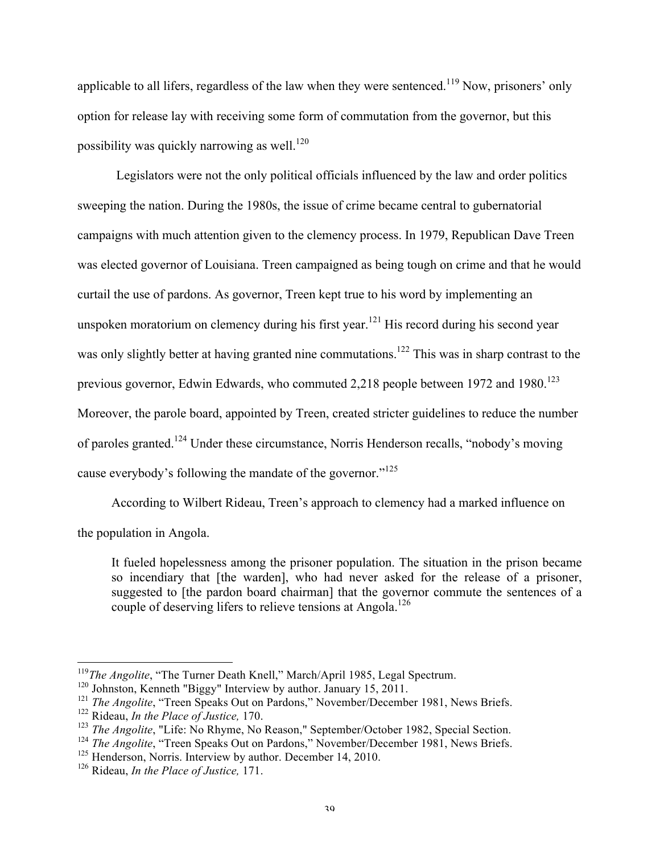applicable to all lifers, regardless of the law when they were sentenced.<sup>119</sup> Now, prisoners' only option for release lay with receiving some form of commutation from the governor, but this possibility was quickly narrowing as well.<sup>120</sup>

Legislators were not the only political officials influenced by the law and order politics sweeping the nation. During the 1980s, the issue of crime became central to gubernatorial campaigns with much attention given to the clemency process. In 1979, Republican Dave Treen was elected governor of Louisiana. Treen campaigned as being tough on crime and that he would curtail the use of pardons. As governor, Treen kept true to his word by implementing an unspoken moratorium on clemency during his first year.<sup>121</sup> His record during his second year was only slightly better at having granted nine commutations.<sup>122</sup> This was in sharp contrast to the previous governor, Edwin Edwards, who commuted 2,218 people between 1972 and 1980.<sup>123</sup> Moreover, the parole board, appointed by Treen, created stricter guidelines to reduce the number of paroles granted.124 Under these circumstance, Norris Henderson recalls, "nobody's moving cause everybody's following the mandate of the governor."<sup>125</sup>

According to Wilbert Rideau, Treen's approach to clemency had a marked influence on the population in Angola.

It fueled hopelessness among the prisoner population. The situation in the prison became so incendiary that [the warden], who had never asked for the release of a prisoner, suggested to [the pardon board chairman] that the governor commute the sentences of a couple of deserving lifers to relieve tensions at Angola.<sup>126</sup>

<sup>&</sup>lt;sup>119</sup>The Angolite, "The Turner Death Knell," March/April 1985, Legal Spectrum.

<sup>120</sup> Johnston, Kenneth "Biggy" Interview by author. January 15, 2011.

<sup>&</sup>lt;sup>121</sup> *The Angolite*, "Treen Speaks Out on Pardons," November/December 1981, News Briefs.

<sup>122</sup> Rideau, *In the Place of Justice,* 170.

<sup>&</sup>lt;sup>123</sup> *The Angolite*, "Life: No Rhyme, No Reason," September/October 1982, Special Section.

<sup>&</sup>lt;sup>124</sup> *The Angolite*, "Treen Speaks Out on Pardons," November/December 1981, News Briefs.

<sup>&</sup>lt;sup>125</sup> Henderson, Norris. Interview by author. December 14, 2010.

<sup>126</sup> Rideau, *In the Place of Justice,* 171.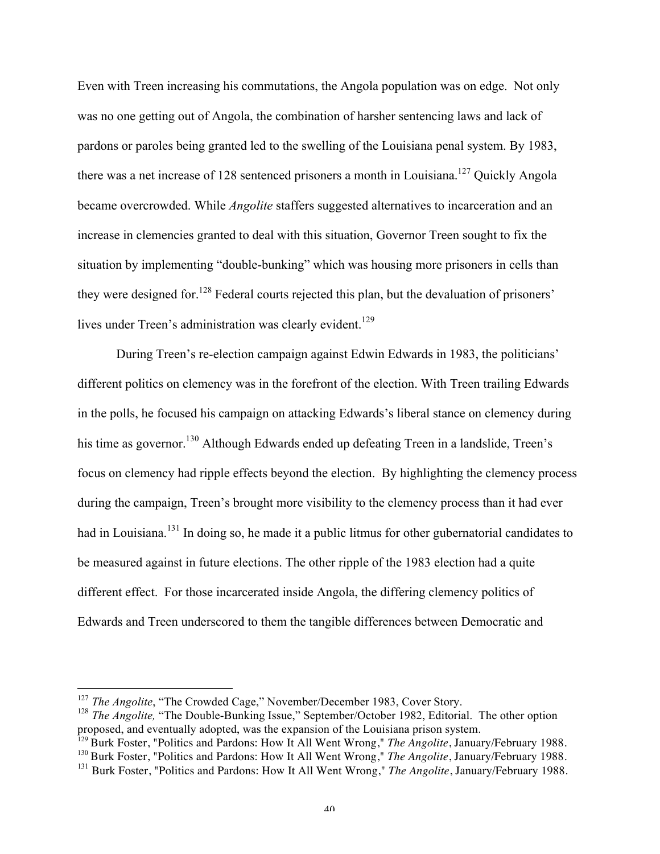Even with Treen increasing his commutations, the Angola population was on edge. Not only was no one getting out of Angola, the combination of harsher sentencing laws and lack of pardons or paroles being granted led to the swelling of the Louisiana penal system. By 1983, there was a net increase of 128 sentenced prisoners a month in Louisiana.<sup>127</sup> Quickly Angola became overcrowded. While *Angolite* staffers suggested alternatives to incarceration and an increase in clemencies granted to deal with this situation, Governor Treen sought to fix the situation by implementing "double-bunking" which was housing more prisoners in cells than they were designed for.<sup>128</sup> Federal courts rejected this plan, but the devaluation of prisoners' lives under Treen's administration was clearly evident.<sup>129</sup>

During Treen's re-election campaign against Edwin Edwards in 1983, the politicians' different politics on clemency was in the forefront of the election. With Treen trailing Edwards in the polls, he focused his campaign on attacking Edwards's liberal stance on clemency during his time as governor.<sup>130</sup> Although Edwards ended up defeating Treen in a landslide, Treen's focus on clemency had ripple effects beyond the election. By highlighting the clemency process during the campaign, Treen's brought more visibility to the clemency process than it had ever had in Louisiana.<sup>131</sup> In doing so, he made it a public litmus for other gubernatorial candidates to be measured against in future elections. The other ripple of the 1983 election had a quite different effect. For those incarcerated inside Angola, the differing clemency politics of Edwards and Treen underscored to them the tangible differences between Democratic and

<sup>&</sup>lt;sup>127</sup> *The Angolite*, "The Crowded Cage," November/December 1983, Cover Story.

<sup>&</sup>lt;sup>128</sup> *The Angolite*, "The Double-Bunking Issue," September/October 1982, Editorial. The other option proposed, and eventually adopted, was the expansion of the Louisiana prison system.

<sup>129</sup> Burk Foster, "Politics and Pardons: How It All Went Wrong," *The Angolite*, January/February 1988.

<sup>130</sup> Burk Foster, "Politics and Pardons: How It All Went Wrong," *The Angolite*, January/February 1988.

<sup>131</sup> Burk Foster, "Politics and Pardons: How It All Went Wrong," *The Angolite*, January/February 1988.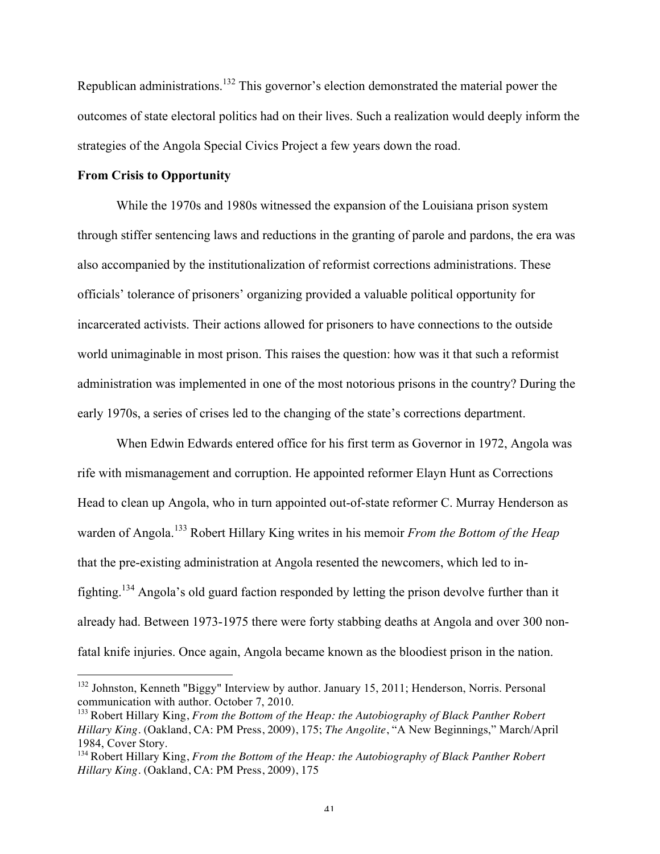Republican administrations.132 This governor's election demonstrated the material power the outcomes of state electoral politics had on their lives. Such a realization would deeply inform the strategies of the Angola Special Civics Project a few years down the road.

#### **From Crisis to Opportunity**

While the 1970s and 1980s witnessed the expansion of the Louisiana prison system through stiffer sentencing laws and reductions in the granting of parole and pardons, the era was also accompanied by the institutionalization of reformist corrections administrations. These officials' tolerance of prisoners' organizing provided a valuable political opportunity for incarcerated activists. Their actions allowed for prisoners to have connections to the outside world unimaginable in most prison. This raises the question: how was it that such a reformist administration was implemented in one of the most notorious prisons in the country? During the early 1970s, a series of crises led to the changing of the state's corrections department.

When Edwin Edwards entered office for his first term as Governor in 1972, Angola was rife with mismanagement and corruption. He appointed reformer Elayn Hunt as Corrections Head to clean up Angola, who in turn appointed out-of-state reformer C. Murray Henderson as warden of Angola.<sup>133</sup> Robert Hillary King writes in his memoir *From the Bottom of the Heap*  that the pre-existing administration at Angola resented the newcomers, which led to infighting.<sup>134</sup> Angola's old guard faction responded by letting the prison devolve further than it already had. Between 1973-1975 there were forty stabbing deaths at Angola and over 300 nonfatal knife injuries. Once again, Angola became known as the bloodiest prison in the nation.

 <sup>132</sup> Johnston, Kenneth "Biggy" Interview by author. January 15, 2011; Henderson, Norris. Personal communication with author. October 7, 2010.

<sup>133</sup> Robert Hillary King, *From the Bottom of the Heap: the Autobiography of Black Panther Robert Hillary King.* (Oakland, CA: PM Press, 2009), 175; *The Angolite*, "A New Beginnings," March/April 1984, Cover Story.

<sup>134</sup> Robert Hillary King, *From the Bottom of the Heap: the Autobiography of Black Panther Robert Hillary King.* (Oakland, CA: PM Press, 2009), 175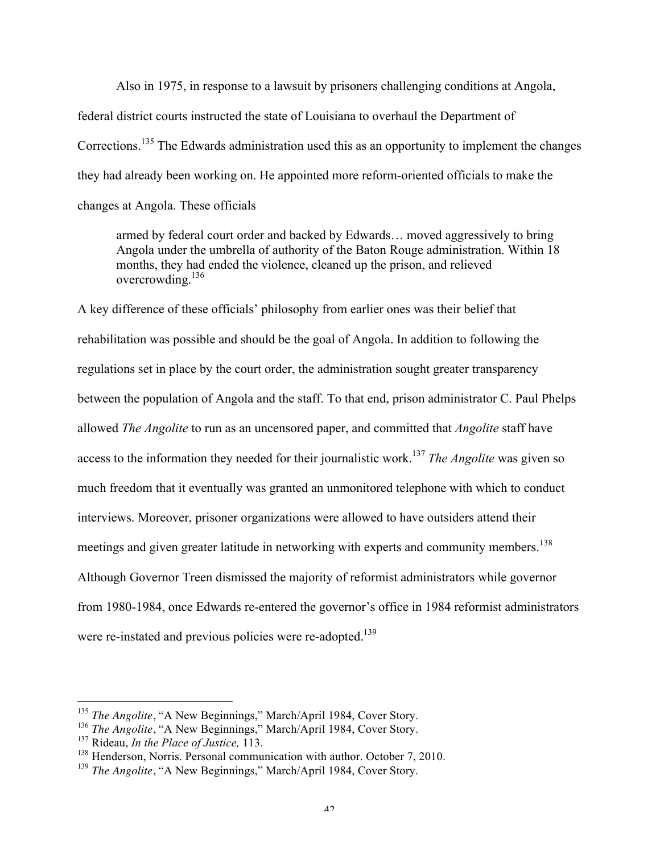Also in 1975, in response to a lawsuit by prisoners challenging conditions at Angola, federal district courts instructed the state of Louisiana to overhaul the Department of Corrections.<sup>135</sup> The Edwards administration used this as an opportunity to implement the changes they had already been working on. He appointed more reform-oriented officials to make the changes at Angola. These officials

armed by federal court order and backed by Edwards… moved aggressively to bring Angola under the umbrella of authority of the Baton Rouge administration. Within 18 months, they had ended the violence, cleaned up the prison, and relieved overcrowding.<sup>136</sup>

A key difference of these officials' philosophy from earlier ones was their belief that rehabilitation was possible and should be the goal of Angola. In addition to following the regulations set in place by the court order, the administration sought greater transparency between the population of Angola and the staff. To that end, prison administrator C. Paul Phelps allowed *The Angolite* to run as an uncensored paper, and committed that *Angolite* staff have access to the information they needed for their journalistic work.<sup>137</sup> *The Angolite* was given so much freedom that it eventually was granted an unmonitored telephone with which to conduct interviews. Moreover, prisoner organizations were allowed to have outsiders attend their meetings and given greater latitude in networking with experts and community members.<sup>138</sup> Although Governor Treen dismissed the majority of reformist administrators while governor from 1980-1984, once Edwards re-entered the governor's office in 1984 reformist administrators were re-instated and previous policies were re-adopted.<sup>139</sup>

<sup>&</sup>lt;sup>135</sup> *The Angolite*, "A New Beginnings," March/April 1984, Cover Story.

<sup>&</sup>lt;sup>136</sup> *The Angolite*, "A New Beginnings," March/April 1984, Cover Story.

<sup>137</sup> Rideau, *In the Place of Justice,* 113.

<sup>&</sup>lt;sup>138</sup> Henderson, Norris. Personal communication with author. October 7, 2010.

<sup>&</sup>lt;sup>139</sup> *The Angolite*, "A New Beginnings," March/April 1984, Cover Story.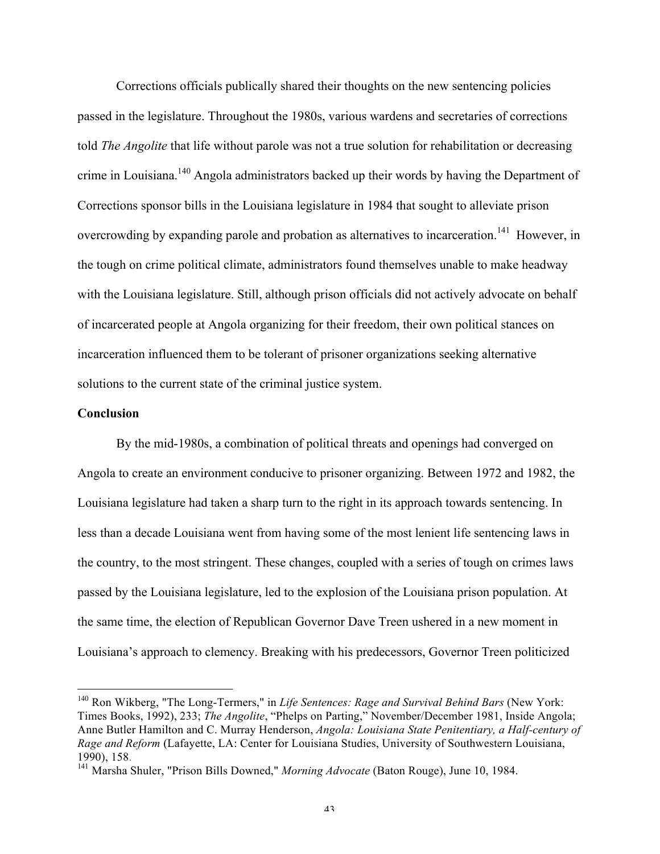Corrections officials publically shared their thoughts on the new sentencing policies passed in the legislature. Throughout the 1980s, various wardens and secretaries of corrections told *The Angolite* that life without parole was not a true solution for rehabilitation or decreasing crime in Louisiana.<sup>140</sup> Angola administrators backed up their words by having the Department of Corrections sponsor bills in the Louisiana legislature in 1984 that sought to alleviate prison overcrowding by expanding parole and probation as alternatives to incarceration.<sup>141</sup> However, in the tough on crime political climate, administrators found themselves unable to make headway with the Louisiana legislature. Still, although prison officials did not actively advocate on behalf of incarcerated people at Angola organizing for their freedom, their own political stances on incarceration influenced them to be tolerant of prisoner organizations seeking alternative solutions to the current state of the criminal justice system.

### **Conclusion**

By the mid-1980s, a combination of political threats and openings had converged on Angola to create an environment conducive to prisoner organizing. Between 1972 and 1982, the Louisiana legislature had taken a sharp turn to the right in its approach towards sentencing. In less than a decade Louisiana went from having some of the most lenient life sentencing laws in the country, to the most stringent. These changes, coupled with a series of tough on crimes laws passed by the Louisiana legislature, led to the explosion of the Louisiana prison population. At the same time, the election of Republican Governor Dave Treen ushered in a new moment in Louisiana's approach to clemency. Breaking with his predecessors, Governor Treen politicized

 <sup>140</sup> Ron Wikberg, "The Long-Termers," in *Life Sentences: Rage and Survival Behind Bars* (New York: Times Books, 1992), 233; *The Angolite*, "Phelps on Parting," November/December 1981, Inside Angola; Anne Butler Hamilton and C. Murray Henderson, *Angola: Louisiana State Penitentiary, a Half-century of Rage and Reform* (Lafayette, LA: Center for Louisiana Studies, University of Southwestern Louisiana, 1990), 158. <sup>141</sup> Marsha Shuler, "Prison Bills Downed," *Morning Advocate* (Baton Rouge), June 10, 1984.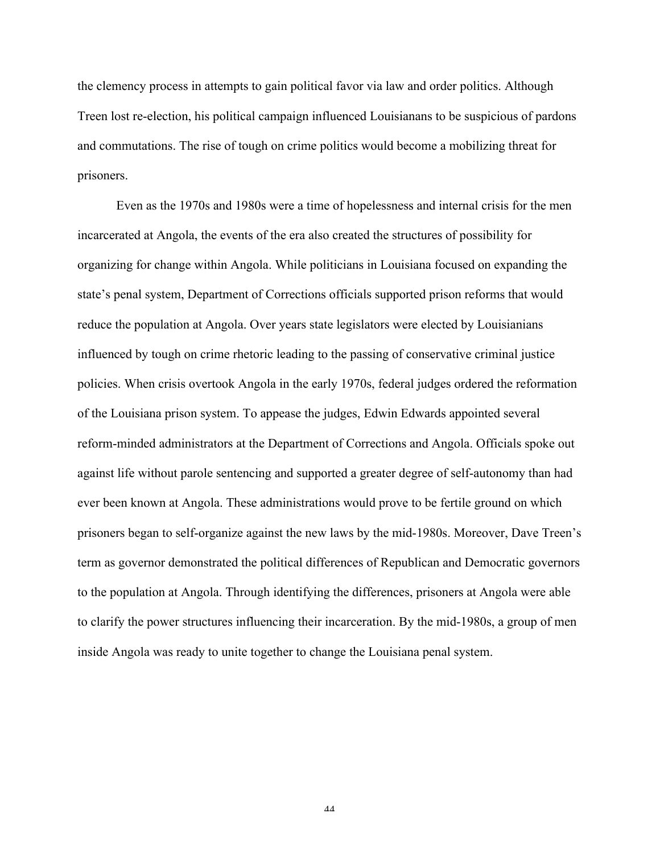the clemency process in attempts to gain political favor via law and order politics. Although Treen lost re-election, his political campaign influenced Louisianans to be suspicious of pardons and commutations. The rise of tough on crime politics would become a mobilizing threat for prisoners.

Even as the 1970s and 1980s were a time of hopelessness and internal crisis for the men incarcerated at Angola, the events of the era also created the structures of possibility for organizing for change within Angola. While politicians in Louisiana focused on expanding the state's penal system, Department of Corrections officials supported prison reforms that would reduce the population at Angola. Over years state legislators were elected by Louisianians influenced by tough on crime rhetoric leading to the passing of conservative criminal justice policies. When crisis overtook Angola in the early 1970s, federal judges ordered the reformation of the Louisiana prison system. To appease the judges, Edwin Edwards appointed several reform-minded administrators at the Department of Corrections and Angola. Officials spoke out against life without parole sentencing and supported a greater degree of self-autonomy than had ever been known at Angola. These administrations would prove to be fertile ground on which prisoners began to self-organize against the new laws by the mid-1980s. Moreover, Dave Treen's term as governor demonstrated the political differences of Republican and Democratic governors to the population at Angola. Through identifying the differences, prisoners at Angola were able to clarify the power structures influencing their incarceration. By the mid-1980s, a group of men inside Angola was ready to unite together to change the Louisiana penal system.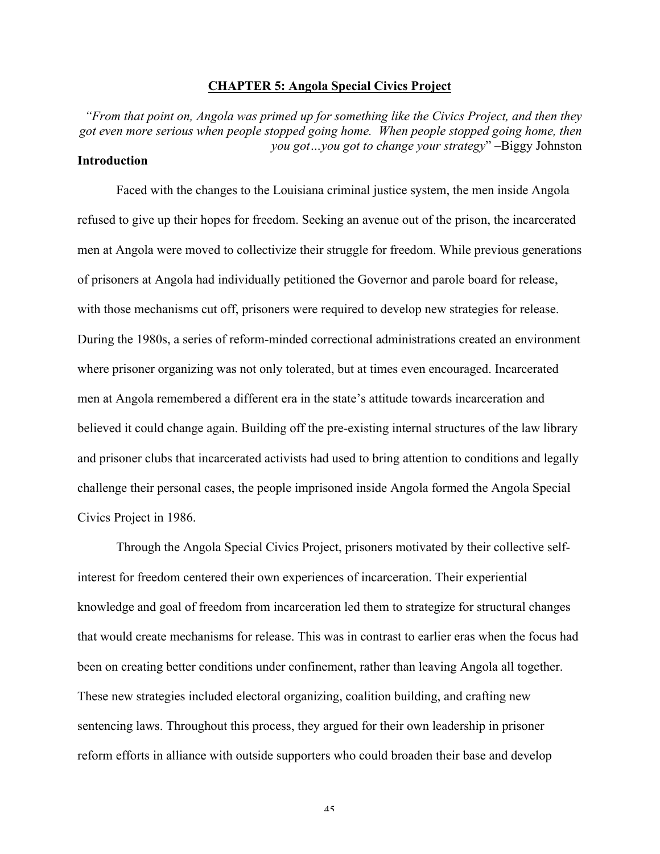### **CHAPTER 5: Angola Special Civics Project**

*"From that point on, Angola was primed up for something like the Civics Project, and then they got even more serious when people stopped going home. When people stopped going home, then you got…you got to change your strategy*" –Biggy Johnston **Introduction**

Faced with the changes to the Louisiana criminal justice system, the men inside Angola refused to give up their hopes for freedom. Seeking an avenue out of the prison, the incarcerated men at Angola were moved to collectivize their struggle for freedom. While previous generations of prisoners at Angola had individually petitioned the Governor and parole board for release, with those mechanisms cut off, prisoners were required to develop new strategies for release. During the 1980s, a series of reform-minded correctional administrations created an environment where prisoner organizing was not only tolerated, but at times even encouraged. Incarcerated men at Angola remembered a different era in the state's attitude towards incarceration and believed it could change again. Building off the pre-existing internal structures of the law library and prisoner clubs that incarcerated activists had used to bring attention to conditions and legally challenge their personal cases, the people imprisoned inside Angola formed the Angola Special Civics Project in 1986.

Through the Angola Special Civics Project, prisoners motivated by their collective selfinterest for freedom centered their own experiences of incarceration. Their experiential knowledge and goal of freedom from incarceration led them to strategize for structural changes that would create mechanisms for release. This was in contrast to earlier eras when the focus had been on creating better conditions under confinement, rather than leaving Angola all together. These new strategies included electoral organizing, coalition building, and crafting new sentencing laws. Throughout this process, they argued for their own leadership in prisoner reform efforts in alliance with outside supporters who could broaden their base and develop

45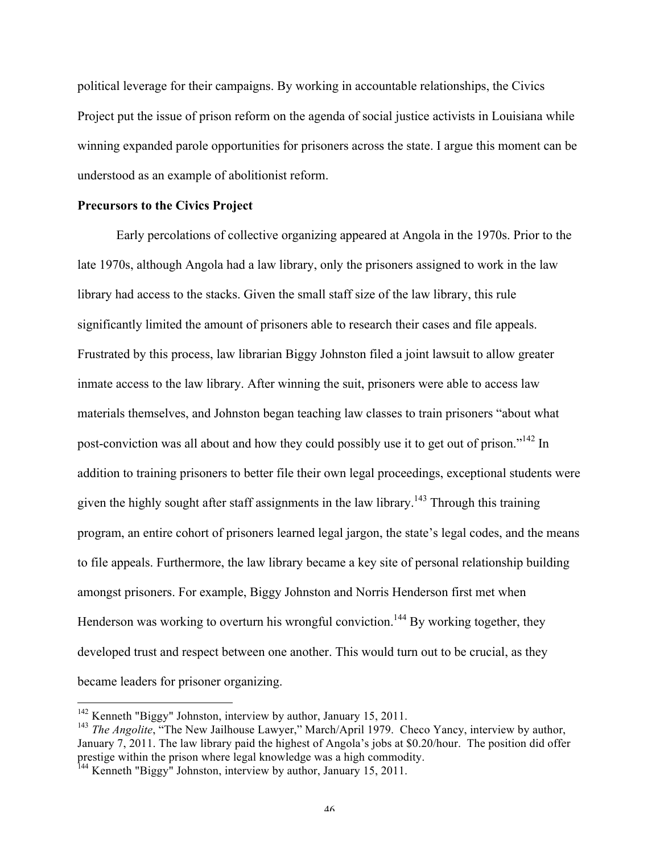political leverage for their campaigns. By working in accountable relationships, the Civics Project put the issue of prison reform on the agenda of social justice activists in Louisiana while winning expanded parole opportunities for prisoners across the state. I argue this moment can be understood as an example of abolitionist reform.

#### **Precursors to the Civics Project**

Early percolations of collective organizing appeared at Angola in the 1970s. Prior to the late 1970s, although Angola had a law library, only the prisoners assigned to work in the law library had access to the stacks. Given the small staff size of the law library, this rule significantly limited the amount of prisoners able to research their cases and file appeals. Frustrated by this process, law librarian Biggy Johnston filed a joint lawsuit to allow greater inmate access to the law library. After winning the suit, prisoners were able to access law materials themselves, and Johnston began teaching law classes to train prisoners "about what post-conviction was all about and how they could possibly use it to get out of prison."142 In addition to training prisoners to better file their own legal proceedings, exceptional students were given the highly sought after staff assignments in the law library.<sup>143</sup> Through this training program, an entire cohort of prisoners learned legal jargon, the state's legal codes, and the means to file appeals. Furthermore, the law library became a key site of personal relationship building amongst prisoners. For example, Biggy Johnston and Norris Henderson first met when Henderson was working to overturn his wrongful conviction.<sup>144</sup> By working together, they developed trust and respect between one another. This would turn out to be crucial, as they became leaders for prisoner organizing.

<sup>&</sup>lt;sup>142</sup> Kenneth "Biggy" Johnston, interview by author, January 15, 2011.

<sup>&</sup>lt;sup>143</sup> *The Angolite*, "The New Jailhouse Lawyer," March/April 1979. Checo Yancy, interview by author, January 7, 2011. The law library paid the highest of Angola's jobs at \$0.20/hour. The position did offer prestige within the prison where legal knowledge was a high commodity. 144 Kenneth "Biggy" Johnston, interview by author, January 15, 2011.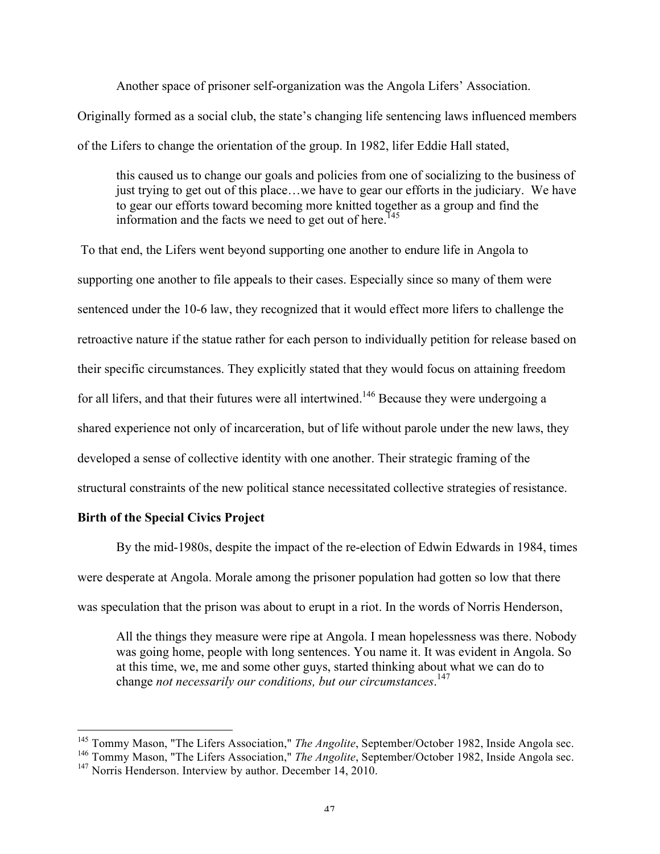Another space of prisoner self-organization was the Angola Lifers' Association. Originally formed as a social club, the state's changing life sentencing laws influenced members of the Lifers to change the orientation of the group. In 1982, lifer Eddie Hall stated,

this caused us to change our goals and policies from one of socializing to the business of just trying to get out of this place…we have to gear our efforts in the judiciary. We have to gear our efforts toward becoming more knitted together as a group and find the information and the facts we need to get out of here.<sup>145</sup>

To that end, the Lifers went beyond supporting one another to endure life in Angola to supporting one another to file appeals to their cases. Especially since so many of them were sentenced under the 10-6 law, they recognized that it would effect more lifers to challenge the retroactive nature if the statue rather for each person to individually petition for release based on their specific circumstances. They explicitly stated that they would focus on attaining freedom for all lifers, and that their futures were all intertwined.<sup>146</sup> Because they were undergoing a shared experience not only of incarceration, but of life without parole under the new laws, they developed a sense of collective identity with one another. Their strategic framing of the structural constraints of the new political stance necessitated collective strategies of resistance.

# **Birth of the Special Civics Project**

By the mid-1980s, despite the impact of the re-election of Edwin Edwards in 1984, times were desperate at Angola. Morale among the prisoner population had gotten so low that there was speculation that the prison was about to erupt in a riot. In the words of Norris Henderson,

All the things they measure were ripe at Angola. I mean hopelessness was there. Nobody was going home, people with long sentences. You name it. It was evident in Angola. So at this time, we, me and some other guys, started thinking about what we can do to change *not necessarily our conditions, but our circumstances*. 147

<sup>&</sup>lt;sup>145</sup> Tommy Mason, "The Lifers Association," *The Angolite*, September/October 1982, Inside Angola sec.

<sup>146</sup> Tommy Mason, "The Lifers Association," *The Angolite*, September/October 1982, Inside Angola sec.

<sup>&</sup>lt;sup>147</sup> Norris Henderson. Interview by author. December 14, 2010.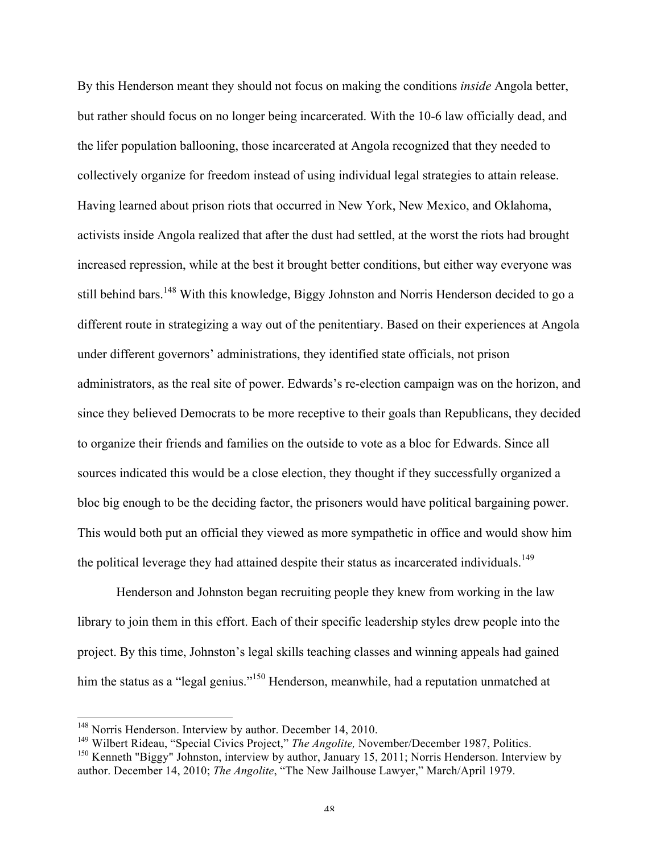By this Henderson meant they should not focus on making the conditions *inside* Angola better, but rather should focus on no longer being incarcerated. With the 10-6 law officially dead, and the lifer population ballooning, those incarcerated at Angola recognized that they needed to collectively organize for freedom instead of using individual legal strategies to attain release. Having learned about prison riots that occurred in New York, New Mexico, and Oklahoma, activists inside Angola realized that after the dust had settled, at the worst the riots had brought increased repression, while at the best it brought better conditions, but either way everyone was still behind bars.<sup>148</sup> With this knowledge, Biggy Johnston and Norris Henderson decided to go a different route in strategizing a way out of the penitentiary. Based on their experiences at Angola under different governors' administrations, they identified state officials, not prison administrators, as the real site of power. Edwards's re-election campaign was on the horizon, and since they believed Democrats to be more receptive to their goals than Republicans, they decided to organize their friends and families on the outside to vote as a bloc for Edwards. Since all sources indicated this would be a close election, they thought if they successfully organized a bloc big enough to be the deciding factor, the prisoners would have political bargaining power. This would both put an official they viewed as more sympathetic in office and would show him the political leverage they had attained despite their status as incarcerated individuals.<sup>149</sup>

Henderson and Johnston began recruiting people they knew from working in the law library to join them in this effort. Each of their specific leadership styles drew people into the project. By this time, Johnston's legal skills teaching classes and winning appeals had gained him the status as a "legal genius."<sup>150</sup> Henderson, meanwhile, had a reputation unmatched at

<sup>&</sup>lt;sup>148</sup> Norris Henderson. Interview by author. December 14, 2010.

<sup>149</sup> Wilbert Rideau, "Special Civics Project," *The Angolite,* November/December 1987, Politics.

<sup>&</sup>lt;sup>150</sup> Kenneth "Biggy" Johnston, interview by author, January 15, 2011; Norris Henderson. Interview by author. December 14, 2010; *The Angolite*, "The New Jailhouse Lawyer," March/April 1979.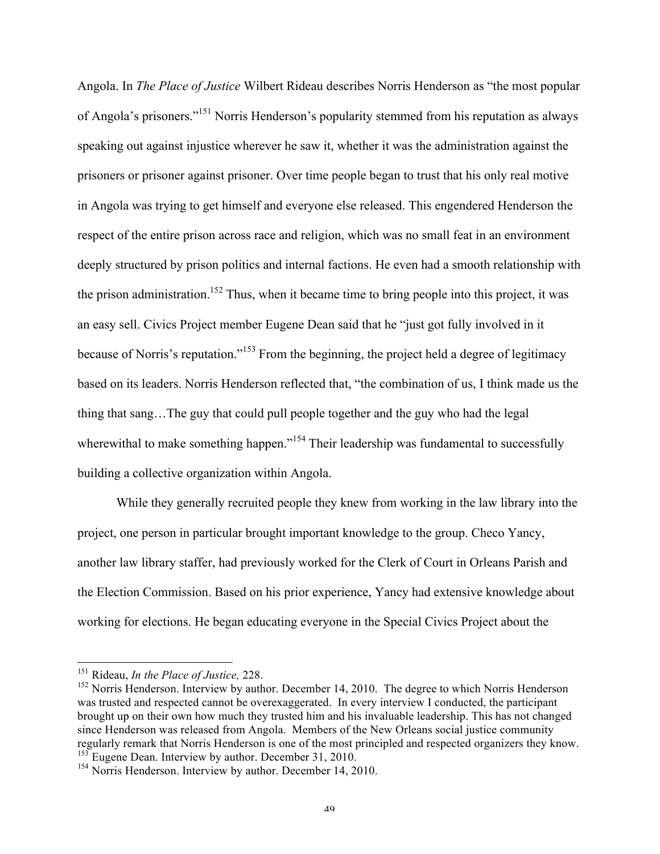Angola. In *The Place of Justice* Wilbert Rideau describes Norris Henderson as "the most popular of Angola's prisoners."<sup>151</sup> Norris Henderson's popularity stemmed from his reputation as always speaking out against injustice wherever he saw it, whether it was the administration against the prisoners or prisoner against prisoner. Over time people began to trust that his only real motive in Angola was trying to get himself and everyone else released. This engendered Henderson the respect of the entire prison across race and religion, which was no small feat in an environment deeply structured by prison politics and internal factions. He even had a smooth relationship with the prison administration.<sup>152</sup> Thus, when it became time to bring people into this project, it was an easy sell. Civics Project member Eugene Dean said that he "just got fully involved in it because of Norris's reputation."<sup>153</sup> From the beginning, the project held a degree of legitimacy based on its leaders. Norris Henderson reflected that, "the combination of us, I think made us the thing that sang…The guy that could pull people together and the guy who had the legal wherewithal to make something happen."<sup>154</sup> Their leadership was fundamental to successfully building a collective organization within Angola.

While they generally recruited people they knew from working in the law library into the project, one person in particular brought important knowledge to the group. Checo Yancy, another law library staffer, had previously worked for the Clerk of Court in Orleans Parish and the Election Commission. Based on his prior experience, Yancy had extensive knowledge about working for elections. He began educating everyone in the Special Civics Project about the

 <sup>151</sup> Rideau, *In the Place of Justice,* 228.

<sup>&</sup>lt;sup>152</sup> Norris Henderson. Interview by author. December 14, 2010. The degree to which Norris Henderson was trusted and respected cannot be overexaggerated. In every interview I conducted, the participant brought up on their own how much they trusted him and his invaluable leadership. This has not changed since Henderson was released from Angola. Members of the New Orleans social justice community regularly remark that Norris Henderson is one of the most principled and respected organizers they know. <sup>153</sup> Eugene Dean. Interview by author. December 31, 2010.

<sup>&</sup>lt;sup>154</sup> Norris Henderson. Interview by author. December 14, 2010.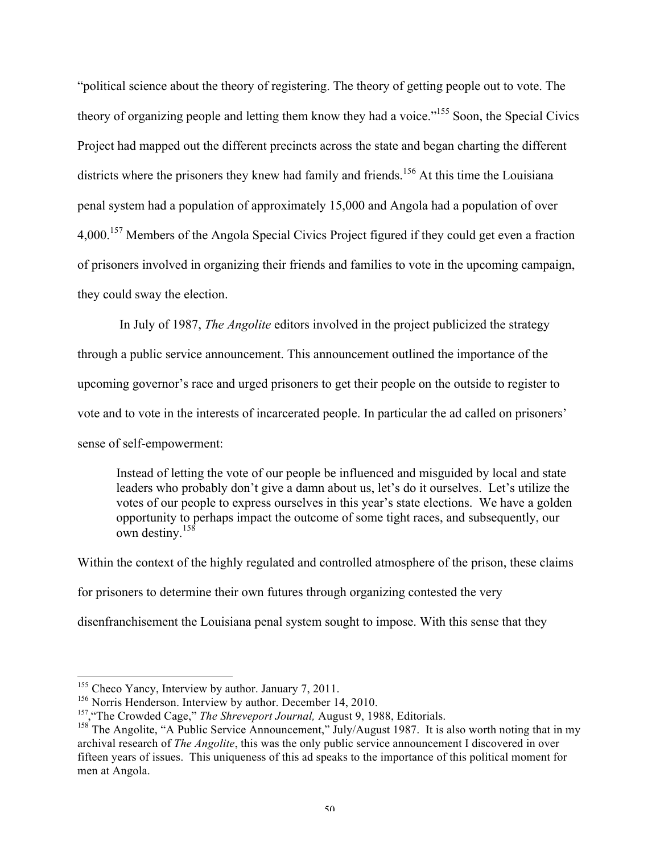"political science about the theory of registering. The theory of getting people out to vote. The theory of organizing people and letting them know they had a voice."155 Soon, the Special Civics Project had mapped out the different precincts across the state and began charting the different districts where the prisoners they knew had family and friends.<sup>156</sup> At this time the Louisiana penal system had a population of approximately 15,000 and Angola had a population of over 4,000.<sup>157</sup> Members of the Angola Special Civics Project figured if they could get even a fraction of prisoners involved in organizing their friends and families to vote in the upcoming campaign, they could sway the election.

In July of 1987, *The Angolite* editors involved in the project publicized the strategy through a public service announcement. This announcement outlined the importance of the upcoming governor's race and urged prisoners to get their people on the outside to register to vote and to vote in the interests of incarcerated people. In particular the ad called on prisoners' sense of self-empowerment:

Instead of letting the vote of our people be influenced and misguided by local and state leaders who probably don't give a damn about us, let's do it ourselves. Let's utilize the votes of our people to express ourselves in this year's state elections. We have a golden opportunity to perhaps impact the outcome of some tight races, and subsequently, our own destiny.<sup>158</sup>

Within the context of the highly regulated and controlled atmosphere of the prison, these claims for prisoners to determine their own futures through organizing contested the very disenfranchisement the Louisiana penal system sought to impose. With this sense that they

<sup>&</sup>lt;sup>155</sup> Checo Yancy, Interview by author. January 7, 2011.

<sup>&</sup>lt;sup>156</sup> Norris Henderson. Interview by author. December 14, 2010.<br><sup>157</sup>, "The Crowded Cage," *The Shreveport Journal*, August 9, 1988, Editorials.

<sup>&</sup>lt;sup>158</sup> The Angolite, "A Public Service Announcement," July/August 1987. It is also worth noting that in my archival research of *The Angolite*, this was the only public service announcement I discovered in over fifteen years of issues. This uniqueness of this ad speaks to the importance of this political moment for men at Angola.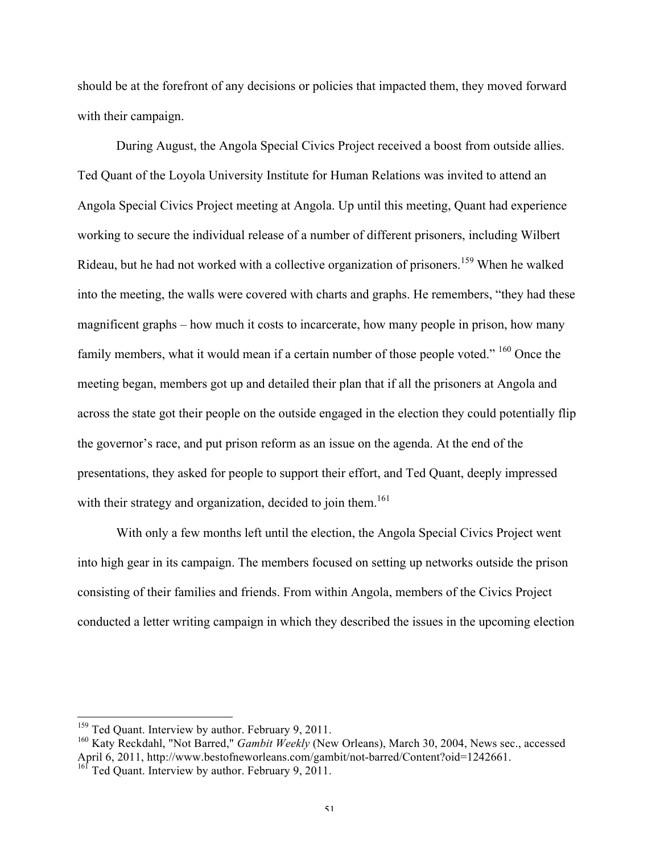should be at the forefront of any decisions or policies that impacted them, they moved forward with their campaign.

During August, the Angola Special Civics Project received a boost from outside allies. Ted Quant of the Loyola University Institute for Human Relations was invited to attend an Angola Special Civics Project meeting at Angola. Up until this meeting, Quant had experience working to secure the individual release of a number of different prisoners, including Wilbert Rideau, but he had not worked with a collective organization of prisoners.<sup>159</sup> When he walked into the meeting, the walls were covered with charts and graphs. He remembers, "they had these magnificent graphs – how much it costs to incarcerate, how many people in prison, how many family members, what it would mean if a certain number of those people voted." <sup>160</sup> Once the meeting began, members got up and detailed their plan that if all the prisoners at Angola and across the state got their people on the outside engaged in the election they could potentially flip the governor's race, and put prison reform as an issue on the agenda. At the end of the presentations, they asked for people to support their effort, and Ted Quant, deeply impressed with their strategy and organization, decided to join them.<sup>161</sup>

With only a few months left until the election, the Angola Special Civics Project went into high gear in its campaign. The members focused on setting up networks outside the prison consisting of their families and friends. From within Angola, members of the Civics Project conducted a letter writing campaign in which they described the issues in the upcoming election

<sup>&</sup>lt;sup>159</sup> Ted Quant. Interview by author. February 9, 2011.

<sup>&</sup>lt;sup>160</sup> Katy Reckdahl, "Not Barred," *Gambit Weekly* (New Orleans), March 30, 2004, News sec., accessed April 6, 2011, http://www.bestofneworleans.com/gambit/not-barred/Content?oid=1242661.

<sup>&</sup>lt;sup>161</sup> Ted Quant. Interview by author. February 9, 2011.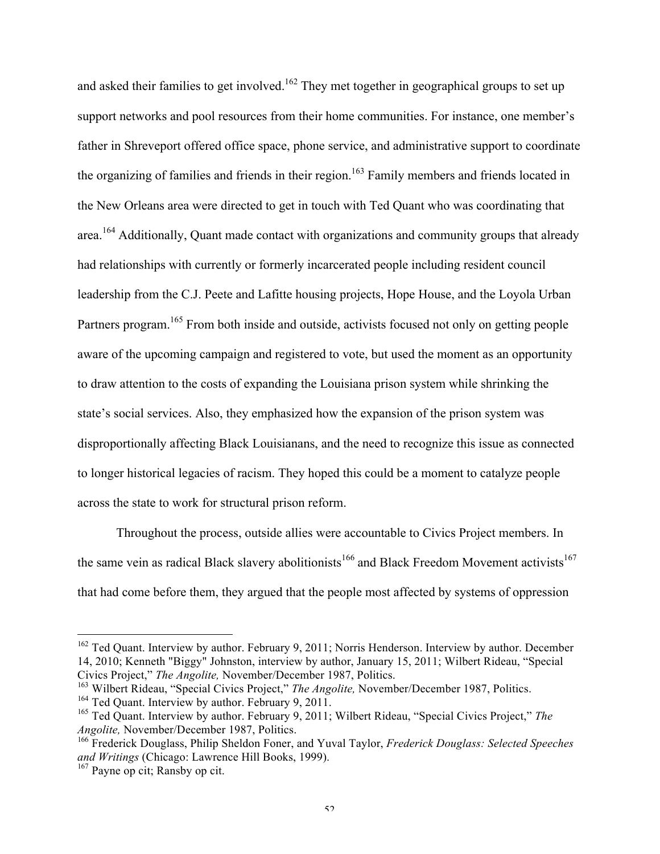and asked their families to get involved.<sup>162</sup> They met together in geographical groups to set up support networks and pool resources from their home communities. For instance, one member's father in Shreveport offered office space, phone service, and administrative support to coordinate the organizing of families and friends in their region.<sup>163</sup> Family members and friends located in the New Orleans area were directed to get in touch with Ted Quant who was coordinating that area.<sup>164</sup> Additionally, Quant made contact with organizations and community groups that already had relationships with currently or formerly incarcerated people including resident council leadership from the C.J. Peete and Lafitte housing projects, Hope House, and the Loyola Urban Partners program.<sup>165</sup> From both inside and outside, activists focused not only on getting people aware of the upcoming campaign and registered to vote, but used the moment as an opportunity to draw attention to the costs of expanding the Louisiana prison system while shrinking the state's social services. Also, they emphasized how the expansion of the prison system was disproportionally affecting Black Louisianans, and the need to recognize this issue as connected to longer historical legacies of racism. They hoped this could be a moment to catalyze people across the state to work for structural prison reform.

Throughout the process, outside allies were accountable to Civics Project members. In the same vein as radical Black slavery abolitionists<sup>166</sup> and Black Freedom Movement activists<sup>167</sup> that had come before them, they argued that the people most affected by systems of oppression

<sup>&</sup>lt;sup>162</sup> Ted Quant. Interview by author. February 9, 2011; Norris Henderson. Interview by author. December 14, 2010; Kenneth "Biggy" Johnston, interview by author, January 15, 2011; Wilbert Rideau, "Special Civics Project," *The Angolite,* November/December 1987, Politics.

<sup>&</sup>lt;sup>163</sup> Wilbert Rideau, "Special Civics Project," *The Angolite*, November/December 1987, Politics. <sup>164</sup> Ted Quant. Interview by author. February 9, 2011.

<sup>165</sup> Ted Quant. Interview by author. February 9, 2011; Wilbert Rideau, "Special Civics Project," *The Angolite,* November/December 1987, Politics.

<sup>166</sup> Frederick Douglass, Philip Sheldon Foner, and Yuval Taylor, *Frederick Douglass: Selected Speeches and Writings* (Chicago: Lawrence Hill Books, 1999).

<sup>&</sup>lt;sup>167</sup> Payne op cit; Ransby op cit.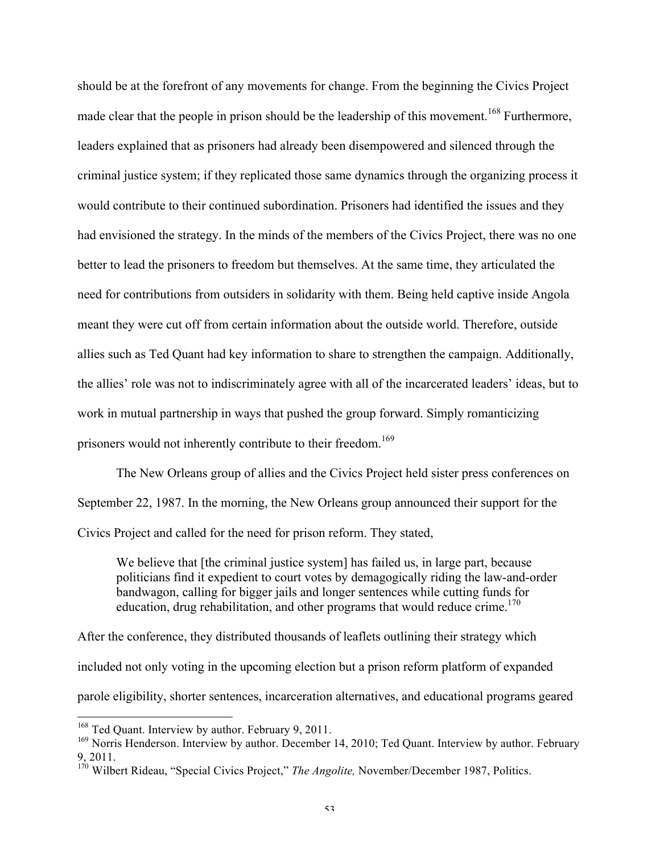should be at the forefront of any movements for change. From the beginning the Civics Project made clear that the people in prison should be the leadership of this movement.<sup>168</sup> Furthermore, leaders explained that as prisoners had already been disempowered and silenced through the criminal justice system; if they replicated those same dynamics through the organizing process it would contribute to their continued subordination. Prisoners had identified the issues and they had envisioned the strategy. In the minds of the members of the Civics Project, there was no one better to lead the prisoners to freedom but themselves. At the same time, they articulated the need for contributions from outsiders in solidarity with them. Being held captive inside Angola meant they were cut off from certain information about the outside world. Therefore, outside allies such as Ted Quant had key information to share to strengthen the campaign. Additionally, the allies' role was not to indiscriminately agree with all of the incarcerated leaders' ideas, but to work in mutual partnership in ways that pushed the group forward. Simply romanticizing prisoners would not inherently contribute to their freedom.<sup>169</sup>

The New Orleans group of allies and the Civics Project held sister press conferences on September 22, 1987. In the morning, the New Orleans group announced their support for the Civics Project and called for the need for prison reform. They stated,

We believe that [the criminal justice system] has failed us, in large part, because politicians find it expedient to court votes by demagogically riding the law-and-order bandwagon, calling for bigger jails and longer sentences while cutting funds for education, drug rehabilitation, and other programs that would reduce crime.<sup>170</sup>

After the conference, they distributed thousands of leaflets outlining their strategy which included not only voting in the upcoming election but a prison reform platform of expanded parole eligibility, shorter sentences, incarceration alternatives, and educational programs geared

<sup>&</sup>lt;sup>168</sup> Ted Quant. Interview by author. February 9, 2011.

<sup>&</sup>lt;sup>169</sup> Norris Henderson. Interview by author. December 14, 2010; Ted Quant. Interview by author. February 9, 2011.

<sup>170</sup> Wilbert Rideau, "Special Civics Project," *The Angolite,* November/December 1987, Politics.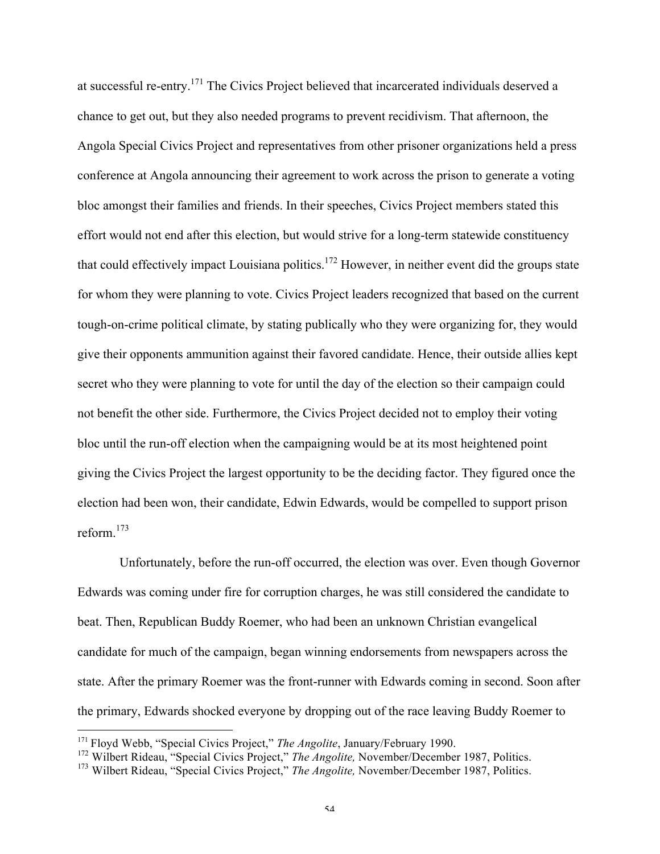at successful re-entry.171 The Civics Project believed that incarcerated individuals deserved a chance to get out, but they also needed programs to prevent recidivism. That afternoon, the Angola Special Civics Project and representatives from other prisoner organizations held a press conference at Angola announcing their agreement to work across the prison to generate a voting bloc amongst their families and friends. In their speeches, Civics Project members stated this effort would not end after this election, but would strive for a long-term statewide constituency that could effectively impact Louisiana politics.<sup>172</sup> However, in neither event did the groups state for whom they were planning to vote. Civics Project leaders recognized that based on the current tough-on-crime political climate, by stating publically who they were organizing for, they would give their opponents ammunition against their favored candidate. Hence, their outside allies kept secret who they were planning to vote for until the day of the election so their campaign could not benefit the other side. Furthermore, the Civics Project decided not to employ their voting bloc until the run-off election when the campaigning would be at its most heightened point giving the Civics Project the largest opportunity to be the deciding factor. They figured once the election had been won, their candidate, Edwin Edwards, would be compelled to support prison reform  $173$ 

Unfortunately, before the run-off occurred, the election was over. Even though Governor Edwards was coming under fire for corruption charges, he was still considered the candidate to beat. Then, Republican Buddy Roemer, who had been an unknown Christian evangelical candidate for much of the campaign, began winning endorsements from newspapers across the state. After the primary Roemer was the front-runner with Edwards coming in second. Soon after the primary, Edwards shocked everyone by dropping out of the race leaving Buddy Roemer to

 <sup>171</sup> Floyd Webb, "Special Civics Project," *The Angolite*, January/February 1990.

<sup>&</sup>lt;sup>172</sup> Wilbert Rideau, "Special Civics Project," *The Angolite*, November/December 1987, Politics.

<sup>173</sup> Wilbert Rideau, "Special Civics Project," *The Angolite,* November/December 1987, Politics.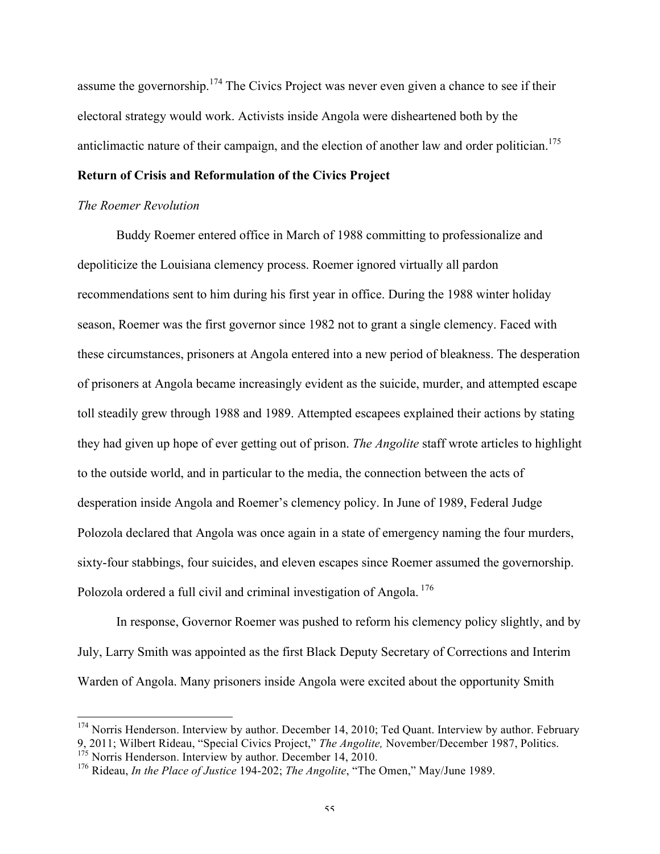assume the governorship.<sup>174</sup> The Civics Project was never even given a chance to see if their electoral strategy would work. Activists inside Angola were disheartened both by the anticlimactic nature of their campaign, and the election of another law and order politician.<sup>175</sup>

## **Return of Crisis and Reformulation of the Civics Project**

#### *The Roemer Revolution*

Buddy Roemer entered office in March of 1988 committing to professionalize and depoliticize the Louisiana clemency process. Roemer ignored virtually all pardon recommendations sent to him during his first year in office. During the 1988 winter holiday season, Roemer was the first governor since 1982 not to grant a single clemency. Faced with these circumstances, prisoners at Angola entered into a new period of bleakness. The desperation of prisoners at Angola became increasingly evident as the suicide, murder, and attempted escape toll steadily grew through 1988 and 1989. Attempted escapees explained their actions by stating they had given up hope of ever getting out of prison. *The Angolite* staff wrote articles to highlight to the outside world, and in particular to the media, the connection between the acts of desperation inside Angola and Roemer's clemency policy. In June of 1989, Federal Judge Polozola declared that Angola was once again in a state of emergency naming the four murders, sixty-four stabbings, four suicides, and eleven escapes since Roemer assumed the governorship. Polozola ordered a full civil and criminal investigation of Angola.<sup>176</sup>

In response, Governor Roemer was pushed to reform his clemency policy slightly, and by July, Larry Smith was appointed as the first Black Deputy Secretary of Corrections and Interim Warden of Angola. Many prisoners inside Angola were excited about the opportunity Smith

<sup>&</sup>lt;sup>174</sup> Norris Henderson. Interview by author. December 14, 2010; Ted Quant. Interview by author. February 9, 2011; Wilbert Rideau, "Special Civics Project," *The Angolite,* November/December 1987, Politics.

 $175$  Norris Henderson. Interview by author. December 14, 2010.

<sup>176</sup> Rideau, *In the Place of Justice* 194-202; *The Angolite*, "The Omen," May/June 1989.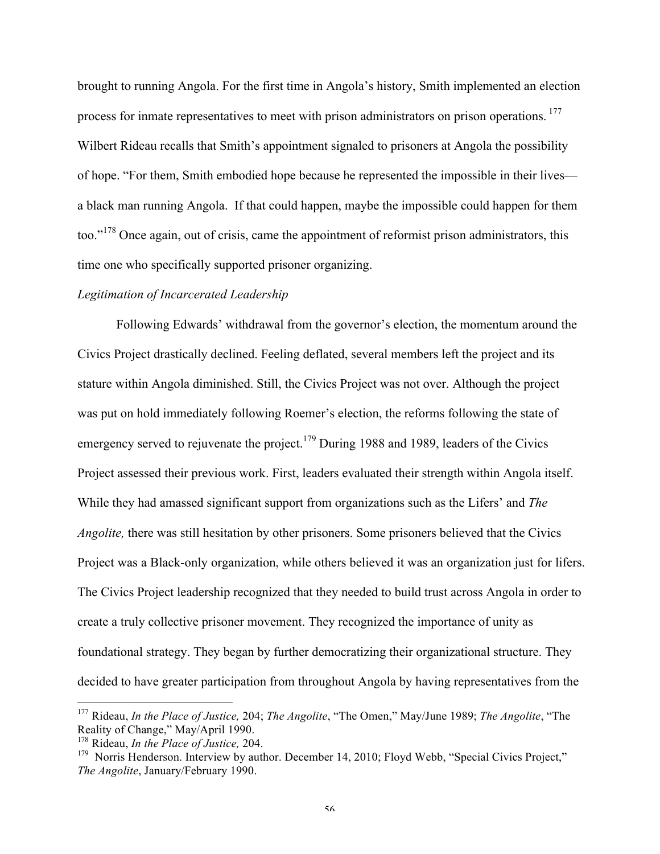brought to running Angola. For the first time in Angola's history, Smith implemented an election process for inmate representatives to meet with prison administrators on prison operations.<sup>177</sup> Wilbert Rideau recalls that Smith's appointment signaled to prisoners at Angola the possibility of hope. "For them, Smith embodied hope because he represented the impossible in their lives a black man running Angola. If that could happen, maybe the impossible could happen for them too."<sup>178</sup> Once again, out of crisis, came the appointment of reformist prison administrators, this time one who specifically supported prisoner organizing.

### *Legitimation of Incarcerated Leadership*

Following Edwards' withdrawal from the governor's election, the momentum around the Civics Project drastically declined. Feeling deflated, several members left the project and its stature within Angola diminished. Still, the Civics Project was not over. Although the project was put on hold immediately following Roemer's election, the reforms following the state of emergency served to rejuvenate the project.<sup>179</sup> During 1988 and 1989, leaders of the Civics Project assessed their previous work. First, leaders evaluated their strength within Angola itself. While they had amassed significant support from organizations such as the Lifers' and *The Angolite,* there was still hesitation by other prisoners. Some prisoners believed that the Civics Project was a Black-only organization, while others believed it was an organization just for lifers. The Civics Project leadership recognized that they needed to build trust across Angola in order to create a truly collective prisoner movement. They recognized the importance of unity as foundational strategy. They began by further democratizing their organizational structure. They decided to have greater participation from throughout Angola by having representatives from the

 <sup>177</sup> Rideau, *In the Place of Justice,* 204; *The Angolite*, "The Omen," May/June 1989; *The Angolite*, "The Reality of Change," May/April 1990.

<sup>178</sup> Rideau, *In the Place of Justice,* 204.

<sup>&</sup>lt;sup>179</sup> Norris Henderson. Interview by author. December 14, 2010; Floyd Webb, "Special Civics Project," *The Angolite*, January/February 1990.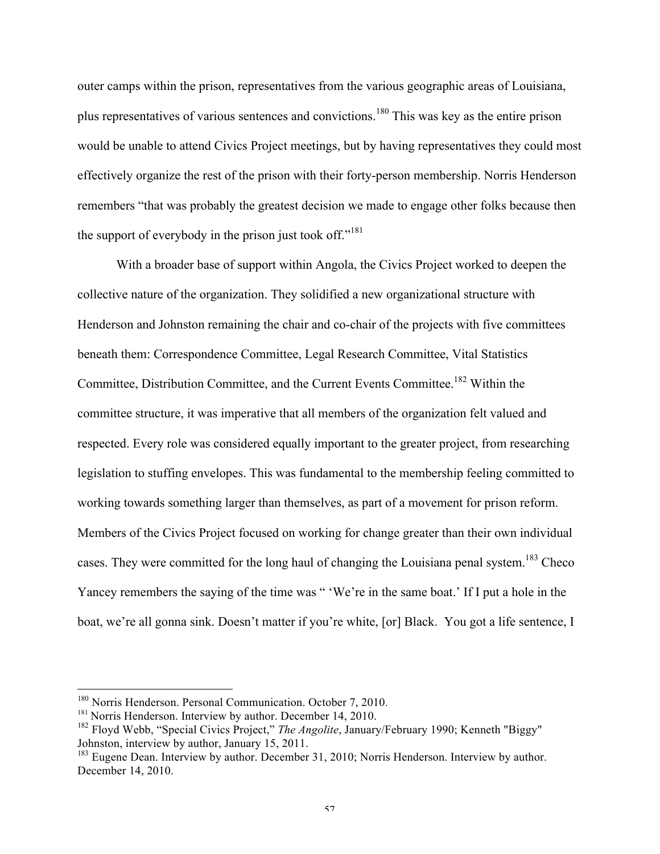outer camps within the prison, representatives from the various geographic areas of Louisiana, plus representatives of various sentences and convictions.<sup>180</sup> This was key as the entire prison would be unable to attend Civics Project meetings, but by having representatives they could most effectively organize the rest of the prison with their forty-person membership. Norris Henderson remembers "that was probably the greatest decision we made to engage other folks because then the support of everybody in the prison just took off."<sup>181</sup>

With a broader base of support within Angola, the Civics Project worked to deepen the collective nature of the organization. They solidified a new organizational structure with Henderson and Johnston remaining the chair and co-chair of the projects with five committees beneath them: Correspondence Committee, Legal Research Committee, Vital Statistics Committee, Distribution Committee, and the Current Events Committee.182 Within the committee structure, it was imperative that all members of the organization felt valued and respected. Every role was considered equally important to the greater project, from researching legislation to stuffing envelopes. This was fundamental to the membership feeling committed to working towards something larger than themselves, as part of a movement for prison reform. Members of the Civics Project focused on working for change greater than their own individual cases. They were committed for the long haul of changing the Louisiana penal system.<sup>183</sup> Checo Yancey remembers the saying of the time was " 'We're in the same boat.' If I put a hole in the boat, we're all gonna sink. Doesn't matter if you're white, [or] Black. You got a life sentence, I

<sup>&</sup>lt;sup>180</sup> Norris Henderson. Personal Communication. October 7, 2010.<br><sup>181</sup> Norris Henderson. Interview by author. December 14, 2010.<br><sup>182</sup> Floyd Webb, "Special Civics Project," *The Angolite*, January/February 1990; Kenneth " Johnston, interview by author, January 15, 2011.

<sup>&</sup>lt;sup>183</sup> Eugene Dean. Interview by author. December 31, 2010; Norris Henderson. Interview by author. December 14, 2010.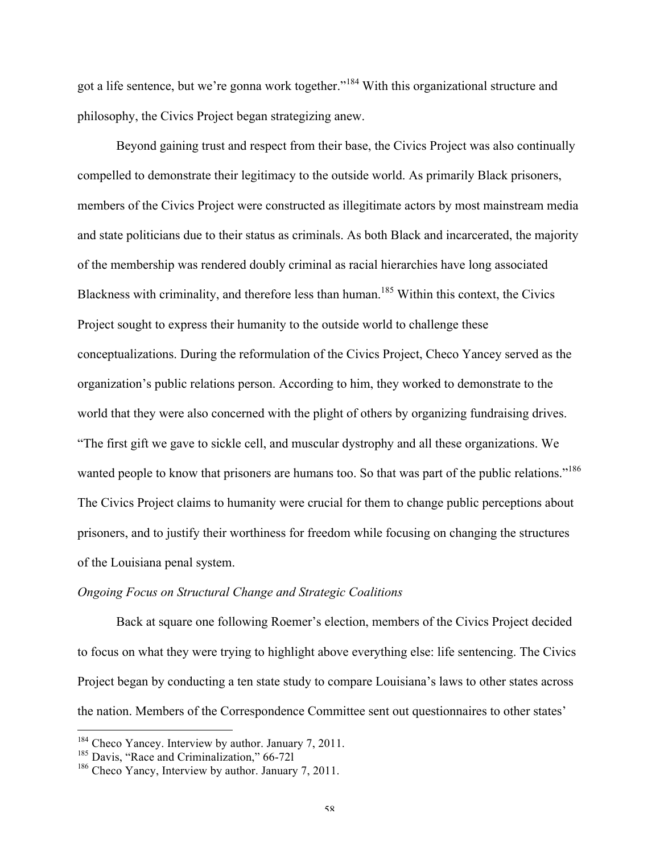got a life sentence, but we're gonna work together."<sup>184</sup> With this organizational structure and philosophy, the Civics Project began strategizing anew.

Beyond gaining trust and respect from their base, the Civics Project was also continually compelled to demonstrate their legitimacy to the outside world. As primarily Black prisoners, members of the Civics Project were constructed as illegitimate actors by most mainstream media and state politicians due to their status as criminals. As both Black and incarcerated, the majority of the membership was rendered doubly criminal as racial hierarchies have long associated Blackness with criminality, and therefore less than human.<sup>185</sup> Within this context, the Civics Project sought to express their humanity to the outside world to challenge these conceptualizations. During the reformulation of the Civics Project, Checo Yancey served as the organization's public relations person. According to him, they worked to demonstrate to the world that they were also concerned with the plight of others by organizing fundraising drives. "The first gift we gave to sickle cell, and muscular dystrophy and all these organizations. We wanted people to know that prisoners are humans too. So that was part of the public relations."<sup>186</sup> The Civics Project claims to humanity were crucial for them to change public perceptions about prisoners, and to justify their worthiness for freedom while focusing on changing the structures of the Louisiana penal system.

### *Ongoing Focus on Structural Change and Strategic Coalitions*

Back at square one following Roemer's election, members of the Civics Project decided to focus on what they were trying to highlight above everything else: life sentencing. The Civics Project began by conducting a ten state study to compare Louisiana's laws to other states across the nation. Members of the Correspondence Committee sent out questionnaires to other states'

<sup>&</sup>lt;sup>184</sup> Checo Yancey. Interview by author. January 7, 2011.<br><sup>185</sup> Davis, "Race and Criminalization," 66-721

 $186$  Checo Yancy, Interview by author. January 7, 2011.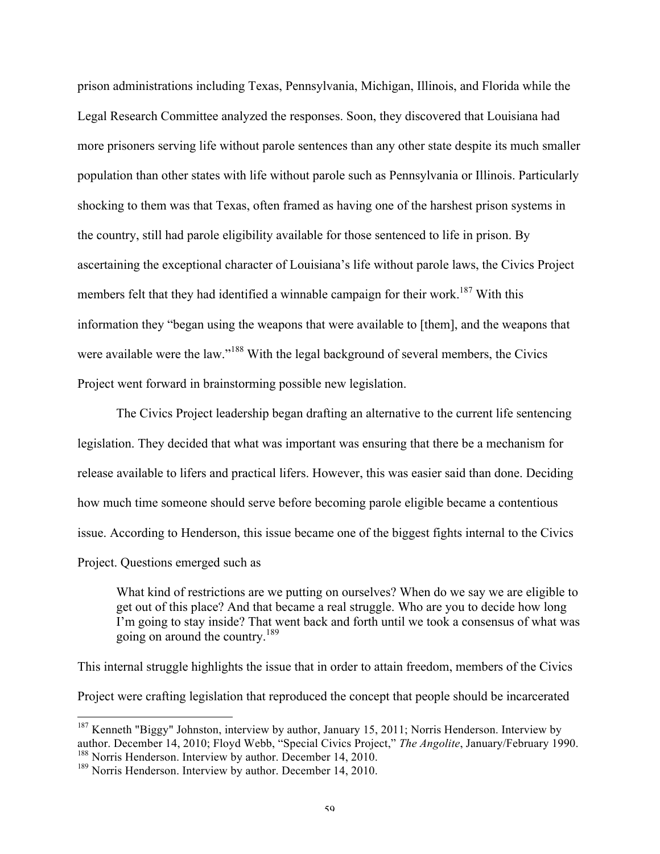prison administrations including Texas, Pennsylvania, Michigan, Illinois, and Florida while the Legal Research Committee analyzed the responses. Soon, they discovered that Louisiana had more prisoners serving life without parole sentences than any other state despite its much smaller population than other states with life without parole such as Pennsylvania or Illinois. Particularly shocking to them was that Texas, often framed as having one of the harshest prison systems in the country, still had parole eligibility available for those sentenced to life in prison. By ascertaining the exceptional character of Louisiana's life without parole laws, the Civics Project members felt that they had identified a winnable campaign for their work.<sup>187</sup> With this information they "began using the weapons that were available to [them], and the weapons that were available were the law."<sup>188</sup> With the legal background of several members, the Civics Project went forward in brainstorming possible new legislation.

The Civics Project leadership began drafting an alternative to the current life sentencing legislation. They decided that what was important was ensuring that there be a mechanism for release available to lifers and practical lifers. However, this was easier said than done. Deciding how much time someone should serve before becoming parole eligible became a contentious issue. According to Henderson, this issue became one of the biggest fights internal to the Civics Project. Questions emerged such as

What kind of restrictions are we putting on ourselves? When do we say we are eligible to get out of this place? And that became a real struggle. Who are you to decide how long I'm going to stay inside? That went back and forth until we took a consensus of what was going on around the country.<sup>189</sup>

This internal struggle highlights the issue that in order to attain freedom, members of the Civics Project were crafting legislation that reproduced the concept that people should be incarcerated

<sup>&</sup>lt;sup>187</sup> Kenneth "Biggy" Johnston, interview by author, January 15, 2011; Norris Henderson. Interview by author. December 14, 2010; Floyd Webb, "Special Civics Project," *The Angolite*, January/February 1990. <sup>188</sup> Norris Henderson. Interview by author. December 14, 2010.

<sup>&</sup>lt;sup>189</sup> Norris Henderson. Interview by author. December 14, 2010.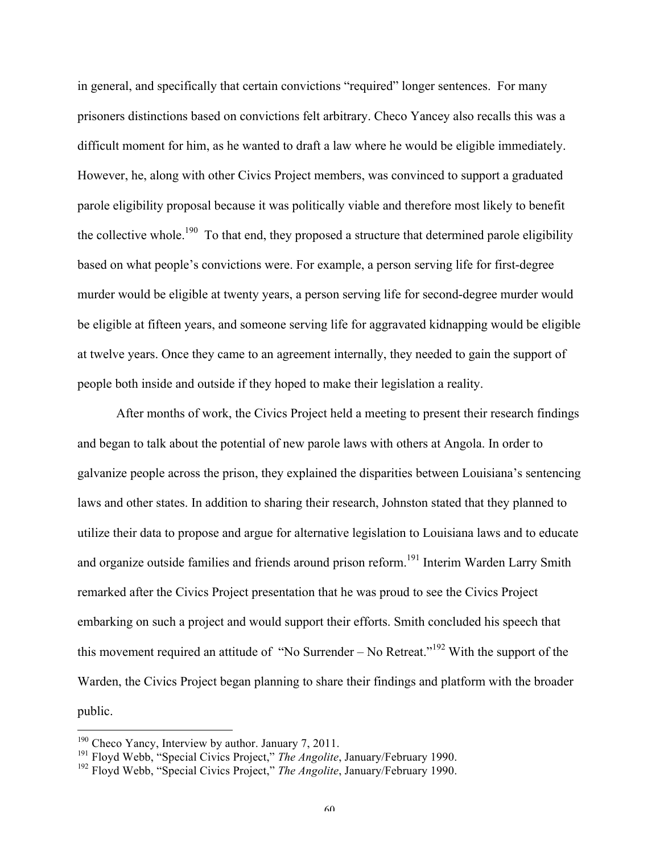in general, and specifically that certain convictions "required" longer sentences. For many prisoners distinctions based on convictions felt arbitrary. Checo Yancey also recalls this was a difficult moment for him, as he wanted to draft a law where he would be eligible immediately. However, he, along with other Civics Project members, was convinced to support a graduated parole eligibility proposal because it was politically viable and therefore most likely to benefit the collective whole.<sup>190</sup> To that end, they proposed a structure that determined parole eligibility based on what people's convictions were. For example, a person serving life for first-degree murder would be eligible at twenty years, a person serving life for second-degree murder would be eligible at fifteen years, and someone serving life for aggravated kidnapping would be eligible at twelve years. Once they came to an agreement internally, they needed to gain the support of people both inside and outside if they hoped to make their legislation a reality.

After months of work, the Civics Project held a meeting to present their research findings and began to talk about the potential of new parole laws with others at Angola. In order to galvanize people across the prison, they explained the disparities between Louisiana's sentencing laws and other states. In addition to sharing their research, Johnston stated that they planned to utilize their data to propose and argue for alternative legislation to Louisiana laws and to educate and organize outside families and friends around prison reform.<sup>191</sup> Interim Warden Larry Smith remarked after the Civics Project presentation that he was proud to see the Civics Project embarking on such a project and would support their efforts. Smith concluded his speech that this movement required an attitude of "No Surrender – No Retreat."<sup>192</sup> With the support of the Warden, the Civics Project began planning to share their findings and platform with the broader public.

<sup>&</sup>lt;sup>190</sup> Checo Yancy, Interview by author. January 7, 2011.

<sup>191</sup> Floyd Webb, "Special Civics Project," *The Angolite*, January/February 1990.

<sup>192</sup> Floyd Webb, "Special Civics Project," *The Angolite*, January/February 1990.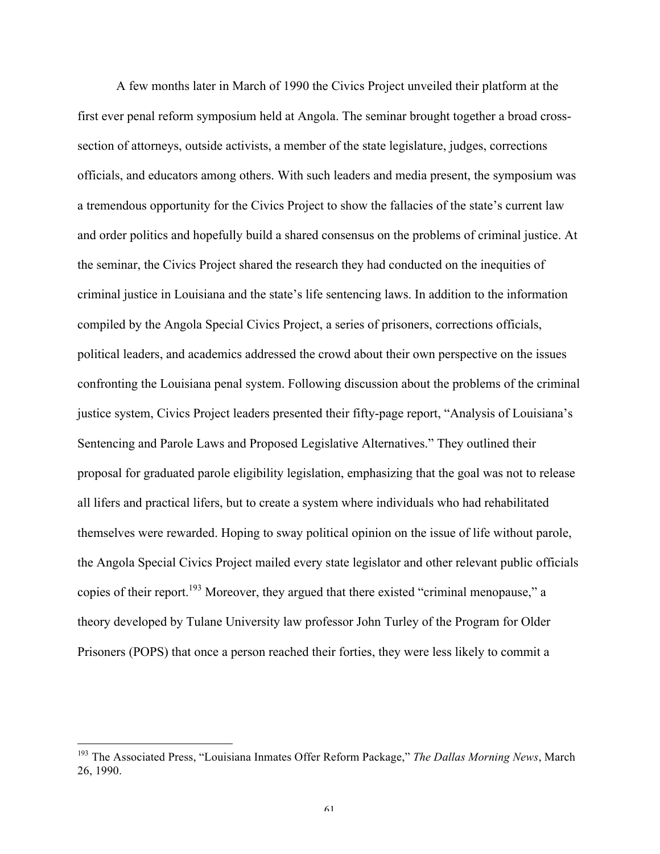A few months later in March of 1990 the Civics Project unveiled their platform at the first ever penal reform symposium held at Angola. The seminar brought together a broad crosssection of attorneys, outside activists, a member of the state legislature, judges, corrections officials, and educators among others. With such leaders and media present, the symposium was a tremendous opportunity for the Civics Project to show the fallacies of the state's current law and order politics and hopefully build a shared consensus on the problems of criminal justice. At the seminar, the Civics Project shared the research they had conducted on the inequities of criminal justice in Louisiana and the state's life sentencing laws. In addition to the information compiled by the Angola Special Civics Project, a series of prisoners, corrections officials, political leaders, and academics addressed the crowd about their own perspective on the issues confronting the Louisiana penal system. Following discussion about the problems of the criminal justice system, Civics Project leaders presented their fifty-page report, "Analysis of Louisiana's Sentencing and Parole Laws and Proposed Legislative Alternatives." They outlined their proposal for graduated parole eligibility legislation, emphasizing that the goal was not to release all lifers and practical lifers, but to create a system where individuals who had rehabilitated themselves were rewarded. Hoping to sway political opinion on the issue of life without parole, the Angola Special Civics Project mailed every state legislator and other relevant public officials copies of their report.<sup>193</sup> Moreover, they argued that there existed "criminal menopause," a theory developed by Tulane University law professor John Turley of the Program for Older Prisoners (POPS) that once a person reached their forties, they were less likely to commit a

<sup>&</sup>lt;sup>193</sup> The Associated Press, "Louisiana Inmates Offer Reform Package," The Dallas Morning News, March 26, 1990.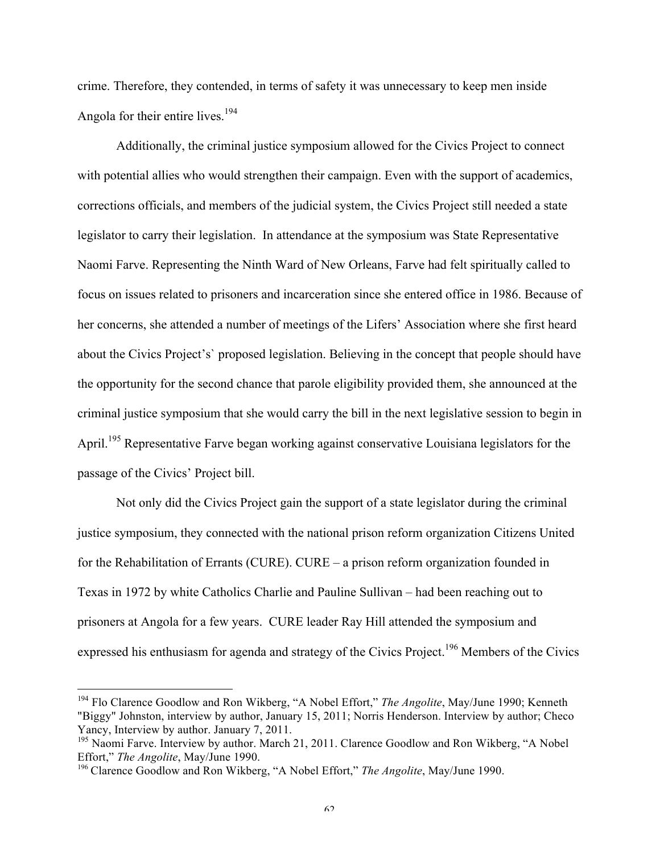crime. Therefore, they contended, in terms of safety it was unnecessary to keep men inside Angola for their entire lives.<sup>194</sup>

Additionally, the criminal justice symposium allowed for the Civics Project to connect with potential allies who would strengthen their campaign. Even with the support of academics, corrections officials, and members of the judicial system, the Civics Project still needed a state legislator to carry their legislation. In attendance at the symposium was State Representative Naomi Farve. Representing the Ninth Ward of New Orleans, Farve had felt spiritually called to focus on issues related to prisoners and incarceration since she entered office in 1986. Because of her concerns, she attended a number of meetings of the Lifers' Association where she first heard about the Civics Project's` proposed legislation. Believing in the concept that people should have the opportunity for the second chance that parole eligibility provided them, she announced at the criminal justice symposium that she would carry the bill in the next legislative session to begin in April.<sup>195</sup> Representative Farve began working against conservative Louisiana legislators for the passage of the Civics' Project bill.

Not only did the Civics Project gain the support of a state legislator during the criminal justice symposium, they connected with the national prison reform organization Citizens United for the Rehabilitation of Errants (CURE). CURE – a prison reform organization founded in Texas in 1972 by white Catholics Charlie and Pauline Sullivan – had been reaching out to prisoners at Angola for a few years. CURE leader Ray Hill attended the symposium and expressed his enthusiasm for agenda and strategy of the Civics Project.<sup>196</sup> Members of the Civics

<sup>&</sup>lt;sup>194</sup> Flo Clarence Goodlow and Ron Wikberg, "A Nobel Effort," *The Angolite*, May/June 1990; Kenneth "Biggy" Johnston, interview by author, January 15, 2011; Norris Henderson. Interview by author; Checo Yancy, Interview by author. January 7, 2011.

<sup>&</sup>lt;sup>195</sup> Naomi Farve. Interview by author. March 21, 2011. Clarence Goodlow and Ron Wikberg, "A Nobel Effort," *The Angolite*, May/June 1990.

<sup>196</sup> Clarence Goodlow and Ron Wikberg, "A Nobel Effort," *The Angolite*, May/June 1990.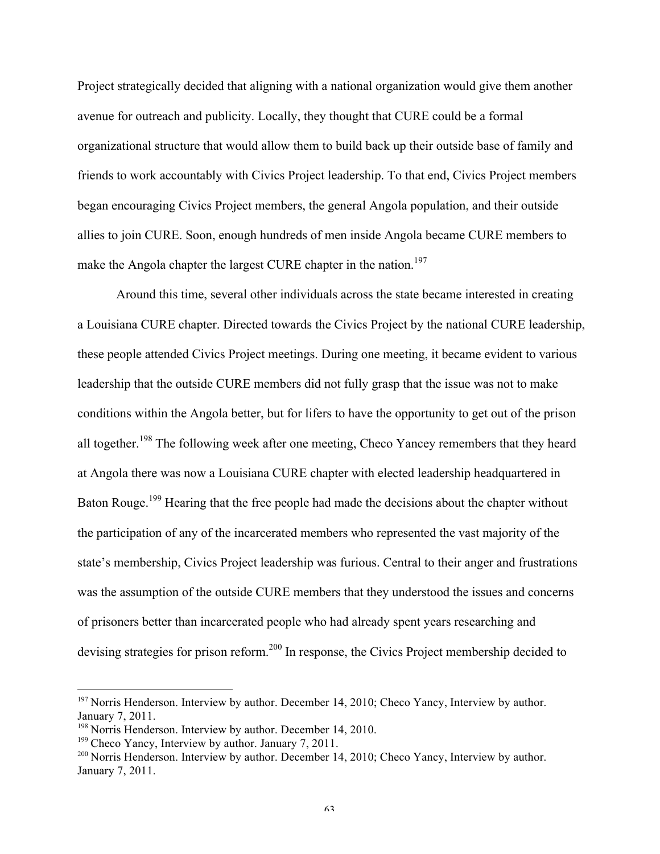Project strategically decided that aligning with a national organization would give them another avenue for outreach and publicity. Locally, they thought that CURE could be a formal organizational structure that would allow them to build back up their outside base of family and friends to work accountably with Civics Project leadership. To that end, Civics Project members began encouraging Civics Project members, the general Angola population, and their outside allies to join CURE. Soon, enough hundreds of men inside Angola became CURE members to make the Angola chapter the largest CURE chapter in the nation.<sup>197</sup>

Around this time, several other individuals across the state became interested in creating a Louisiana CURE chapter. Directed towards the Civics Project by the national CURE leadership, these people attended Civics Project meetings. During one meeting, it became evident to various leadership that the outside CURE members did not fully grasp that the issue was not to make conditions within the Angola better, but for lifers to have the opportunity to get out of the prison all together.<sup>198</sup> The following week after one meeting, Checo Yancey remembers that they heard at Angola there was now a Louisiana CURE chapter with elected leadership headquartered in Baton Rouge.<sup>199</sup> Hearing that the free people had made the decisions about the chapter without the participation of any of the incarcerated members who represented the vast majority of the state's membership, Civics Project leadership was furious. Central to their anger and frustrations was the assumption of the outside CURE members that they understood the issues and concerns of prisoners better than incarcerated people who had already spent years researching and devising strategies for prison reform.<sup>200</sup> In response, the Civics Project membership decided to

<sup>&</sup>lt;sup>197</sup> Norris Henderson. Interview by author. December 14, 2010; Checo Yancy, Interview by author. January 7, 2011.

<sup>&</sup>lt;sup>198</sup> Norris Henderson. Interview by author. December 14, 2010.

<sup>&</sup>lt;sup>199</sup> Checo Yancy, Interview by author. January 7, 2011.<br><sup>200</sup> Norris Henderson. Interview by author. December 14, 2010; Checo Yancy, Interview by author. January 7, 2011.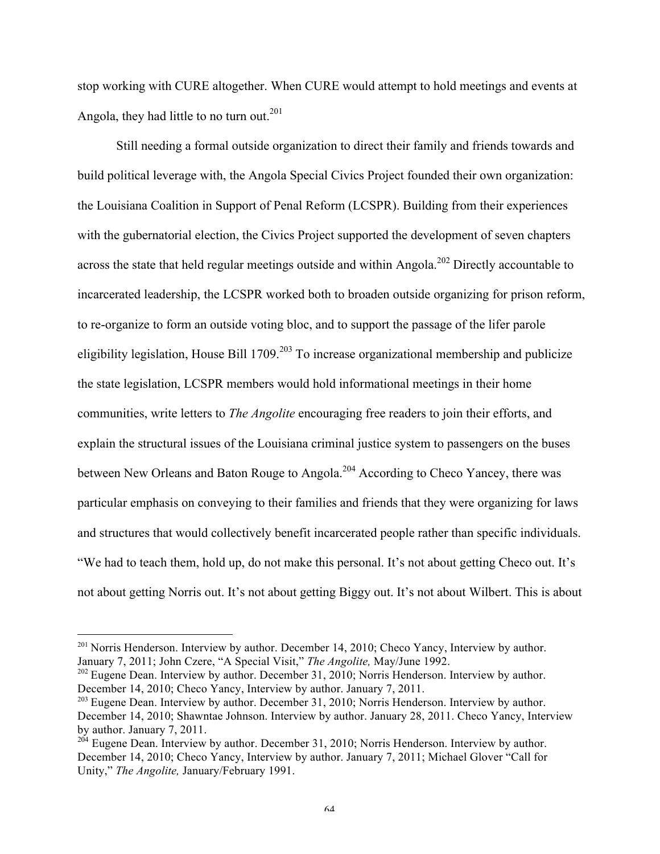stop working with CURE altogether. When CURE would attempt to hold meetings and events at Angola, they had little to no turn out. $201$ 

Still needing a formal outside organization to direct their family and friends towards and build political leverage with, the Angola Special Civics Project founded their own organization: the Louisiana Coalition in Support of Penal Reform (LCSPR). Building from their experiences with the gubernatorial election, the Civics Project supported the development of seven chapters across the state that held regular meetings outside and within Angola.<sup>202</sup> Directly accountable to incarcerated leadership, the LCSPR worked both to broaden outside organizing for prison reform, to re-organize to form an outside voting bloc, and to support the passage of the lifer parole eligibility legislation, House Bill  $1709$ <sup>203</sup> To increase organizational membership and publicize the state legislation, LCSPR members would hold informational meetings in their home communities, write letters to *The Angolite* encouraging free readers to join their efforts, and explain the structural issues of the Louisiana criminal justice system to passengers on the buses between New Orleans and Baton Rouge to Angola.<sup>204</sup> According to Checo Yancey, there was particular emphasis on conveying to their families and friends that they were organizing for laws and structures that would collectively benefit incarcerated people rather than specific individuals. "We had to teach them, hold up, do not make this personal. It's not about getting Checo out. It's not about getting Norris out. It's not about getting Biggy out. It's not about Wilbert. This is about

<sup>&</sup>lt;sup>201</sup> Norris Henderson. Interview by author. December 14, 2010; Checo Yancy, Interview by author. January 7, 2011; John Czere, "A Special Visit," *The Angolite,* May/June 1992.

<sup>&</sup>lt;sup>202</sup> Eugene Dean. Interview by author. December 31, 2010; Norris Henderson. Interview by author. December 14, 2010; Checo Yancy, Interview by author. January 7, 2011.

<sup>&</sup>lt;sup>203</sup> Eugene Dean. Interview by author. December 31, 2010; Norris Henderson. Interview by author. December 14, 2010; Shawntae Johnson. Interview by author. January 28, 2011. Checo Yancy, Interview by author. January 7, 2011.

<sup>&</sup>lt;sup>204</sup> Eugene Dean. Interview by author. December 31, 2010; Norris Henderson. Interview by author. December 14, 2010; Checo Yancy, Interview by author. January 7, 2011; Michael Glover "Call for Unity," *The Angolite,* January/February 1991.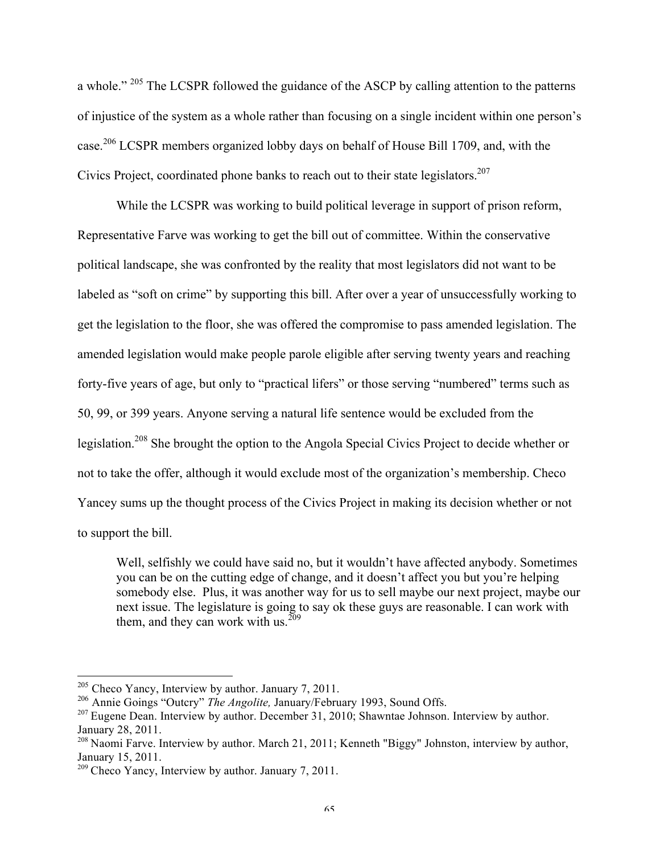a whole."<sup>205</sup> The LCSPR followed the guidance of the ASCP by calling attention to the patterns of injustice of the system as a whole rather than focusing on a single incident within one person's case.<sup>206</sup> LCSPR members organized lobby days on behalf of House Bill 1709, and, with the Civics Project, coordinated phone banks to reach out to their state legislators.<sup>207</sup>

While the LCSPR was working to build political leverage in support of prison reform, Representative Farve was working to get the bill out of committee. Within the conservative political landscape, she was confronted by the reality that most legislators did not want to be labeled as "soft on crime" by supporting this bill. After over a year of unsuccessfully working to get the legislation to the floor, she was offered the compromise to pass amended legislation. The amended legislation would make people parole eligible after serving twenty years and reaching forty-five years of age, but only to "practical lifers" or those serving "numbered" terms such as 50, 99, or 399 years. Anyone serving a natural life sentence would be excluded from the legislation.<sup>208</sup> She brought the option to the Angola Special Civics Project to decide whether or not to take the offer, although it would exclude most of the organization's membership. Checo Yancey sums up the thought process of the Civics Project in making its decision whether or not to support the bill.

Well, selfishly we could have said no, but it wouldn't have affected anybody. Sometimes you can be on the cutting edge of change, and it doesn't affect you but you're helping somebody else. Plus, it was another way for us to sell maybe our next project, maybe our next issue. The legislature is going to say ok these guys are reasonable. I can work with them, and they can work with us.  $^{209}$ 

 $205$  Checo Yancy, Interview by author. January 7, 2011.

<sup>206</sup> Annie Goings "Outcry" *The Angolite,* January/February 1993, Sound Offs.

<sup>&</sup>lt;sup>207</sup> Eugene Dean. Interview by author. December 31, 2010; Shawntae Johnson. Interview by author. January 28, 2011.

<sup>&</sup>lt;sup>208</sup> Naomi Farve. Interview by author. March 21, 2011; Kenneth "Biggy" Johnston, interview by author, January 15, 2011.

 $209$  Checo Yancy, Interview by author. January 7, 2011.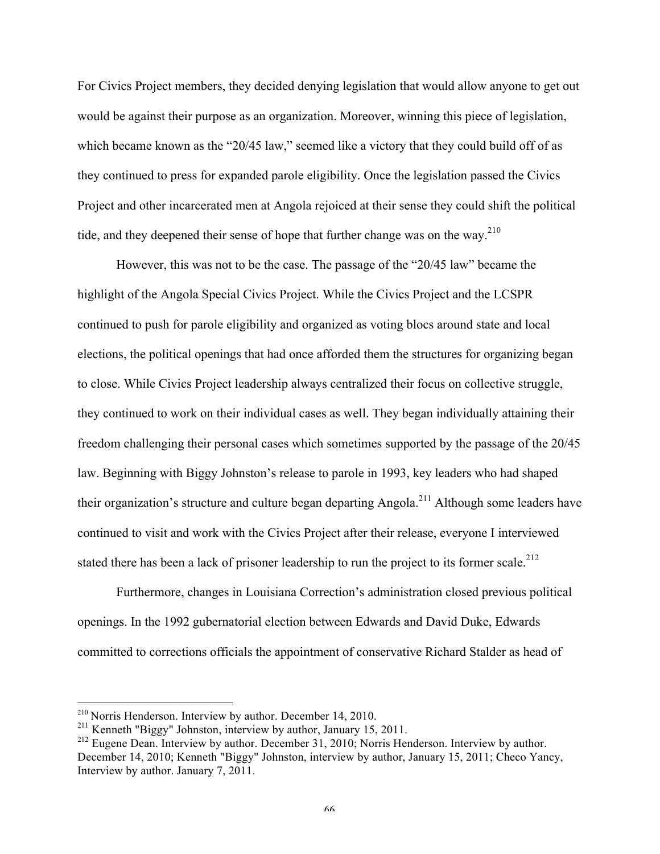For Civics Project members, they decided denying legislation that would allow anyone to get out would be against their purpose as an organization. Moreover, winning this piece of legislation, which became known as the "20/45 law," seemed like a victory that they could build off of as they continued to press for expanded parole eligibility. Once the legislation passed the Civics Project and other incarcerated men at Angola rejoiced at their sense they could shift the political tide, and they deepened their sense of hope that further change was on the way.<sup>210</sup>

However, this was not to be the case. The passage of the "20/45 law" became the highlight of the Angola Special Civics Project. While the Civics Project and the LCSPR continued to push for parole eligibility and organized as voting blocs around state and local elections, the political openings that had once afforded them the structures for organizing began to close. While Civics Project leadership always centralized their focus on collective struggle, they continued to work on their individual cases as well. They began individually attaining their freedom challenging their personal cases which sometimes supported by the passage of the 20/45 law. Beginning with Biggy Johnston's release to parole in 1993, key leaders who had shaped their organization's structure and culture began departing Angola.<sup>211</sup> Although some leaders have continued to visit and work with the Civics Project after their release, everyone I interviewed stated there has been a lack of prisoner leadership to run the project to its former scale.<sup>212</sup>

Furthermore, changes in Louisiana Correction's administration closed previous political openings. In the 1992 gubernatorial election between Edwards and David Duke, Edwards committed to corrections officials the appointment of conservative Richard Stalder as head of

 <sup>210</sup> Norris Henderson. Interview by author. December 14, 2010.

<sup>&</sup>lt;sup>211</sup> Kenneth "Biggy" Johnston, interview by author, January 15, 2011.

<sup>&</sup>lt;sup>212</sup> Eugene Dean. Interview by author. December 31, 2010; Norris Henderson. Interview by author. December 14, 2010; Kenneth "Biggy" Johnston, interview by author, January 15, 2011; Checo Yancy, Interview by author. January 7, 2011.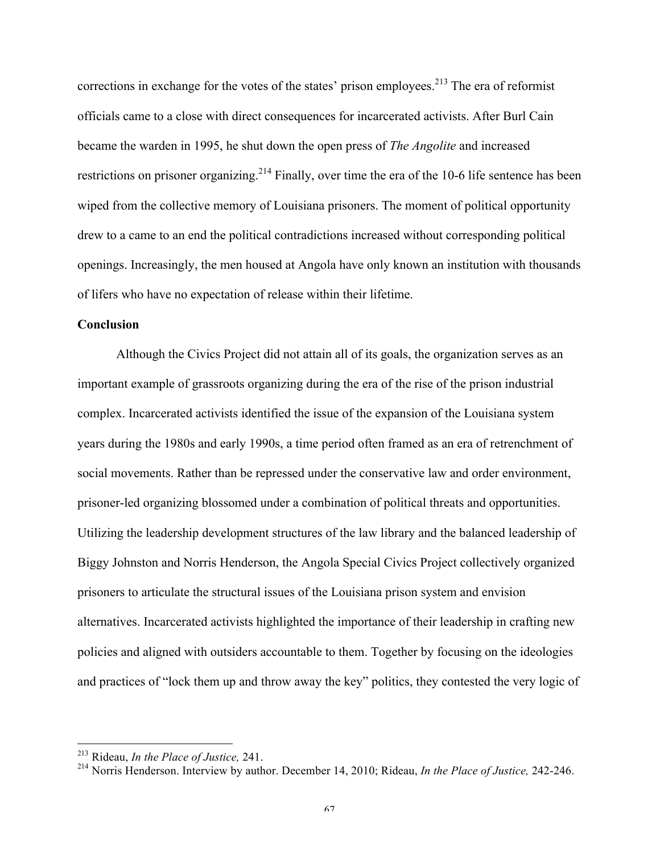corrections in exchange for the votes of the states' prison employees.<sup>213</sup> The era of reformist officials came to a close with direct consequences for incarcerated activists. After Burl Cain became the warden in 1995, he shut down the open press of *The Angolite* and increased restrictions on prisoner organizing.<sup>214</sup> Finally, over time the era of the 10-6 life sentence has been wiped from the collective memory of Louisiana prisoners. The moment of political opportunity drew to a came to an end the political contradictions increased without corresponding political openings. Increasingly, the men housed at Angola have only known an institution with thousands of lifers who have no expectation of release within their lifetime.

### **Conclusion**

Although the Civics Project did not attain all of its goals, the organization serves as an important example of grassroots organizing during the era of the rise of the prison industrial complex. Incarcerated activists identified the issue of the expansion of the Louisiana system years during the 1980s and early 1990s, a time period often framed as an era of retrenchment of social movements. Rather than be repressed under the conservative law and order environment, prisoner-led organizing blossomed under a combination of political threats and opportunities. Utilizing the leadership development structures of the law library and the balanced leadership of Biggy Johnston and Norris Henderson, the Angola Special Civics Project collectively organized prisoners to articulate the structural issues of the Louisiana prison system and envision alternatives. Incarcerated activists highlighted the importance of their leadership in crafting new policies and aligned with outsiders accountable to them. Together by focusing on the ideologies and practices of "lock them up and throw away the key" politics, they contested the very logic of

 <sup>213</sup> Rideau, *In the Place of Justice,* 241.

<sup>214</sup> Norris Henderson. Interview by author. December 14, 2010; Rideau, *In the Place of Justice,* 242-246.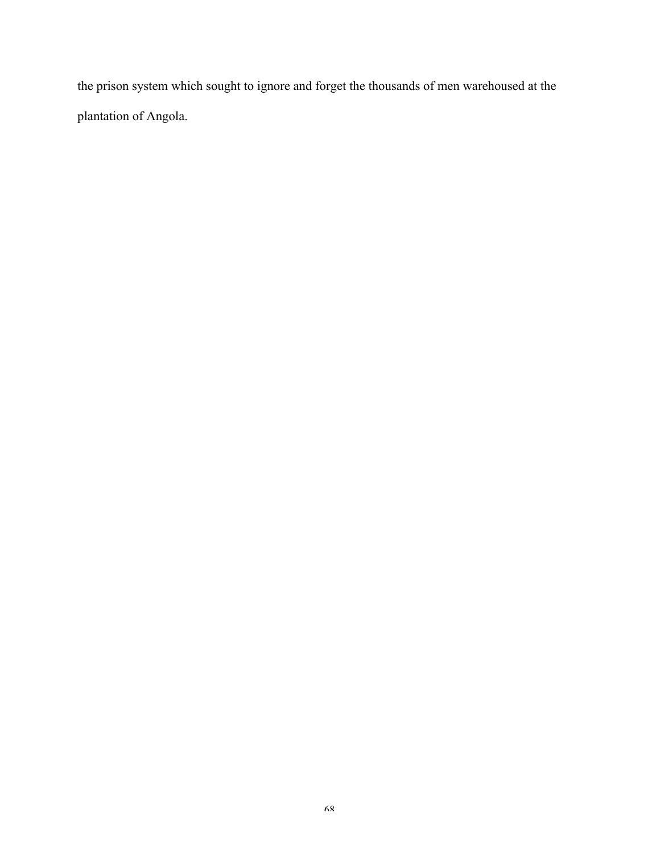the prison system which sought to ignore and forget the thousands of men warehoused at the plantation of Angola.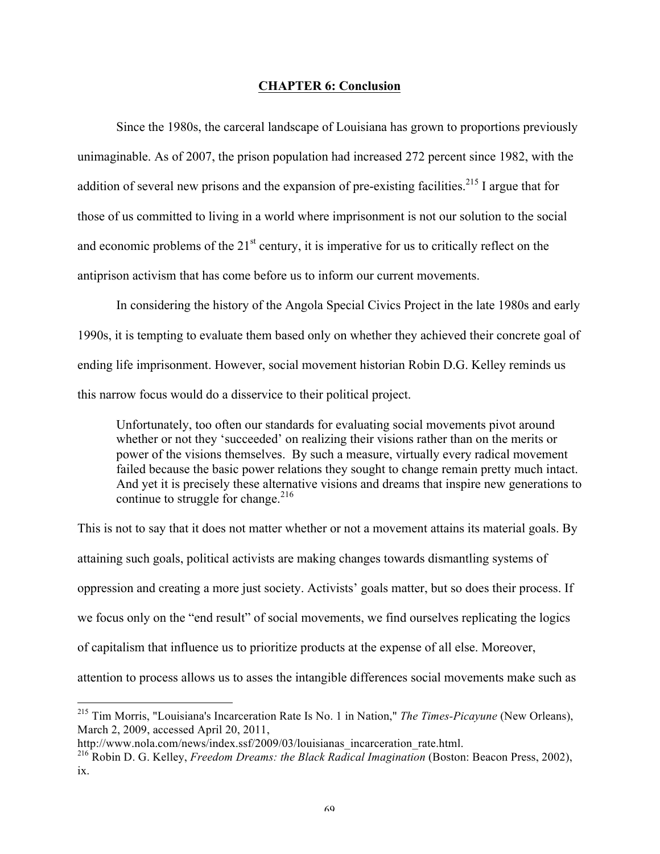### **CHAPTER 6: Conclusion**

Since the 1980s, the carceral landscape of Louisiana has grown to proportions previously unimaginable. As of 2007, the prison population had increased 272 percent since 1982, with the addition of several new prisons and the expansion of pre-existing facilities.<sup>215</sup> I argue that for those of us committed to living in a world where imprisonment is not our solution to the social and economic problems of the  $21<sup>st</sup>$  century, it is imperative for us to critically reflect on the antiprison activism that has come before us to inform our current movements.

In considering the history of the Angola Special Civics Project in the late 1980s and early 1990s, it is tempting to evaluate them based only on whether they achieved their concrete goal of ending life imprisonment. However, social movement historian Robin D.G. Kelley reminds us this narrow focus would do a disservice to their political project.

Unfortunately, too often our standards for evaluating social movements pivot around whether or not they 'succeeded' on realizing their visions rather than on the merits or power of the visions themselves. By such a measure, virtually every radical movement failed because the basic power relations they sought to change remain pretty much intact. And yet it is precisely these alternative visions and dreams that inspire new generations to continue to struggle for change. $^{216}$ 

This is not to say that it does not matter whether or not a movement attains its material goals. By attaining such goals, political activists are making changes towards dismantling systems of oppression and creating a more just society. Activists' goals matter, but so does their process. If we focus only on the "end result" of social movements, we find ourselves replicating the logics of capitalism that influence us to prioritize products at the expense of all else. Moreover, attention to process allows us to asses the intangible differences social movements make such as

 <sup>215</sup> Tim Morris, "Louisiana's Incarceration Rate Is No. 1 in Nation," *The Times-Picayune* (New Orleans), March 2, 2009, accessed April 20, 2011,

http://www.nola.com/news/index.ssf/2009/03/louisianas\_incarceration\_rate.html.

<sup>216</sup> Robin D. G. Kelley, *Freedom Dreams: the Black Radical Imagination* (Boston: Beacon Press, 2002), ix.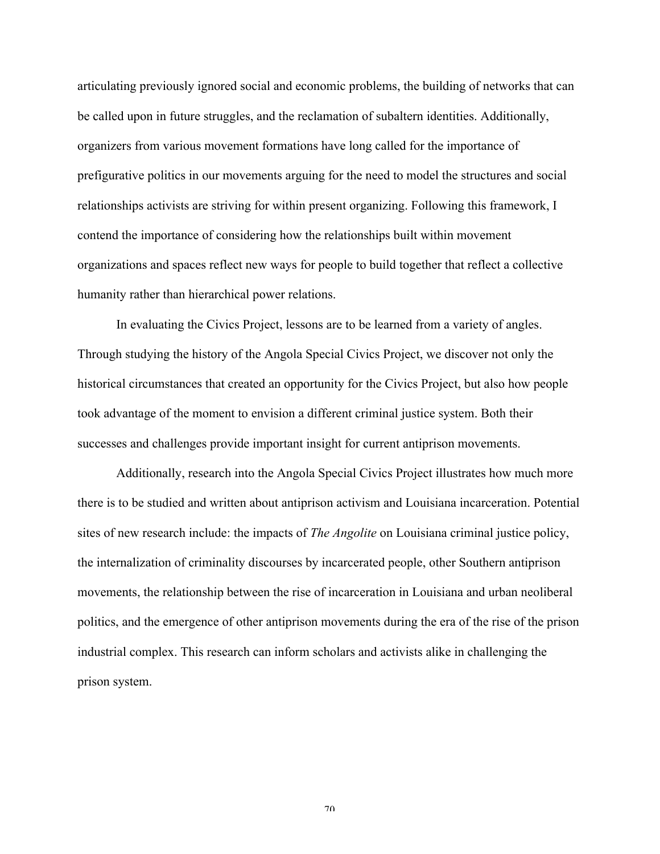articulating previously ignored social and economic problems, the building of networks that can be called upon in future struggles, and the reclamation of subaltern identities. Additionally, organizers from various movement formations have long called for the importance of prefigurative politics in our movements arguing for the need to model the structures and social relationships activists are striving for within present organizing. Following this framework, I contend the importance of considering how the relationships built within movement organizations and spaces reflect new ways for people to build together that reflect a collective humanity rather than hierarchical power relations.

In evaluating the Civics Project, lessons are to be learned from a variety of angles. Through studying the history of the Angola Special Civics Project, we discover not only the historical circumstances that created an opportunity for the Civics Project, but also how people took advantage of the moment to envision a different criminal justice system. Both their successes and challenges provide important insight for current antiprison movements.

Additionally, research into the Angola Special Civics Project illustrates how much more there is to be studied and written about antiprison activism and Louisiana incarceration. Potential sites of new research include: the impacts of *The Angolite* on Louisiana criminal justice policy, the internalization of criminality discourses by incarcerated people, other Southern antiprison movements, the relationship between the rise of incarceration in Louisiana and urban neoliberal politics, and the emergence of other antiprison movements during the era of the rise of the prison industrial complex. This research can inform scholars and activists alike in challenging the prison system.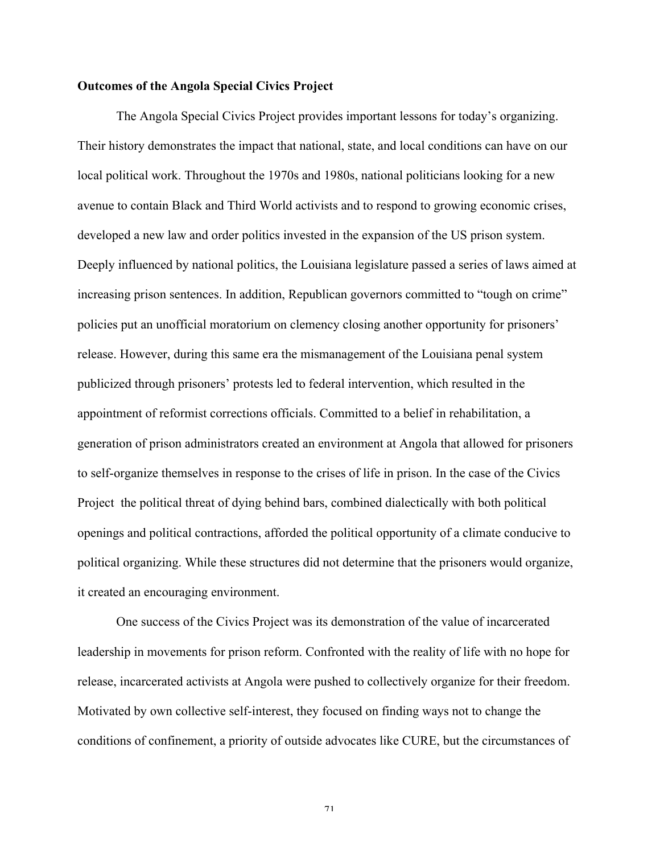### **Outcomes of the Angola Special Civics Project**

The Angola Special Civics Project provides important lessons for today's organizing. Their history demonstrates the impact that national, state, and local conditions can have on our local political work. Throughout the 1970s and 1980s, national politicians looking for a new avenue to contain Black and Third World activists and to respond to growing economic crises, developed a new law and order politics invested in the expansion of the US prison system. Deeply influenced by national politics, the Louisiana legislature passed a series of laws aimed at increasing prison sentences. In addition, Republican governors committed to "tough on crime" policies put an unofficial moratorium on clemency closing another opportunity for prisoners' release. However, during this same era the mismanagement of the Louisiana penal system publicized through prisoners' protests led to federal intervention, which resulted in the appointment of reformist corrections officials. Committed to a belief in rehabilitation, a generation of prison administrators created an environment at Angola that allowed for prisoners to self-organize themselves in response to the crises of life in prison. In the case of the Civics Project the political threat of dying behind bars, combined dialectically with both political openings and political contractions, afforded the political opportunity of a climate conducive to political organizing. While these structures did not determine that the prisoners would organize, it created an encouraging environment.

One success of the Civics Project was its demonstration of the value of incarcerated leadership in movements for prison reform. Confronted with the reality of life with no hope for release, incarcerated activists at Angola were pushed to collectively organize for their freedom. Motivated by own collective self-interest, they focused on finding ways not to change the conditions of confinement, a priority of outside advocates like CURE, but the circumstances of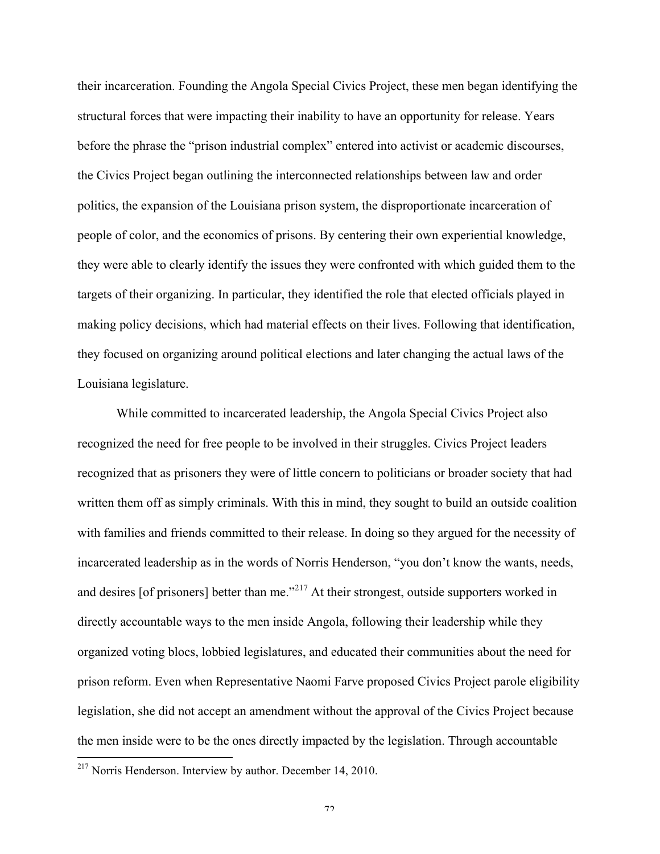their incarceration. Founding the Angola Special Civics Project, these men began identifying the structural forces that were impacting their inability to have an opportunity for release. Years before the phrase the "prison industrial complex" entered into activist or academic discourses, the Civics Project began outlining the interconnected relationships between law and order politics, the expansion of the Louisiana prison system, the disproportionate incarceration of people of color, and the economics of prisons. By centering their own experiential knowledge, they were able to clearly identify the issues they were confronted with which guided them to the targets of their organizing. In particular, they identified the role that elected officials played in making policy decisions, which had material effects on their lives. Following that identification, they focused on organizing around political elections and later changing the actual laws of the Louisiana legislature.

While committed to incarcerated leadership, the Angola Special Civics Project also recognized the need for free people to be involved in their struggles. Civics Project leaders recognized that as prisoners they were of little concern to politicians or broader society that had written them off as simply criminals. With this in mind, they sought to build an outside coalition with families and friends committed to their release. In doing so they argued for the necessity of incarcerated leadership as in the words of Norris Henderson, "you don't know the wants, needs, and desires [of prisoners] better than me."<sup>217</sup> At their strongest, outside supporters worked in directly accountable ways to the men inside Angola, following their leadership while they organized voting blocs, lobbied legislatures, and educated their communities about the need for prison reform. Even when Representative Naomi Farve proposed Civics Project parole eligibility legislation, she did not accept an amendment without the approval of the Civics Project because the men inside were to be the ones directly impacted by the legislation. Through accountable

 <sup>217</sup> Norris Henderson. Interview by author. December 14, 2010.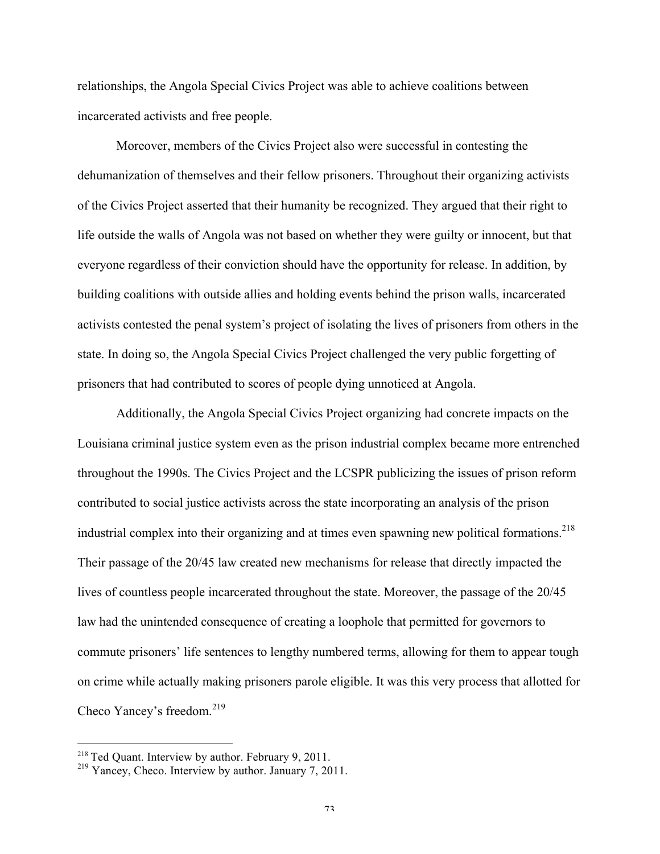relationships, the Angola Special Civics Project was able to achieve coalitions between incarcerated activists and free people.

Moreover, members of the Civics Project also were successful in contesting the dehumanization of themselves and their fellow prisoners. Throughout their organizing activists of the Civics Project asserted that their humanity be recognized. They argued that their right to life outside the walls of Angola was not based on whether they were guilty or innocent, but that everyone regardless of their conviction should have the opportunity for release. In addition, by building coalitions with outside allies and holding events behind the prison walls, incarcerated activists contested the penal system's project of isolating the lives of prisoners from others in the state. In doing so, the Angola Special Civics Project challenged the very public forgetting of prisoners that had contributed to scores of people dying unnoticed at Angola.

Additionally, the Angola Special Civics Project organizing had concrete impacts on the Louisiana criminal justice system even as the prison industrial complex became more entrenched throughout the 1990s. The Civics Project and the LCSPR publicizing the issues of prison reform contributed to social justice activists across the state incorporating an analysis of the prison industrial complex into their organizing and at times even spawning new political formations.<sup>218</sup> Their passage of the 20/45 law created new mechanisms for release that directly impacted the lives of countless people incarcerated throughout the state. Moreover, the passage of the 20/45 law had the unintended consequence of creating a loophole that permitted for governors to commute prisoners' life sentences to lengthy numbered terms, allowing for them to appear tough on crime while actually making prisoners parole eligible. It was this very process that allotted for Checo Yancey's freedom.<sup>219</sup>

<sup>&</sup>lt;sup>218</sup> Ted Quant. Interview by author. February 9, 2011.

<sup>&</sup>lt;sup>219</sup> Yancey, Checo. Interview by author. January 7, 2011.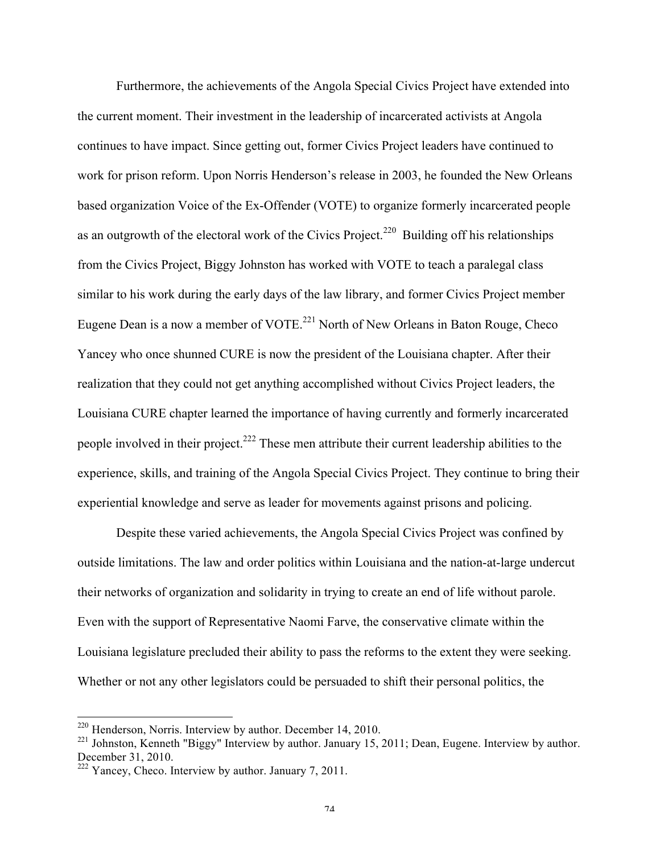Furthermore, the achievements of the Angola Special Civics Project have extended into the current moment. Their investment in the leadership of incarcerated activists at Angola continues to have impact. Since getting out, former Civics Project leaders have continued to work for prison reform. Upon Norris Henderson's release in 2003, he founded the New Orleans based organization Voice of the Ex-Offender (VOTE) to organize formerly incarcerated people as an outgrowth of the electoral work of the Civics Project.<sup>220</sup> Building off his relationships from the Civics Project, Biggy Johnston has worked with VOTE to teach a paralegal class similar to his work during the early days of the law library, and former Civics Project member Eugene Dean is a now a member of VOTE.<sup>221</sup> North of New Orleans in Baton Rouge, Checo Yancey who once shunned CURE is now the president of the Louisiana chapter. After their realization that they could not get anything accomplished without Civics Project leaders, the Louisiana CURE chapter learned the importance of having currently and formerly incarcerated people involved in their project.<sup>222</sup> These men attribute their current leadership abilities to the experience, skills, and training of the Angola Special Civics Project. They continue to bring their experiential knowledge and serve as leader for movements against prisons and policing.

Despite these varied achievements, the Angola Special Civics Project was confined by outside limitations. The law and order politics within Louisiana and the nation-at-large undercut their networks of organization and solidarity in trying to create an end of life without parole. Even with the support of Representative Naomi Farve, the conservative climate within the Louisiana legislature precluded their ability to pass the reforms to the extent they were seeking. Whether or not any other legislators could be persuaded to shift their personal politics, the

 <sup>220</sup> Henderson, Norris. Interview by author. December 14, 2010.

<sup>&</sup>lt;sup>221</sup> Johnston, Kenneth "Biggy" Interview by author. January 15, 2011; Dean, Eugene. Interview by author. December 31, 2010.

 $222$  Yancey, Checo. Interview by author. January 7, 2011.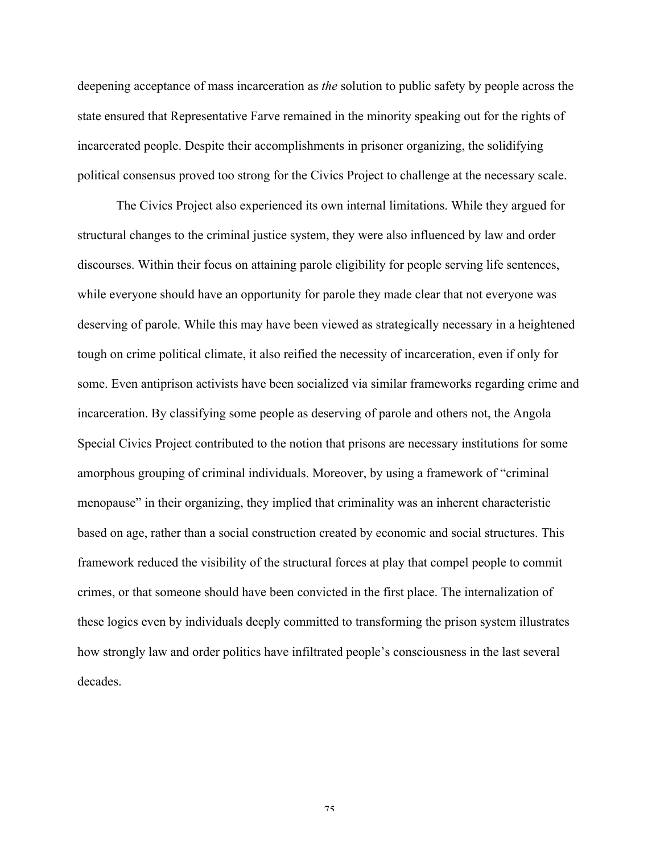deepening acceptance of mass incarceration as *the* solution to public safety by people across the state ensured that Representative Farve remained in the minority speaking out for the rights of incarcerated people. Despite their accomplishments in prisoner organizing, the solidifying political consensus proved too strong for the Civics Project to challenge at the necessary scale.

The Civics Project also experienced its own internal limitations. While they argued for structural changes to the criminal justice system, they were also influenced by law and order discourses. Within their focus on attaining parole eligibility for people serving life sentences, while everyone should have an opportunity for parole they made clear that not everyone was deserving of parole. While this may have been viewed as strategically necessary in a heightened tough on crime political climate, it also reified the necessity of incarceration, even if only for some. Even antiprison activists have been socialized via similar frameworks regarding crime and incarceration. By classifying some people as deserving of parole and others not, the Angola Special Civics Project contributed to the notion that prisons are necessary institutions for some amorphous grouping of criminal individuals. Moreover, by using a framework of "criminal menopause" in their organizing, they implied that criminality was an inherent characteristic based on age, rather than a social construction created by economic and social structures. This framework reduced the visibility of the structural forces at play that compel people to commit crimes, or that someone should have been convicted in the first place. The internalization of these logics even by individuals deeply committed to transforming the prison system illustrates how strongly law and order politics have infiltrated people's consciousness in the last several decades.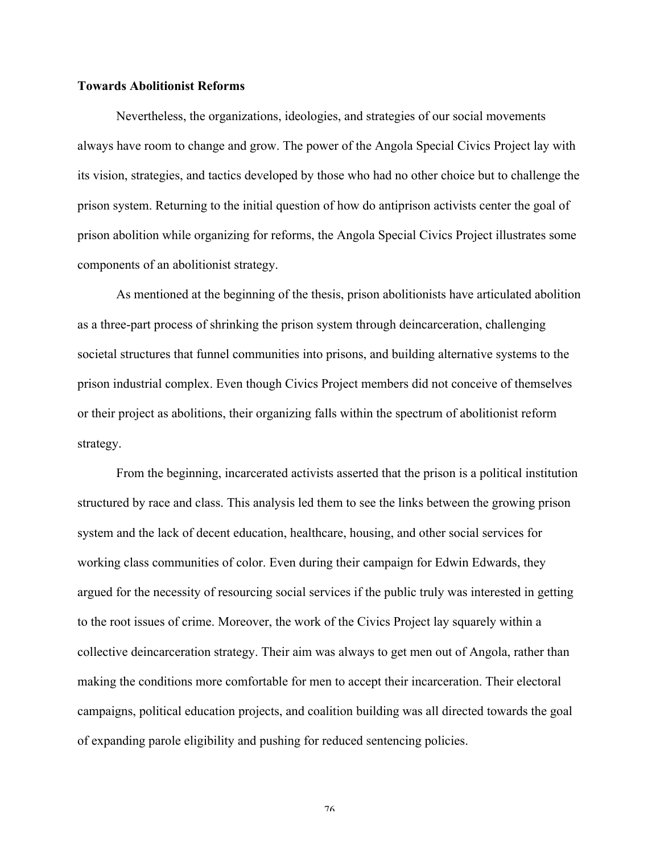### **Towards Abolitionist Reforms**

Nevertheless, the organizations, ideologies, and strategies of our social movements always have room to change and grow. The power of the Angola Special Civics Project lay with its vision, strategies, and tactics developed by those who had no other choice but to challenge the prison system. Returning to the initial question of how do antiprison activists center the goal of prison abolition while organizing for reforms, the Angola Special Civics Project illustrates some components of an abolitionist strategy.

As mentioned at the beginning of the thesis, prison abolitionists have articulated abolition as a three-part process of shrinking the prison system through deincarceration, challenging societal structures that funnel communities into prisons, and building alternative systems to the prison industrial complex. Even though Civics Project members did not conceive of themselves or their project as abolitions, their organizing falls within the spectrum of abolitionist reform strategy.

From the beginning, incarcerated activists asserted that the prison is a political institution structured by race and class. This analysis led them to see the links between the growing prison system and the lack of decent education, healthcare, housing, and other social services for working class communities of color. Even during their campaign for Edwin Edwards, they argued for the necessity of resourcing social services if the public truly was interested in getting to the root issues of crime. Moreover, the work of the Civics Project lay squarely within a collective deincarceration strategy. Their aim was always to get men out of Angola, rather than making the conditions more comfortable for men to accept their incarceration. Their electoral campaigns, political education projects, and coalition building was all directed towards the goal of expanding parole eligibility and pushing for reduced sentencing policies.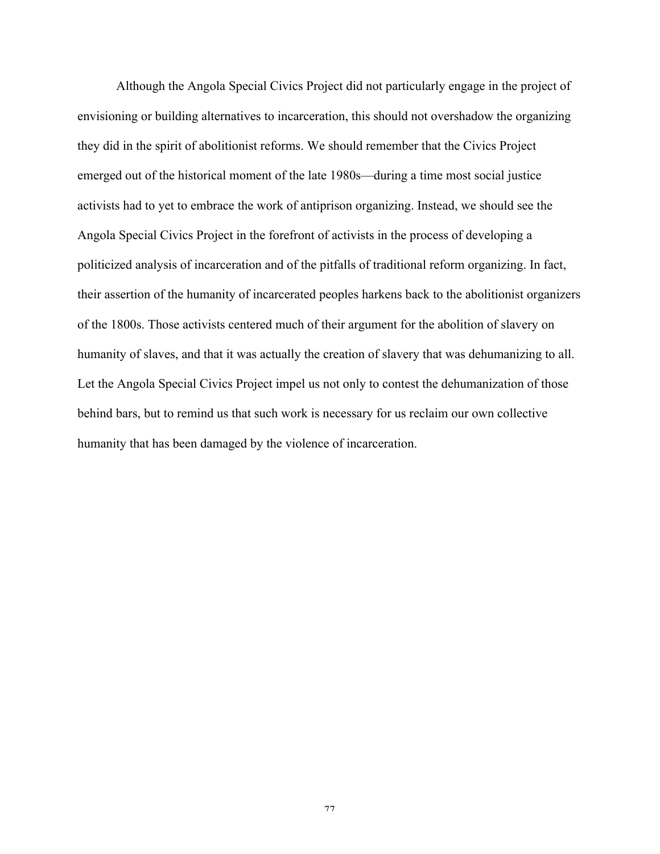Although the Angola Special Civics Project did not particularly engage in the project of envisioning or building alternatives to incarceration, this should not overshadow the organizing they did in the spirit of abolitionist reforms. We should remember that the Civics Project emerged out of the historical moment of the late 1980s—during a time most social justice activists had to yet to embrace the work of antiprison organizing. Instead, we should see the Angola Special Civics Project in the forefront of activists in the process of developing a politicized analysis of incarceration and of the pitfalls of traditional reform organizing. In fact, their assertion of the humanity of incarcerated peoples harkens back to the abolitionist organizers of the 1800s. Those activists centered much of their argument for the abolition of slavery on humanity of slaves, and that it was actually the creation of slavery that was dehumanizing to all. Let the Angola Special Civics Project impel us not only to contest the dehumanization of those behind bars, but to remind us that such work is necessary for us reclaim our own collective humanity that has been damaged by the violence of incarceration.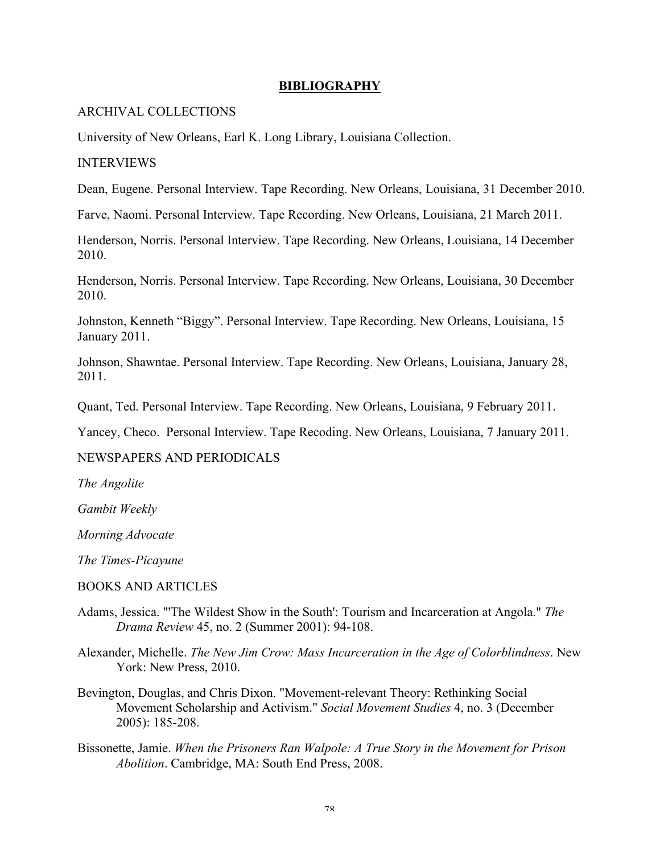# **BIBLIOGRAPHY**

### ARCHIVAL COLLECTIONS

University of New Orleans, Earl K. Long Library, Louisiana Collection.

# INTERVIEWS

Dean, Eugene. Personal Interview. Tape Recording. New Orleans, Louisiana, 31 December 2010.

Farve, Naomi. Personal Interview. Tape Recording. New Orleans, Louisiana, 21 March 2011.

Henderson, Norris. Personal Interview. Tape Recording. New Orleans, Louisiana, 14 December 2010.

Henderson, Norris. Personal Interview. Tape Recording. New Orleans, Louisiana, 30 December 2010.

Johnston, Kenneth "Biggy". Personal Interview. Tape Recording. New Orleans, Louisiana, 15 January 2011.

Johnson, Shawntae. Personal Interview. Tape Recording. New Orleans, Louisiana, January 28, 2011.

Quant, Ted. Personal Interview. Tape Recording. New Orleans, Louisiana, 9 February 2011.

Yancey, Checo. Personal Interview. Tape Recoding. New Orleans, Louisiana, 7 January 2011.

## NEWSPAPERS AND PERIODICALS

*The Angolite*

*Gambit Weekly*

*Morning Advocate*

*The Times-Picayune* 

#### BOOKS AND ARTICLES

- Adams, Jessica. "'The Wildest Show in the South': Tourism and Incarceration at Angola." *The Drama Review* 45, no. 2 (Summer 2001): 94-108.
- Alexander, Michelle. *The New Jim Crow: Mass Incarceration in the Age of Colorblindness*. New York: New Press, 2010.
- Bevington, Douglas, and Chris Dixon. "Movement-relevant Theory: Rethinking Social Movement Scholarship and Activism." *Social Movement Studies* 4, no. 3 (December 2005): 185-208.
- Bissonette, Jamie. *When the Prisoners Ran Walpole: A True Story in the Movement for Prison Abolition*. Cambridge, MA: South End Press, 2008.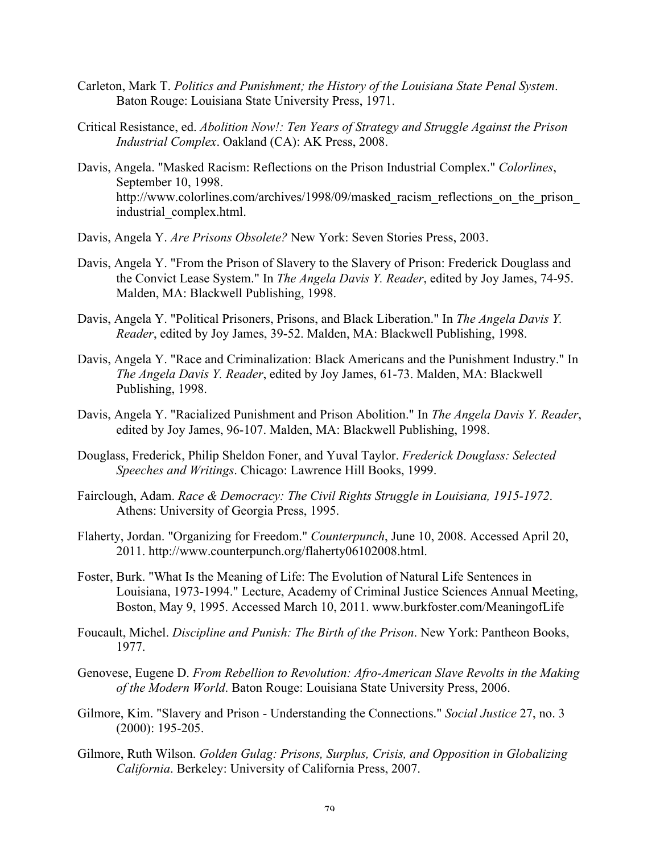- Carleton, Mark T. *Politics and Punishment; the History of the Louisiana State Penal System*. Baton Rouge: Louisiana State University Press, 1971.
- Critical Resistance, ed. *Abolition Now!: Ten Years of Strategy and Struggle Against the Prison Industrial Complex*. Oakland (CA): AK Press, 2008.
- Davis, Angela. "Masked Racism: Reflections on the Prison Industrial Complex." *Colorlines*, September 10, 1998. http://www.colorlines.com/archives/1998/09/masked racism reflections on the prison industrial\_complex.html.
- Davis, Angela Y. *Are Prisons Obsolete?* New York: Seven Stories Press, 2003.
- Davis, Angela Y. "From the Prison of Slavery to the Slavery of Prison: Frederick Douglass and the Convict Lease System." In *The Angela Davis Y. Reader*, edited by Joy James, 74-95. Malden, MA: Blackwell Publishing, 1998.
- Davis, Angela Y. "Political Prisoners, Prisons, and Black Liberation." In *The Angela Davis Y. Reader*, edited by Joy James, 39-52. Malden, MA: Blackwell Publishing, 1998.
- Davis, Angela Y. "Race and Criminalization: Black Americans and the Punishment Industry." In *The Angela Davis Y. Reader*, edited by Joy James, 61-73. Malden, MA: Blackwell Publishing, 1998.
- Davis, Angela Y. "Racialized Punishment and Prison Abolition." In *The Angela Davis Y. Reader*, edited by Joy James, 96-107. Malden, MA: Blackwell Publishing, 1998.
- Douglass, Frederick, Philip Sheldon Foner, and Yuval Taylor. *Frederick Douglass: Selected Speeches and Writings*. Chicago: Lawrence Hill Books, 1999.
- Fairclough, Adam. *Race & Democracy: The Civil Rights Struggle in Louisiana, 1915-1972*. Athens: University of Georgia Press, 1995.
- Flaherty, Jordan. "Organizing for Freedom." *Counterpunch*, June 10, 2008. Accessed April 20, 2011. http://www.counterpunch.org/flaherty06102008.html.
- Foster, Burk. "What Is the Meaning of Life: The Evolution of Natural Life Sentences in Louisiana, 1973-1994." Lecture, Academy of Criminal Justice Sciences Annual Meeting, Boston, May 9, 1995. Accessed March 10, 2011. www.burkfoster.com/MeaningofLife
- Foucault, Michel. *Discipline and Punish: The Birth of the Prison*. New York: Pantheon Books, 1977.
- Genovese, Eugene D. *From Rebellion to Revolution: Afro-American Slave Revolts in the Making of the Modern World*. Baton Rouge: Louisiana State University Press, 2006.
- Gilmore, Kim. "Slavery and Prison Understanding the Connections." *Social Justice* 27, no. 3 (2000): 195-205.
- Gilmore, Ruth Wilson. *Golden Gulag: Prisons, Surplus, Crisis, and Opposition in Globalizing California*. Berkeley: University of California Press, 2007.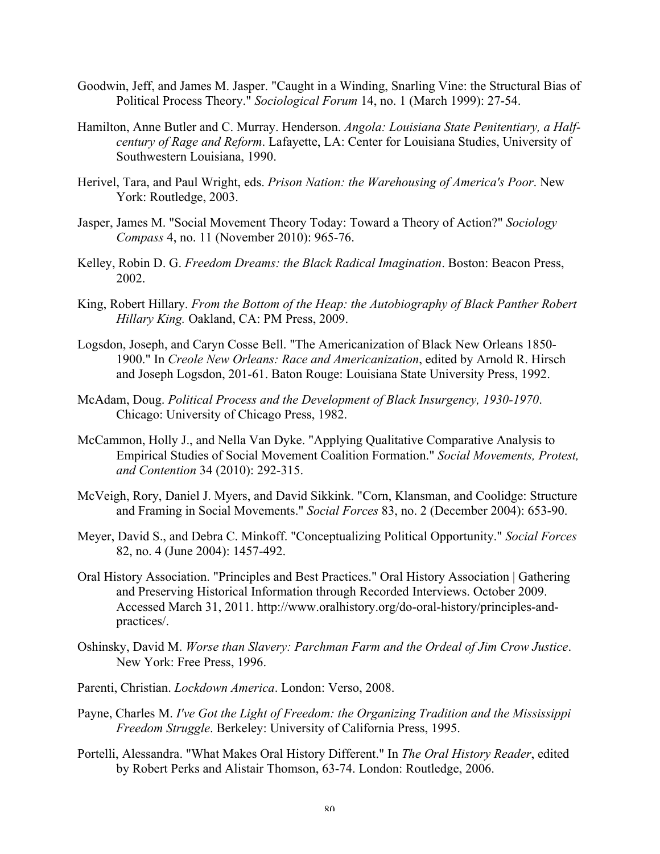- Goodwin, Jeff, and James M. Jasper. "Caught in a Winding, Snarling Vine: the Structural Bias of Political Process Theory." *Sociological Forum* 14, no. 1 (March 1999): 27-54.
- Hamilton, Anne Butler and C. Murray. Henderson. *Angola: Louisiana State Penitentiary, a Halfcentury of Rage and Reform*. Lafayette, LA: Center for Louisiana Studies, University of Southwestern Louisiana, 1990.
- Herivel, Tara, and Paul Wright, eds. *Prison Nation: the Warehousing of America's Poor*. New York: Routledge, 2003.
- Jasper, James M. "Social Movement Theory Today: Toward a Theory of Action?" *Sociology Compass* 4, no. 11 (November 2010): 965-76.
- Kelley, Robin D. G. *Freedom Dreams: the Black Radical Imagination*. Boston: Beacon Press, 2002.
- King, Robert Hillary. *From the Bottom of the Heap: the Autobiography of Black Panther Robert Hillary King.* Oakland, CA: PM Press, 2009.
- Logsdon, Joseph, and Caryn Cosse Bell. "The Americanization of Black New Orleans 1850- 1900." In *Creole New Orleans: Race and Americanization*, edited by Arnold R. Hirsch and Joseph Logsdon, 201-61. Baton Rouge: Louisiana State University Press, 1992.
- McAdam, Doug. *Political Process and the Development of Black Insurgency, 1930-1970*. Chicago: University of Chicago Press, 1982.
- McCammon, Holly J., and Nella Van Dyke. "Applying Qualitative Comparative Analysis to Empirical Studies of Social Movement Coalition Formation." *Social Movements, Protest, and Contention* 34 (2010): 292-315.
- McVeigh, Rory, Daniel J. Myers, and David Sikkink. "Corn, Klansman, and Coolidge: Structure and Framing in Social Movements." *Social Forces* 83, no. 2 (December 2004): 653-90.
- Meyer, David S., and Debra C. Minkoff. "Conceptualizing Political Opportunity." *Social Forces* 82, no. 4 (June 2004): 1457-492.
- Oral History Association. "Principles and Best Practices." Oral History Association | Gathering and Preserving Historical Information through Recorded Interviews. October 2009. Accessed March 31, 2011. http://www.oralhistory.org/do-oral-history/principles-andpractices/.
- Oshinsky, David M. *Worse than Slavery: Parchman Farm and the Ordeal of Jim Crow Justice*. New York: Free Press, 1996.
- Parenti, Christian. *Lockdown America*. London: Verso, 2008.
- Payne, Charles M. *I've Got the Light of Freedom: the Organizing Tradition and the Mississippi Freedom Struggle*. Berkeley: University of California Press, 1995.
- Portelli, Alessandra. "What Makes Oral History Different." In *The Oral History Reader*, edited by Robert Perks and Alistair Thomson, 63-74. London: Routledge, 2006.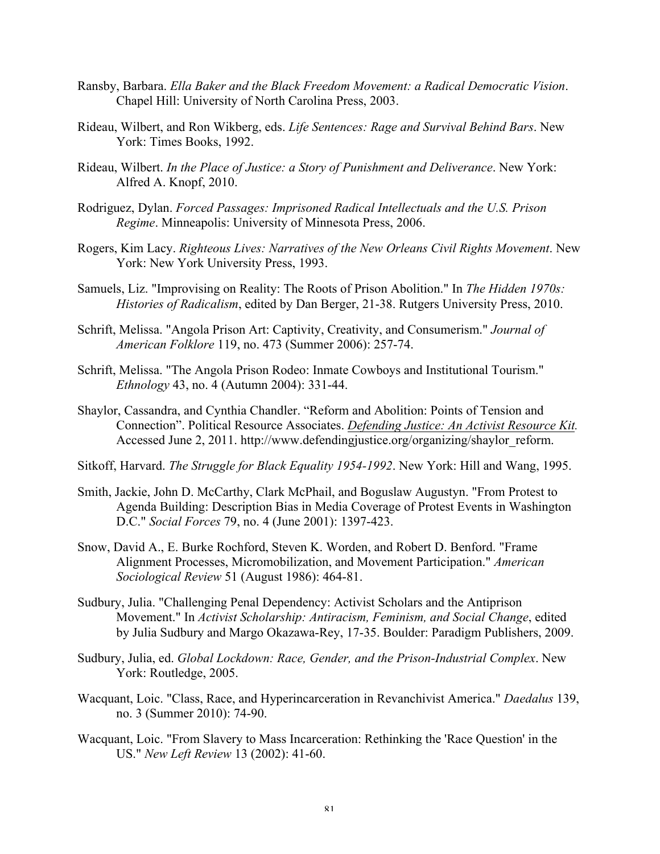- Ransby, Barbara. *Ella Baker and the Black Freedom Movement: a Radical Democratic Vision*. Chapel Hill: University of North Carolina Press, 2003.
- Rideau, Wilbert, and Ron Wikberg, eds. *Life Sentences: Rage and Survival Behind Bars*. New York: Times Books, 1992.
- Rideau, Wilbert. *In the Place of Justice: a Story of Punishment and Deliverance*. New York: Alfred A. Knopf, 2010.
- Rodriguez, Dylan. *Forced Passages: Imprisoned Radical Intellectuals and the U.S. Prison Regime*. Minneapolis: University of Minnesota Press, 2006.
- Rogers, Kim Lacy. *Righteous Lives: Narratives of the New Orleans Civil Rights Movement*. New York: New York University Press, 1993.
- Samuels, Liz. "Improvising on Reality: The Roots of Prison Abolition." In *The Hidden 1970s: Histories of Radicalism*, edited by Dan Berger, 21-38. Rutgers University Press, 2010.
- Schrift, Melissa. "Angola Prison Art: Captivity, Creativity, and Consumerism." *Journal of American Folklore* 119, no. 473 (Summer 2006): 257-74.
- Schrift, Melissa. "The Angola Prison Rodeo: Inmate Cowboys and Institutional Tourism." *Ethnology* 43, no. 4 (Autumn 2004): 331-44.
- Shaylor, Cassandra, and Cynthia Chandler. "Reform and Abolition: Points of Tension and Connection". Political Resource Associates. *Defending Justice: An Activist Resource Kit.*  Accessed June 2, 2011. http://www.defendingjustice.org/organizing/shaylor\_reform.
- Sitkoff, Harvard. *The Struggle for Black Equality 1954-1992*. New York: Hill and Wang, 1995.
- Smith, Jackie, John D. McCarthy, Clark McPhail, and Boguslaw Augustyn. "From Protest to Agenda Building: Description Bias in Media Coverage of Protest Events in Washington D.C." *Social Forces* 79, no. 4 (June 2001): 1397-423.
- Snow, David A., E. Burke Rochford, Steven K. Worden, and Robert D. Benford. "Frame Alignment Processes, Micromobilization, and Movement Participation." *American Sociological Review* 51 (August 1986): 464-81.
- Sudbury, Julia. "Challenging Penal Dependency: Activist Scholars and the Antiprison Movement." In *Activist Scholarship: Antiracism, Feminism, and Social Change*, edited by Julia Sudbury and Margo Okazawa-Rey, 17-35. Boulder: Paradigm Publishers, 2009.
- Sudbury, Julia, ed. *Global Lockdown: Race, Gender, and the Prison-Industrial Complex*. New York: Routledge, 2005.
- Wacquant, Loic. "Class, Race, and Hyperincarceration in Revanchivist America." *Daedalus* 139, no. 3 (Summer 2010): 74-90.
- Wacquant, Loic. "From Slavery to Mass Incarceration: Rethinking the 'Race Question' in the US." *New Left Review* 13 (2002): 41-60.